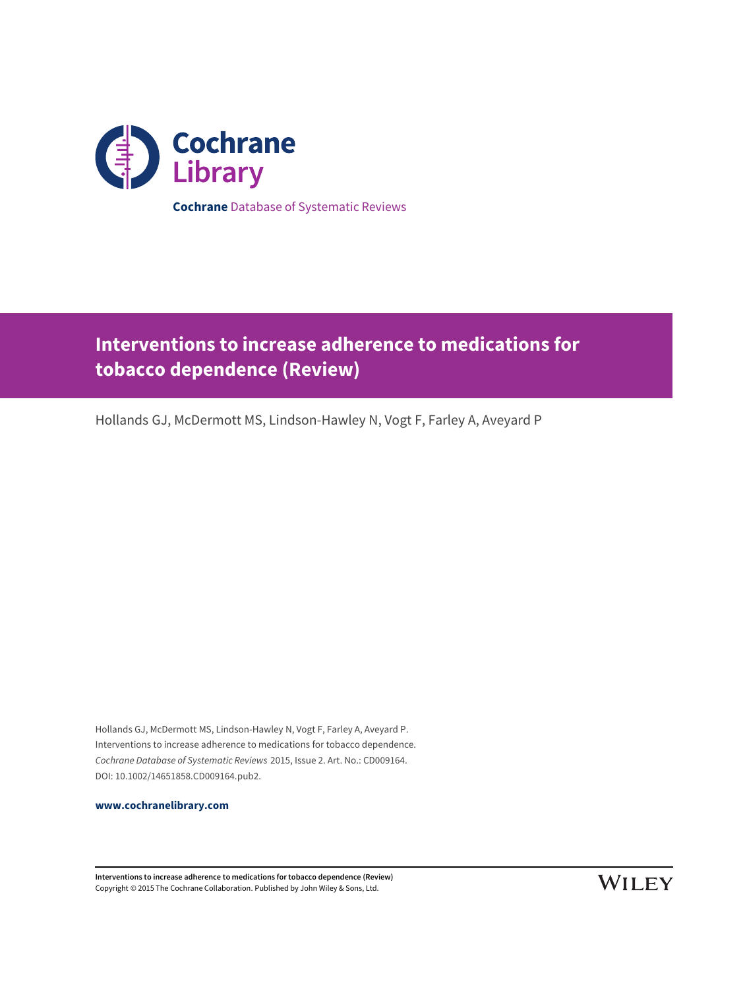

**Interventions to increase adherence to medications for tobacco dependence (Review)**

Hollands GJ, McDermott MS, Lindson-Hawley N, Vogt F, Farley A, Aveyard P

Hollands GJ, McDermott MS, Lindson-Hawley N, Vogt F, Farley A, Aveyard P. Interventions to increase adherence to medications for tobacco dependence. Cochrane Database of Systematic Reviews 2015, Issue 2. Art. No.: CD009164. DOI: 10.1002/14651858.CD009164.pub2.

**[www.cochranelibrary.com](http://www.cochranelibrary.com)**

**Interventions to increase adherence to medications for tobacco dependence (Review)** Copyright © 2015 The Cochrane Collaboration. Published by John Wiley & Sons, Ltd.

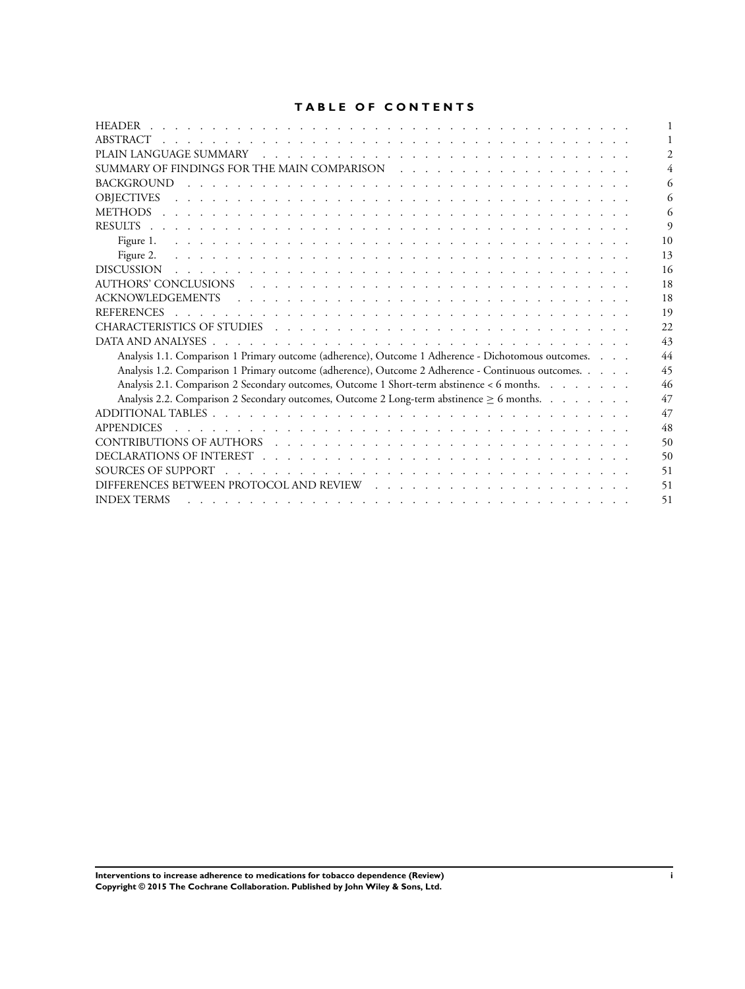# **TABLE OF CONTENTS**

| <b>BACKGROUND</b>                                                                                                          |
|----------------------------------------------------------------------------------------------------------------------------|
| <b>OBIECTIVES</b><br><u>. In the second contract of the second contract of the second contract of the second</u>           |
|                                                                                                                            |
|                                                                                                                            |
| 10                                                                                                                         |
| Figure 2.<br><u>. In the second terms of the second terms of the second terms of the second terms of the second</u><br>13  |
| 16                                                                                                                         |
| 18                                                                                                                         |
| 18                                                                                                                         |
| <b>REFERENCES</b><br>the contract of the contract of the contract of the contract of the contract of the contract of<br>19 |
| 22                                                                                                                         |
| 4 <sup>3</sup>                                                                                                             |
| Analysis 1.1. Comparison 1 Primary outcome (adherence), Outcome 1 Adherence - Dichotomous outcomes.<br>44                  |
| Analysis 1.2. Comparison 1 Primary outcome (adherence), Outcome 2 Adherence - Continuous outcomes.<br>45                   |
| Analysis 2.1. Comparison 2 Secondary outcomes, Outcome 1 Short-term abstinence < 6 months.<br>46                           |
| Analysis 2.2. Comparison 2 Secondary outcomes, Outcome 2 Long-term abstinence $\geq 6$ months.<br>47                       |
| 47                                                                                                                         |
| <b>APPENDICES</b><br>48                                                                                                    |
| 50                                                                                                                         |
| 50                                                                                                                         |
| 51                                                                                                                         |
| 51                                                                                                                         |
| <b>INDEX TERMS</b><br>51                                                                                                   |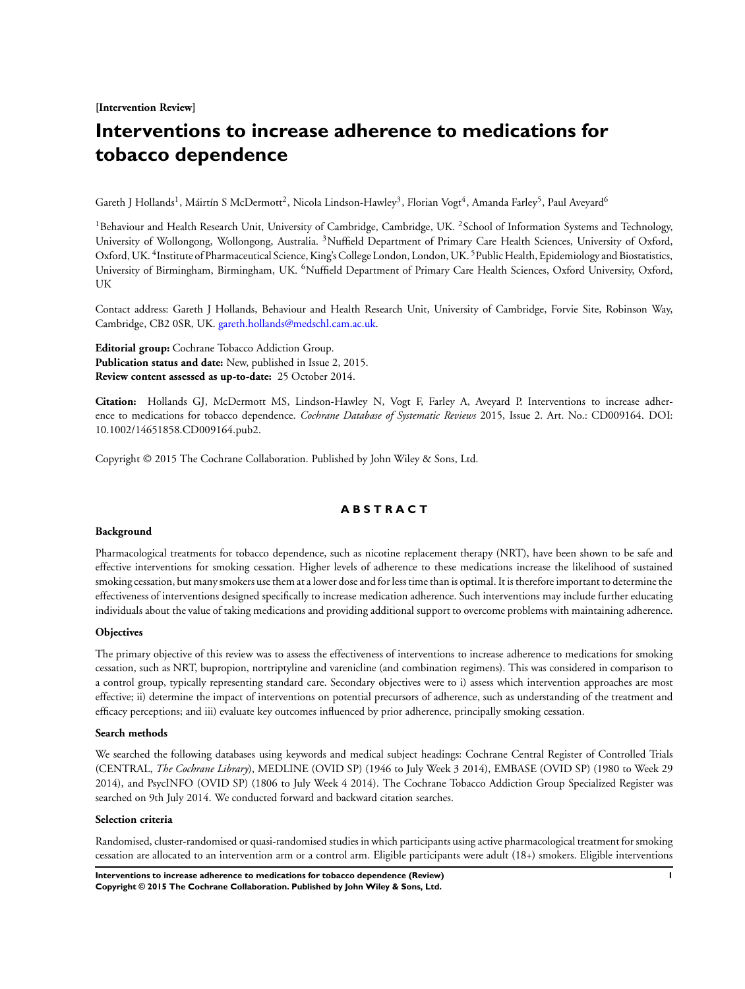**[Intervention Review]**

# **Interventions to increase adherence to medications for tobacco dependence**

Gareth J Hollands<sup>1</sup>, Máirtín S McDermott<sup>2</sup>, Nicola Lindson-Hawley<sup>3</sup>, Florian Vogt<sup>4</sup>, Amanda Farley<sup>5</sup>, Paul Aveyard<sup>6</sup>

<sup>1</sup>Behaviour and Health Research Unit, University of Cambridge, Cambridge, UK. <sup>2</sup>School of Information Systems and Technology, University of Wollongong, Wollongong, Australia. <sup>3</sup>Nuffield Department of Primary Care Health Sciences, University of Oxford, Oxford, UK. <sup>4</sup>Institute of Pharmaceutical Science, King's College London, London, UK. <sup>5</sup>Public Health, Epidemiology and Biostatistics, University of Birmingham, Birmingham, UK. <sup>6</sup>Nuffield Department of Primary Care Health Sciences, Oxford University, Oxford, UK

Contact address: Gareth J Hollands, Behaviour and Health Research Unit, University of Cambridge, Forvie Site, Robinson Way, Cambridge, CB2 0SR, UK. [gareth.hollands@medschl.cam.ac.uk](mailto:gareth.hollands@medschl.cam.ac.uk).

**Editorial group:** Cochrane Tobacco Addiction Group. **Publication status and date:** New, published in Issue 2, 2015. **Review content assessed as up-to-date:** 25 October 2014.

**Citation:** Hollands GJ, McDermott MS, Lindson-Hawley N, Vogt F, Farley A, Aveyard P. Interventions to increase adherence to medications for tobacco dependence. *Cochrane Database of Systematic Reviews* 2015, Issue 2. Art. No.: CD009164. DOI: 10.1002/14651858.CD009164.pub2.

Copyright © 2015 The Cochrane Collaboration. Published by John Wiley & Sons, Ltd.

# **A B S T R A C T**

# **Background**

Pharmacological treatments for tobacco dependence, such as nicotine replacement therapy (NRT), have been shown to be safe and effective interventions for smoking cessation. Higher levels of adherence to these medications increase the likelihood of sustained smoking cessation, but many smokers use them at a lower dose and for less time than is optimal. It is therefore important to determine the effectiveness of interventions designed specifically to increase medication adherence. Such interventions may include further educating individuals about the value of taking medications and providing additional support to overcome problems with maintaining adherence.

#### **Objectives**

The primary objective of this review was to assess the effectiveness of interventions to increase adherence to medications for smoking cessation, such as NRT, bupropion, nortriptyline and varenicline (and combination regimens). This was considered in comparison to a control group, typically representing standard care. Secondary objectives were to i) assess which intervention approaches are most effective; ii) determine the impact of interventions on potential precursors of adherence, such as understanding of the treatment and efficacy perceptions; and iii) evaluate key outcomes influenced by prior adherence, principally smoking cessation.

#### **Search methods**

We searched the following databases using keywords and medical subject headings: Cochrane Central Register of Controlled Trials (CENTRAL, *The Cochrane Library*), MEDLINE (OVID SP) (1946 to July Week 3 2014), EMBASE (OVID SP) (1980 to Week 29 2014), and PsycINFO (OVID SP) (1806 to July Week 4 2014). The Cochrane Tobacco Addiction Group Specialized Register was searched on 9th July 2014. We conducted forward and backward citation searches.

#### **Selection criteria**

Randomised, cluster-randomised or quasi-randomised studies in which participants using active pharmacological treatment for smoking cessation are allocated to an intervention arm or a control arm. Eligible participants were adult (18+) smokers. Eligible interventions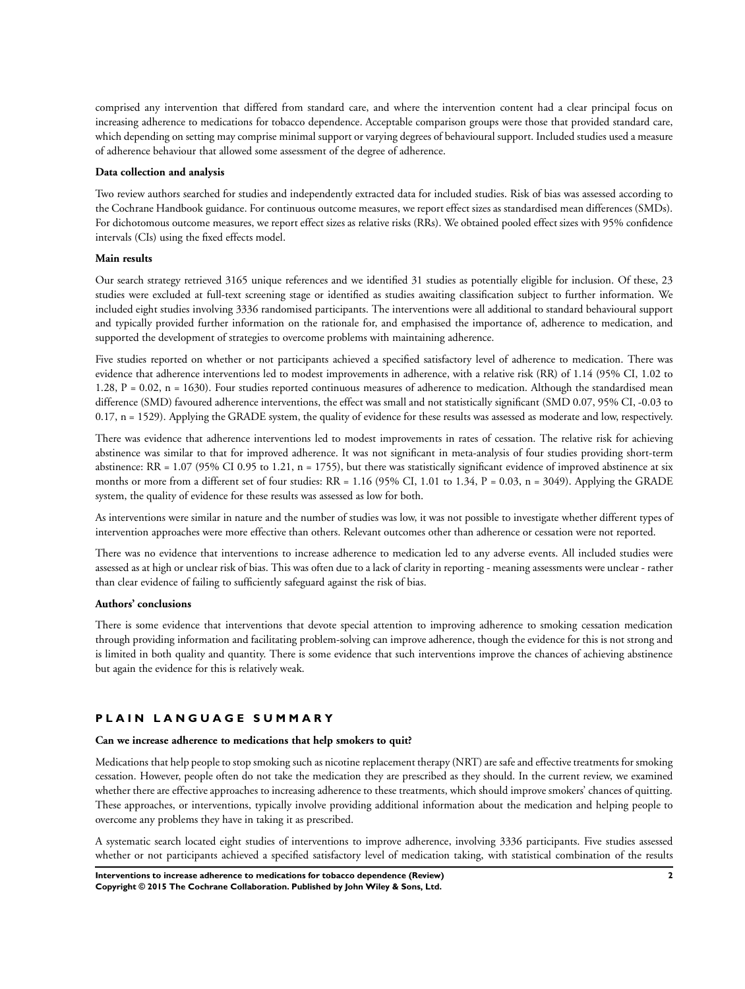comprised any intervention that differed from standard care, and where the intervention content had a clear principal focus on increasing adherence to medications for tobacco dependence. Acceptable comparison groups were those that provided standard care, which depending on setting may comprise minimal support or varying degrees of behavioural support. Included studies used a measure of adherence behaviour that allowed some assessment of the degree of adherence.

#### **Data collection and analysis**

Two review authors searched for studies and independently extracted data for included studies. Risk of bias was assessed according to the Cochrane Handbook guidance. For continuous outcome measures, we report effect sizes as standardised mean differences (SMDs). For dichotomous outcome measures, we report effect sizes as relative risks (RRs). We obtained pooled effect sizes with 95% confidence intervals (CIs) using the fixed effects model.

#### **Main results**

Our search strategy retrieved 3165 unique references and we identified 31 studies as potentially eligible for inclusion. Of these, 23 studies were excluded at full-text screening stage or identified as studies awaiting classification subject to further information. We included eight studies involving 3336 randomised participants. The interventions were all additional to standard behavioural support and typically provided further information on the rationale for, and emphasised the importance of, adherence to medication, and supported the development of strategies to overcome problems with maintaining adherence.

Five studies reported on whether or not participants achieved a specified satisfactory level of adherence to medication. There was evidence that adherence interventions led to modest improvements in adherence, with a relative risk (RR) of 1.14 (95% CI, 1.02 to 1.28, P = 0.02, n = 1630). Four studies reported continuous measures of adherence to medication. Although the standardised mean difference (SMD) favoured adherence interventions, the effect was small and not statistically significant (SMD 0.07, 95% CI, -0.03 to 0.17, n = 1529). Applying the GRADE system, the quality of evidence for these results was assessed as moderate and low, respectively.

There was evidence that adherence interventions led to modest improvements in rates of cessation. The relative risk for achieving abstinence was similar to that for improved adherence. It was not significant in meta-analysis of four studies providing short-term abstinence:  $RR = 1.07 (95\% CI 0.95 to 1.21, n = 1755)$ , but there was statistically significant evidence of improved abstinence at six months or more from a different set of four studies:  $RR = 1.16$  (95% CI, 1.01 to 1.34,  $P = 0.03$ ,  $n = 3049$ ). Applying the GRADE system, the quality of evidence for these results was assessed as low for both.

As interventions were similar in nature and the number of studies was low, it was not possible to investigate whether different types of intervention approaches were more effective than others. Relevant outcomes other than adherence or cessation were not reported.

There was no evidence that interventions to increase adherence to medication led to any adverse events. All included studies were assessed as at high or unclear risk of bias. This was often due to a lack of clarity in reporting - meaning assessments were unclear - rather than clear evidence of failing to sufficiently safeguard against the risk of bias.

#### **Authors' conclusions**

There is some evidence that interventions that devote special attention to improving adherence to smoking cessation medication through providing information and facilitating problem-solving can improve adherence, though the evidence for this is not strong and is limited in both quality and quantity. There is some evidence that such interventions improve the chances of achieving abstinence but again the evidence for this is relatively weak.

### **P L A I N L A N G U A G E S U M M A R Y**

#### **Can we increase adherence to medications that help smokers to quit?**

Medications that help people to stop smoking such as nicotine replacement therapy (NRT) are safe and effective treatments for smoking cessation. However, people often do not take the medication they are prescribed as they should. In the current review, we examined whether there are effective approaches to increasing adherence to these treatments, which should improve smokers' chances of quitting. These approaches, or interventions, typically involve providing additional information about the medication and helping people to overcome any problems they have in taking it as prescribed.

A systematic search located eight studies of interventions to improve adherence, involving 3336 participants. Five studies assessed whether or not participants achieved a specified satisfactory level of medication taking, with statistical combination of the results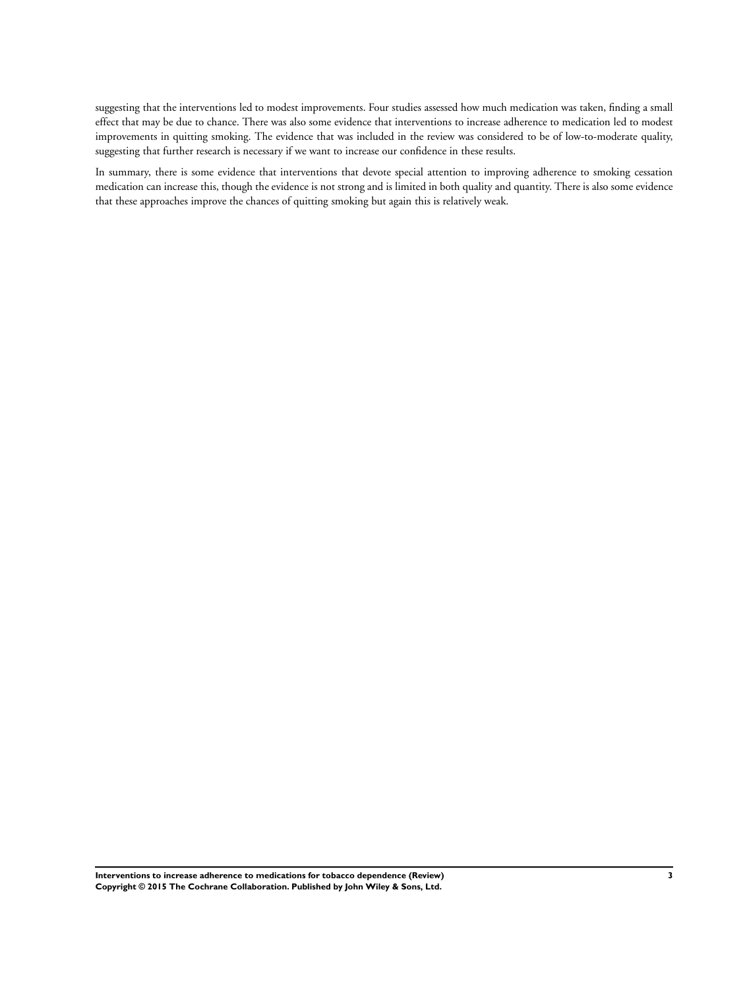suggesting that the interventions led to modest improvements. Four studies assessed how much medication was taken, finding a small effect that may be due to chance. There was also some evidence that interventions to increase adherence to medication led to modest improvements in quitting smoking. The evidence that was included in the review was considered to be of low-to-moderate quality, suggesting that further research is necessary if we want to increase our confidence in these results.

In summary, there is some evidence that interventions that devote special attention to improving adherence to smoking cessation medication can increase this, though the evidence is not strong and is limited in both quality and quantity. There is also some evidence that these approaches improve the chances of quitting smoking but again this is relatively weak.

**Interventions to increase adherence to medications for tobacco dependence (Review) 3 Copyright © 2015 The Cochrane Collaboration. Published by John Wiley & Sons, Ltd.**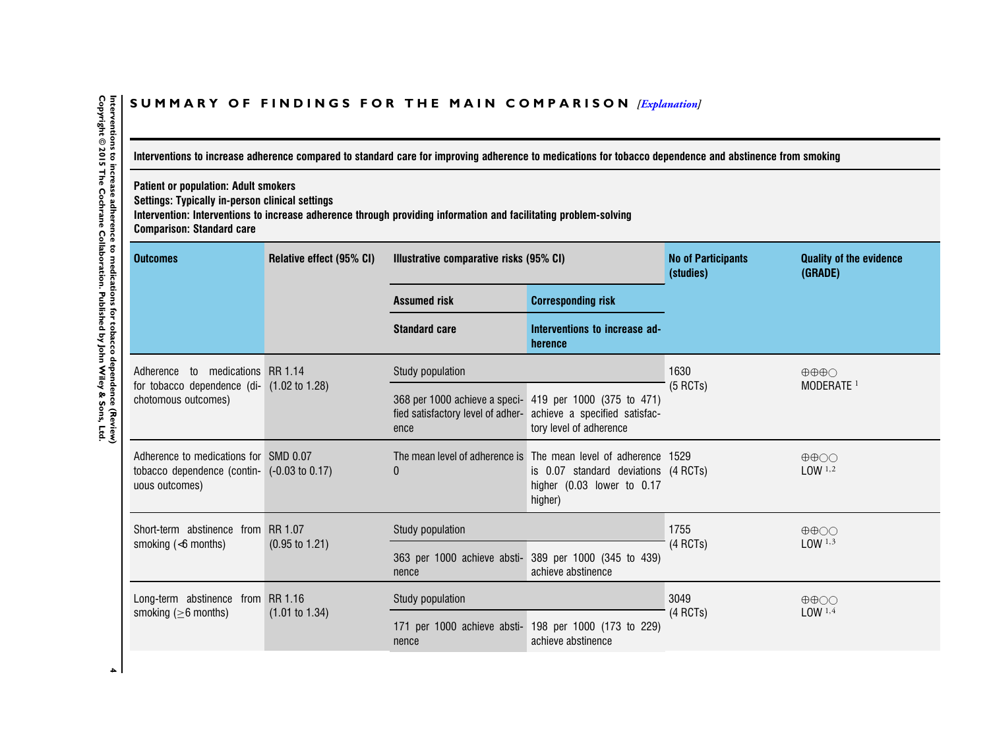# <span id="page-5-0"></span>SUMMARY OF FINDINGS FOR THE MAIN COMPARISON *[\[Explanation\]](http://www.thecochranelibrary.com/view/0/SummaryFindings.html)*

Interventions to increase adherence compared to standard care for improving adherence to medications for tobacco dependence and abstinence from smoking

**Patient or population: Adult smokers Settings: Typically in-person clinical settings** Intervention: Interventions to increase adherence through providing information and facilitating problem-solving **Comparison: Standard care**

| <b>Outcomes</b>                                                                                                     | Relative effect (95% CI)  | Illustrative comparative risks (95% CI) |                                                                                                                                                       | <b>No of Participants</b><br>(studies) | <b>Quality of the evidence</b><br>(GRADE)                 |
|---------------------------------------------------------------------------------------------------------------------|---------------------------|-----------------------------------------|-------------------------------------------------------------------------------------------------------------------------------------------------------|----------------------------------------|-----------------------------------------------------------|
|                                                                                                                     |                           | <b>Assumed risk</b>                     | <b>Corresponding risk</b>                                                                                                                             |                                        |                                                           |
|                                                                                                                     |                           | <b>Standard care</b>                    | Interventions to increase ad-<br>herence                                                                                                              |                                        |                                                           |
| Adherence to medications RR 1.14                                                                                    |                           | Study population                        |                                                                                                                                                       | 1630                                   | $\oplus \oplus \oplus \cap$                               |
| for tobacco dependence (di- (1.02 to 1.28)<br>chotomous outcomes)                                                   |                           | ence                                    | 368 per 1000 achieve a speci- 419 per 1000 (375 to 471)<br>fied satisfactory level of adher- achieve a specified satisfac-<br>tory level of adherence | $(5$ RCTs)                             | MODERATE <sup>1</sup>                                     |
| Adherence to medications for SMD 0.07<br>tobacco dependence (contin- $(-0.03 \text{ to } 0.17)$ )<br>uous outcomes) |                           | 0                                       | The mean level of adherence is The mean level of adherence<br>is 0.07 standard deviations (4 RCTs)<br>higher (0.03 lower to 0.17<br>higher)           | 1529                                   | $\oplus \oplus \bigcirc \bigcirc$<br>$LOW$ <sup>1,2</sup> |
| Short-term abstinence from RR 1.07                                                                                  |                           | Study population                        |                                                                                                                                                       | 1755                                   | $\oplus \oplus \bigcirc \bigcirc$                         |
| smoking ( $\triangleleft$ months)                                                                                   | $(0.95 \text{ to } 1.21)$ | nence                                   | 363 per 1000 achieve absti- 389 per 1000 (345 to 439)<br>achieve abstinence                                                                           | $(4$ RCTs)                             | LOW <sup>1,3</sup>                                        |
| Long-term abstinence                                                                                                | from RR $1.16$            | Study population                        |                                                                                                                                                       | 3049                                   | $\oplus \oplus \bigcirc \bigcirc$                         |
| smoking ( $\geq$ 6 months)                                                                                          | $(1.01 \text{ to } 1.34)$ | 171 per 1000 achieve absti-<br>nence    | 198 per 1000 (173 to 229)<br>achieve abstinence                                                                                                       | $(4$ RCTs)                             | $LOW$ <sup>1,4</sup>                                      |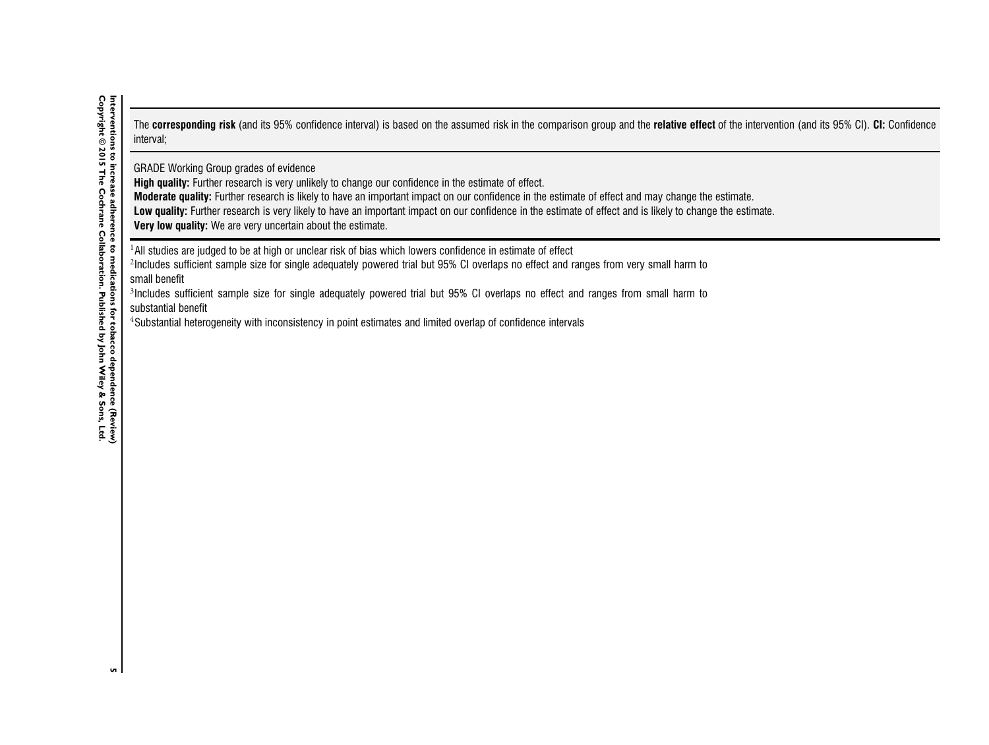The **corresponding risk** (and its 95% confidence interval) is based on the assumed risk in the comparison group and the **relative effect** of the intervention (and its 95% CI). **CI:** Confidence interval;

GRADE Working Group grades of evidence

**High quality:** Further research is very unlikely to change our confidence in the estimate of effect.

**Moderate quality:** Further research is likely to have an important impact on our confidence in the estimate of effect and may change the estimate.

Low quality: Further research is very likely to have an important impact on our confidence in the estimate of effect and is likely to change the estimate.

**Very low quality:** We are very uncertain about the estimate.

<sup>1</sup>All studies are judged to be at high or unclear risk of bias which lowers confidence in estimate of effect

<sup>2</sup>Includes sufficient sample size for single adequately powered trial but 95% CI overlaps no effect and ranges from very small harm to small benefit

<sup>3</sup>Includes sufficient sample size for single adequately powered trial but 95% CI overlaps no effect and ranges from small harm to substantial benefit

<sup>4</sup>Substantial heterogeneity with inconsistency in point estimates and limited overlap of confidence intervals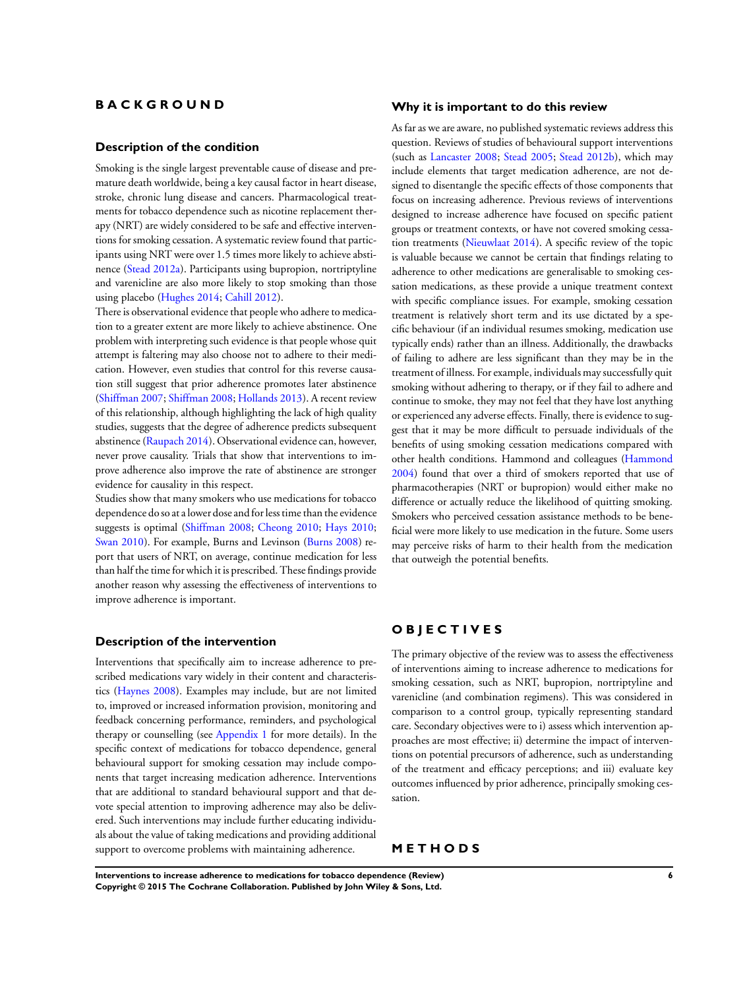# <span id="page-7-0"></span>**B A C K G R O U N D**

#### **Description of the condition**

Smoking is the single largest preventable cause of disease and premature death worldwide, being a key causal factor in heart disease, stroke, chronic lung disease and cancers. Pharmacological treatments for tobacco dependence such as nicotine replacement therapy (NRT) are widely considered to be safe and effective interventions for smoking cessation. A systematic review found that participants using NRT were over 1.5 times more likely to achieve abstinence ([Stead 2012a](#page-20-0)). Participants using bupropion, nortriptyline and varenicline are also more likely to stop smoking than those using placebo ([Hughes 2014;](#page-20-0) [Cahill 2012\)](#page-20-0).

There is observational evidence that people who adhere to medication to a greater extent are more likely to achieve abstinence. One problem with interpreting such evidence is that people whose quit attempt is faltering may also choose not to adhere to their medication. However, even studies that control for this reverse causation still suggest that prior adherence promotes later abstinence [\(Shiffman 2007;](#page-20-0) [Shiffman 2008](#page-20-0); [Hollands 2013\)](#page-20-0). A recent review of this relationship, although highlighting the lack of high quality studies, suggests that the degree of adherence predicts subsequent abstinence ([Raupach 2014\)](#page-20-0). Observational evidence can, however, never prove causality. Trials that show that interventions to improve adherence also improve the rate of abstinence are stronger evidence for causality in this respect.

Studies show that many smokers who use medications for tobacco dependence do so at a lower dose and for less time than the evidence suggests is optimal [\(Shiffman 2008](#page-20-0); [Cheong 2010;](#page-20-0) [Hays 2010;](#page-20-0) [Swan 2010](#page-20-0)). For example, Burns and Levinson ([Burns 2008\)](#page-20-0) report that users of NRT, on average, continue medication for less than half the time for which it is prescribed. These findings provide another reason why assessing the effectiveness of interventions to improve adherence is important.

#### **Description of the intervention**

Interventions that specifically aim to increase adherence to prescribed medications vary widely in their content and characteristics ([Haynes 2008\)](#page-20-0). Examples may include, but are not limited to, improved or increased information provision, monitoring and feedback concerning performance, reminders, and psychological therapy or counselling (see [Appendix 1](#page-49-0) for more details). In the specific context of medications for tobacco dependence, general behavioural support for smoking cessation may include components that target increasing medication adherence. Interventions that are additional to standard behavioural support and that devote special attention to improving adherence may also be delivered. Such interventions may include further educating individuals about the value of taking medications and providing additional support to overcome problems with maintaining adherence.

#### **Why it is important to do this review**

As far as we are aware, no published systematic reviews address this question. Reviews of studies of behavioural support interventions (such as [Lancaster 2008;](#page-20-0) [Stead 2005](#page-20-0); [Stead 2012b\)](#page-20-0), which may include elements that target medication adherence, are not designed to disentangle the specific effects of those components that focus on increasing adherence. Previous reviews of interventions designed to increase adherence have focused on specific patient groups or treatment contexts, or have not covered smoking cessation treatments [\(Nieuwlaat 2014](#page-20-0)). A specific review of the topic is valuable because we cannot be certain that findings relating to adherence to other medications are generalisable to smoking cessation medications, as these provide a unique treatment context with specific compliance issues. For example, smoking cessation treatment is relatively short term and its use dictated by a specific behaviour (if an individual resumes smoking, medication use typically ends) rather than an illness. Additionally, the drawbacks of failing to adhere are less significant than they may be in the treatment of illness. For example, individuals may successfully quit smoking without adhering to therapy, or if they fail to adhere and continue to smoke, they may not feel that they have lost anything or experienced any adverse effects. Finally, there is evidence to suggest that it may be more difficult to persuade individuals of the benefits of using smoking cessation medications compared with other health conditions. Hammond and colleagues ([Hammond](#page-20-0) [2004](#page-20-0)) found that over a third of smokers reported that use of pharmacotherapies (NRT or bupropion) would either make no difference or actually reduce the likelihood of quitting smoking. Smokers who perceived cessation assistance methods to be beneficial were more likely to use medication in the future. Some users may perceive risks of harm to their health from the medication that outweigh the potential benefits.

### **O B J E C T I V E S**

The primary objective of the review was to assess the effectiveness of interventions aiming to increase adherence to medications for smoking cessation, such as NRT, bupropion, nortriptyline and varenicline (and combination regimens). This was considered in comparison to a control group, typically representing standard care. Secondary objectives were to i) assess which intervention approaches are most effective; ii) determine the impact of interventions on potential precursors of adherence, such as understanding of the treatment and efficacy perceptions; and iii) evaluate key outcomes influenced by prior adherence, principally smoking cessation.

# **M E T H O D S**

**Interventions to increase adherence to medications for tobacco dependence (Review) 6 Copyright © 2015 The Cochrane Collaboration. Published by John Wiley & Sons, Ltd.**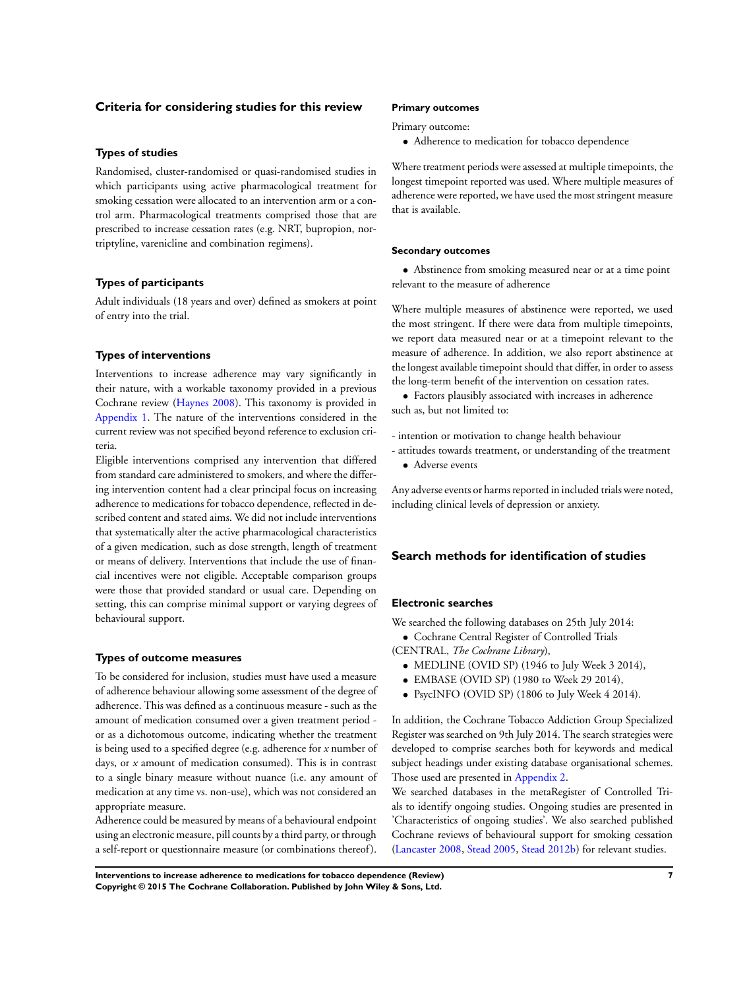### **Criteria for considering studies for this review**

# **Types of studies**

Randomised, cluster-randomised or quasi-randomised studies in which participants using active pharmacological treatment for smoking cessation were allocated to an intervention arm or a control arm. Pharmacological treatments comprised those that are prescribed to increase cessation rates (e.g. NRT, bupropion, nortriptyline, varenicline and combination regimens).

#### **Types of participants**

Adult individuals (18 years and over) defined as smokers at point of entry into the trial.

#### **Types of interventions**

Interventions to increase adherence may vary significantly in their nature, with a workable taxonomy provided in a previous Cochrane review ([Haynes 2008\)](#page-20-0). This taxonomy is provided in [Appendix 1.](#page-49-0) The nature of the interventions considered in the current review was not specified beyond reference to exclusion criteria.

Eligible interventions comprised any intervention that differed from standard care administered to smokers, and where the differing intervention content had a clear principal focus on increasing adherence to medications for tobacco dependence, reflected in described content and stated aims. We did not include interventions that systematically alter the active pharmacological characteristics of a given medication, such as dose strength, length of treatment or means of delivery. Interventions that include the use of financial incentives were not eligible. Acceptable comparison groups were those that provided standard or usual care. Depending on setting, this can comprise minimal support or varying degrees of behavioural support.

#### **Types of outcome measures**

To be considered for inclusion, studies must have used a measure of adherence behaviour allowing some assessment of the degree of adherence. This was defined as a continuous measure - such as the amount of medication consumed over a given treatment period or as a dichotomous outcome, indicating whether the treatment is being used to a specified degree (e.g. adherence for *x* number of days, or *x* amount of medication consumed). This is in contrast to a single binary measure without nuance (i.e. any amount of medication at any time vs. non-use), which was not considered an appropriate measure.

Adherence could be measured by means of a behavioural endpoint using an electronic measure, pill counts by a third party, or through a self-report or questionnaire measure (or combinations thereof).

#### **Primary outcomes**

Primary outcome:

• Adherence to medication for tobacco dependence

Where treatment periods were assessed at multiple timepoints, the longest timepoint reported was used. Where multiple measures of adherence were reported, we have used the most stringent measure that is available.

### **Secondary outcomes**

• Abstinence from smoking measured near or at a time point relevant to the measure of adherence

Where multiple measures of abstinence were reported, we used the most stringent. If there were data from multiple timepoints, we report data measured near or at a timepoint relevant to the measure of adherence. In addition, we also report abstinence at the longest available timepoint should that differ, in order to assess the long-term benefit of the intervention on cessation rates.

• Factors plausibly associated with increases in adherence such as, but not limited to:

- intention or motivation to change health behaviour
- attitudes towards treatment, or understanding of the treatment • Adverse events

Any adverse events or harms reported in included trials were noted, including clinical levels of depression or anxiety.

#### **Search methods for identification of studies**

#### **Electronic searches**

We searched the following databases on 25th July 2014:

- Cochrane Central Register of Controlled Trials
- (CENTRAL, *The Cochrane Library*),
	- MEDLINE (OVID SP) (1946 to July Week 3 2014),
	- EMBASE (OVID SP) (1980 to Week 29 2014),
	- PsycINFO (OVID SP) (1806 to July Week 4 2014).

In addition, the Cochrane Tobacco Addiction Group Specialized Register was searched on 9th July 2014. The search strategies were developed to comprise searches both for keywords and medical subject headings under existing database organisational schemes. Those used are presented in [Appendix 2](#page-50-0).

We searched databases in the metaRegister of Controlled Trials to identify ongoing studies. Ongoing studies are presented in 'Characteristics of ongoing studies'. We also searched published Cochrane reviews of behavioural support for smoking cessation [\(Lancaster 2008](#page-20-0), [Stead 2005,](#page-20-0) [Stead 2012b\)](#page-20-0) for relevant studies.

**Interventions to increase adherence to medications for tobacco dependence (Review) 7 Copyright © 2015 The Cochrane Collaboration. Published by John Wiley & Sons, Ltd.**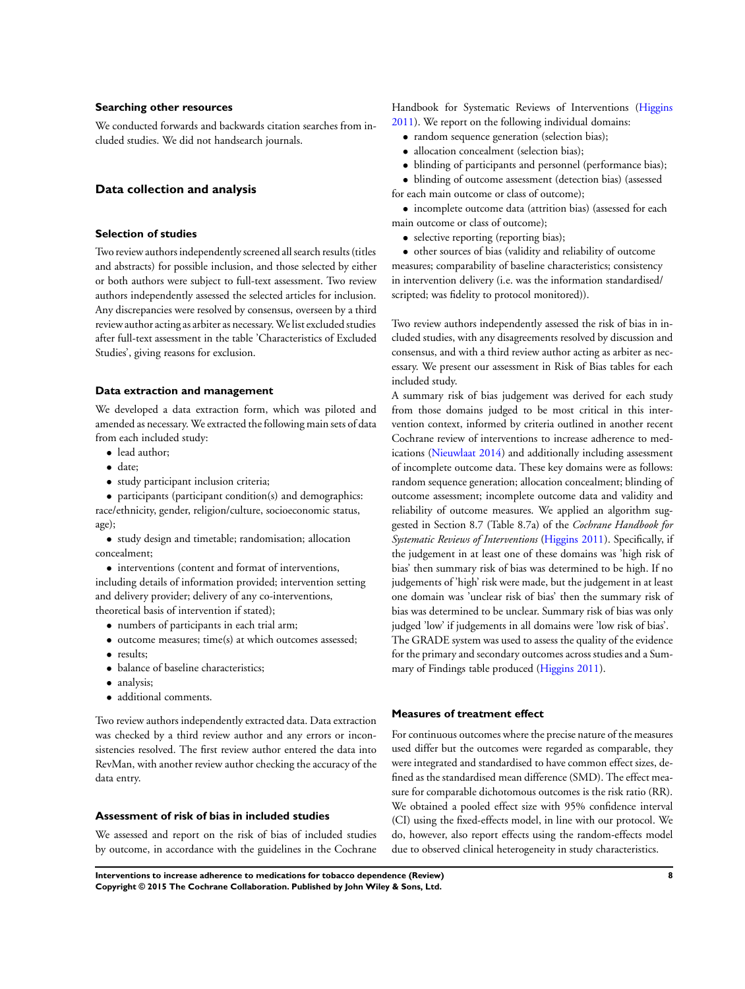#### **Searching other resources**

We conducted forwards and backwards citation searches from included studies. We did not handsearch journals.

### **Data collection and analysis**

#### **Selection of studies**

Two review authors independently screened all search results (titles and abstracts) for possible inclusion, and those selected by either or both authors were subject to full-text assessment. Two review authors independently assessed the selected articles for inclusion. Any discrepancies were resolved by consensus, overseen by a third review author acting as arbiter as necessary.We list excluded studies after full-text assessment in the table 'Characteristics of Excluded Studies', giving reasons for exclusion.

#### **Data extraction and management**

We developed a data extraction form, which was piloted and amended as necessary. We extracted the following main sets of data from each included study:

- lead author;
- date;
- study participant inclusion criteria;

• participants (participant condition(s) and demographics: race/ethnicity, gender, religion/culture, socioeconomic status, age);

• study design and timetable; randomisation; allocation concealment;

• interventions (content and format of interventions, including details of information provided; intervention setting and delivery provider; delivery of any co-interventions,

- theoretical basis of intervention if stated);
	- numbers of participants in each trial arm;
	- outcome measures; time(s) at which outcomes assessed;
	- results;
	- balance of baseline characteristics;
	- analysis;
	- additional comments.

Two review authors independently extracted data. Data extraction was checked by a third review author and any errors or inconsistencies resolved. The first review author entered the data into RevMan, with another review author checking the accuracy of the data entry.

### **Assessment of risk of bias in included studies**

We assessed and report on the risk of bias of included studies by outcome, in accordance with the guidelines in the Cochrane Handbook for Systematic Reviews of Interventions ([Higgins](#page-20-0) [2011](#page-20-0)). We report on the following individual domains:

- random sequence generation (selection bias);
- allocation concealment (selection bias);
- blinding of participants and personnel (performance bias);
- blinding of outcome assessment (detection bias) (assessed

for each main outcome or class of outcome);

• incomplete outcome data (attrition bias) (assessed for each main outcome or class of outcome);

• selective reporting (reporting bias);

• other sources of bias (validity and reliability of outcome measures; comparability of baseline characteristics; consistency in intervention delivery (i.e. was the information standardised/ scripted; was fidelity to protocol monitored)).

Two review authors independently assessed the risk of bias in included studies, with any disagreements resolved by discussion and consensus, and with a third review author acting as arbiter as necessary. We present our assessment in Risk of Bias tables for each included study.

A summary risk of bias judgement was derived for each study from those domains judged to be most critical in this intervention context, informed by criteria outlined in another recent Cochrane review of interventions to increase adherence to medications [\(Nieuwlaat 2014](#page-20-0)) and additionally including assessment of incomplete outcome data. These key domains were as follows: random sequence generation; allocation concealment; blinding of outcome assessment; incomplete outcome data and validity and reliability of outcome measures. We applied an algorithm suggested in Section 8.7 (Table 8.7a) of the *Cochrane Handbook for Systematic Reviews of Interventions* [\(Higgins 2011](#page-20-0)). Specifically, if the judgement in at least one of these domains was 'high risk of bias' then summary risk of bias was determined to be high. If no judgements of 'high' risk were made, but the judgement in at least one domain was 'unclear risk of bias' then the summary risk of bias was determined to be unclear. Summary risk of bias was only judged 'low' if judgements in all domains were 'low risk of bias'. The GRADE system was used to assess the quality of the evidence for the primary and secondary outcomes across studies and a Summary of Findings table produced ([Higgins 2011](#page-20-0)).

### **Measures of treatment effect**

For continuous outcomes where the precise nature of the measures used differ but the outcomes were regarded as comparable, they were integrated and standardised to have common effect sizes, defined as the standardised mean difference (SMD). The effect measure for comparable dichotomous outcomes is the risk ratio (RR). We obtained a pooled effect size with 95% confidence interval (CI) using the fixed-effects model, in line with our protocol. We do, however, also report effects using the random-effects model due to observed clinical heterogeneity in study characteristics.

**Interventions to increase adherence to medications for tobacco dependence (Review) 8 Copyright © 2015 The Cochrane Collaboration. Published by John Wiley & Sons, Ltd.**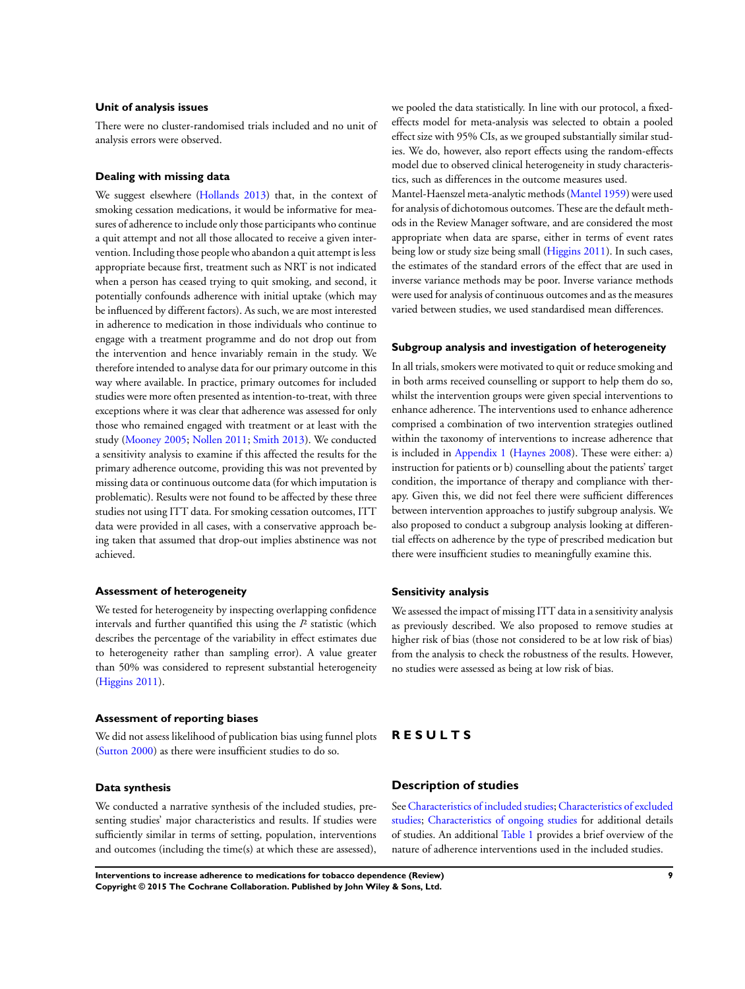#### **Unit of analysis issues**

There were no cluster-randomised trials included and no unit of analysis errors were observed.

#### **Dealing with missing data**

We suggest elsewhere [\(Hollands 2013](#page-20-0)) that, in the context of smoking cessation medications, it would be informative for measures of adherence to include only those participants who continue a quit attempt and not all those allocated to receive a given intervention. Including those people who abandon a quit attempt isless appropriate because first, treatment such as NRT is not indicated when a person has ceased trying to quit smoking, and second, it potentially confounds adherence with initial uptake (which may be influenced by different factors). As such, we are most interested in adherence to medication in those individuals who continue to engage with a treatment programme and do not drop out from the intervention and hence invariably remain in the study. We therefore intended to analyse data for our primary outcome in this way where available. In practice, primary outcomes for included studies were more often presented as intention-to-treat, with three exceptions where it was clear that adherence was assessed for only those who remained engaged with treatment or at least with the study [\(Mooney 2005](#page-20-0); [Nollen 2011](#page-20-0); [Smith 2013\)](#page-20-0). We conducted a sensitivity analysis to examine if this affected the results for the primary adherence outcome, providing this was not prevented by missing data or continuous outcome data (for which imputation is problematic). Results were not found to be affected by these three studies not using ITT data. For smoking cessation outcomes, ITT data were provided in all cases, with a conservative approach being taken that assumed that drop-out implies abstinence was not achieved.

#### **Assessment of heterogeneity**

We tested for heterogeneity by inspecting overlapping confidence intervals and further quantified this using the *I*² statistic (which describes the percentage of the variability in effect estimates due to heterogeneity rather than sampling error). A value greater than 50% was considered to represent substantial heterogeneity [\(Higgins 2011\)](#page-20-0).

#### **Assessment of reporting biases**

We did not assess likelihood of publication bias using funnel plots [\(Sutton 2000\)](#page-20-0) as there were insufficient studies to do so.

#### **Data synthesis**

We conducted a narrative synthesis of the included studies, presenting studies' major characteristics and results. If studies were sufficiently similar in terms of setting, population, interventions and outcomes (including the time(s) at which these are assessed),

we pooled the data statistically. In line with our protocol, a fixedeffects model for meta-analysis was selected to obtain a pooled effect size with 95% CIs, as we grouped substantially similar studies. We do, however, also report effects using the random-effects model due to observed clinical heterogeneity in study characteristics, such as differences in the outcome measures used.

Mantel-Haenszel meta-analytic methods ([Mantel 1959\)](#page-20-0) were used for analysis of dichotomous outcomes. These are the default methods in the Review Manager software, and are considered the most appropriate when data are sparse, either in terms of event rates being low or study size being small [\(Higgins 2011\)](#page-20-0). In such cases, the estimates of the standard errors of the effect that are used in inverse variance methods may be poor. Inverse variance methods were used for analysis of continuous outcomes and as the measures varied between studies, we used standardised mean differences.

### **Subgroup analysis and investigation of heterogeneity**

In all trials, smokers were motivated to quit or reduce smoking and in both arms received counselling or support to help them do so, whilst the intervention groups were given special interventions to enhance adherence. The interventions used to enhance adherence comprised a combination of two intervention strategies outlined within the taxonomy of interventions to increase adherence that is included in [Appendix 1](#page-49-0) [\(Haynes 2008](#page-20-0)). These were either: a) instruction for patients or b) counselling about the patients' target condition, the importance of therapy and compliance with therapy. Given this, we did not feel there were sufficient differences between intervention approaches to justify subgroup analysis. We also proposed to conduct a subgroup analysis looking at differential effects on adherence by the type of prescribed medication but there were insufficient studies to meaningfully examine this.

#### **Sensitivity analysis**

We assessed the impact of missing ITT data in a sensitivity analysis as previously described. We also proposed to remove studies at higher risk of bias (those not considered to be at low risk of bias) from the analysis to check the robustness of the results. However, no studies were assessed as being at low risk of bias.

# **R E S U L T S**

# **Description of studies**

See [Characteristics of included studies;](#page-24-0) [Characteristics of excluded](#page-40-0) [studies;](#page-40-0) [Characteristics of ongoing studies](#page-43-0) for additional details of studies. An additional [Table 1](#page-48-0) provides a brief overview of the nature of adherence interventions used in the included studies.

**Interventions to increase adherence to medications for tobacco dependence (Review) 9 Copyright © 2015 The Cochrane Collaboration. Published by John Wiley & Sons, Ltd.**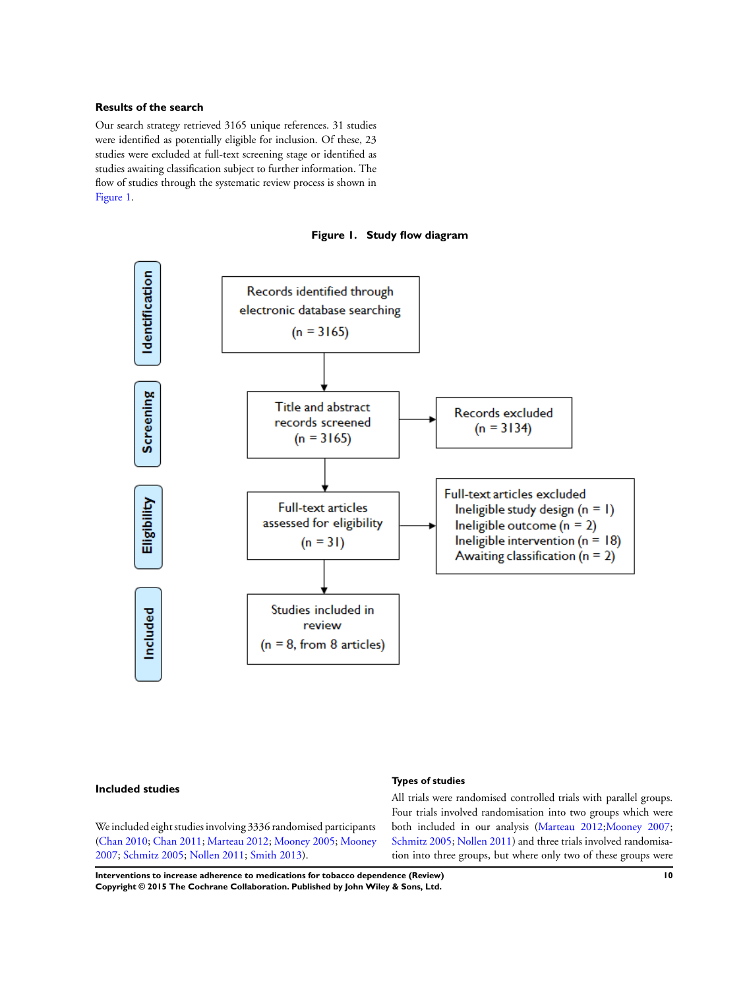### **Results of the search**

Our search strategy retrieved 3165 unique references. 31 studies were identified as potentially eligible for inclusion. Of these, 23 studies were excluded at full-text screening stage or identified as studies awaiting classification subject to further information. The flow of studies through the systematic review process is shown in Figure 1.

**Figure 1. Study flow diagram**



### **Included studies**

# **Types of studies**

We included eight studies involving 3336 randomised participants [\(Chan 2010](#page-20-0); [Chan 2011;](#page-20-0) [Marteau 2012](#page-20-0); [Mooney 2005](#page-20-0); [Mooney](#page-20-0) [2007](#page-20-0); [Schmitz 2005](#page-20-0); [Nollen 2011;](#page-20-0) [Smith 2013\)](#page-20-0).

All trials were randomised controlled trials with parallel groups. Four trials involved randomisation into two groups which were both included in our analysis [\(Marteau 2012](#page-20-0);[Mooney 2007;](#page-20-0) [Schmitz 2005](#page-20-0); [Nollen 2011\)](#page-20-0) and three trials involved randomisation into three groups, but where only two of these groups were

**Interventions to increase adherence to medications for tobacco dependence (Review) 10 Copyright © 2015 The Cochrane Collaboration. Published by John Wiley & Sons, Ltd.**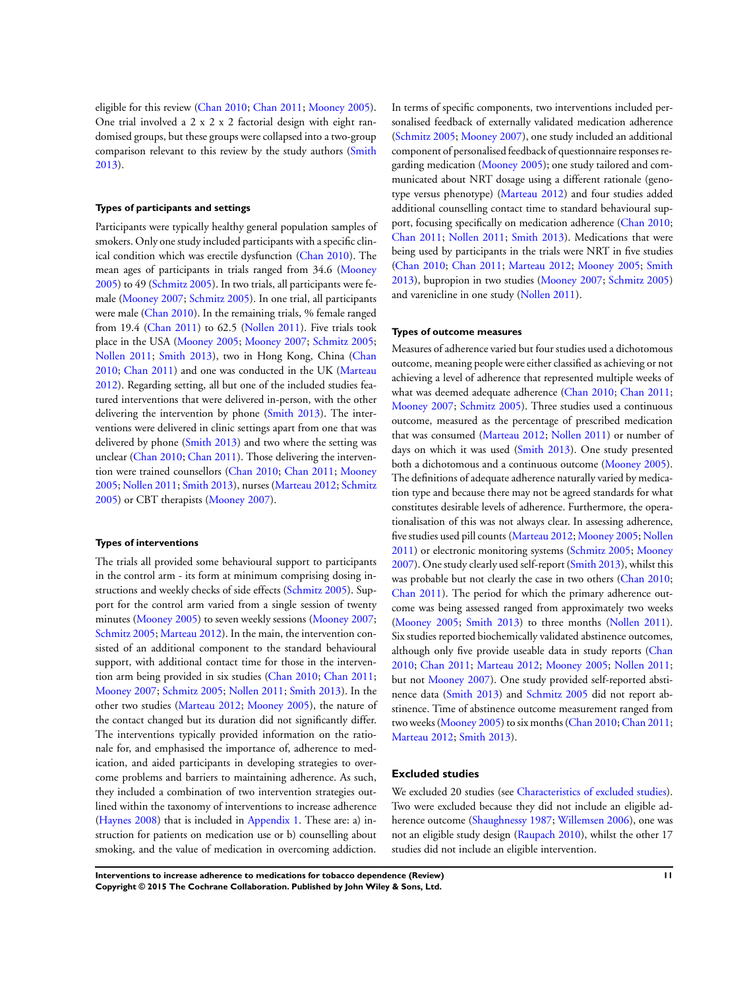eligible for this review [\(Chan 2010;](#page-20-0) [Chan 2011](#page-20-0); [Mooney 2005](#page-20-0)). One trial involved a 2 x 2 x 2 factorial design with eight randomised groups, but these groups were collapsed into a two-group comparison relevant to this review by the study authors [\(Smith](#page-20-0) [2013](#page-20-0)).

#### **Types of participants and settings**

Participants were typically healthy general population samples of smokers. Only one study included participants with a specific clinical condition which was erectile dysfunction ([Chan 2010](#page-20-0)). The mean ages of participants in trials ranged from 34.6 [\(Mooney](#page-20-0) [2005](#page-20-0)) to 49 ([Schmitz 2005\)](#page-20-0). In two trials, all participants were female ([Mooney 2007;](#page-20-0) [Schmitz 2005\)](#page-20-0). In one trial, all participants were male ([Chan 2010\)](#page-20-0). In the remaining trials, % female ranged from 19.4 ([Chan 2011\)](#page-20-0) to 62.5 [\(Nollen 2011](#page-20-0)). Five trials took place in the USA ([Mooney 2005](#page-20-0); [Mooney 2007](#page-20-0); [Schmitz 2005;](#page-20-0) [Nollen 2011;](#page-20-0) [Smith 2013\)](#page-20-0), two in Hong Kong, China ([Chan](#page-20-0) [2010](#page-20-0); [Chan 2011](#page-20-0)) and one was conducted in the UK ([Marteau](#page-20-0) [2012](#page-20-0)). Regarding setting, all but one of the included studies featured interventions that were delivered in-person, with the other delivering the intervention by phone ([Smith 2013](#page-20-0)). The interventions were delivered in clinic settings apart from one that was delivered by phone [\(Smith 2013\)](#page-20-0) and two where the setting was unclear ([Chan 2010;](#page-20-0) [Chan 2011\)](#page-20-0). Those delivering the intervention were trained counsellors ([Chan 2010;](#page-20-0) [Chan 2011](#page-20-0); [Mooney](#page-20-0) [2005](#page-20-0); [Nollen 2011;](#page-20-0) [Smith 2013\)](#page-20-0), nurses ([Marteau 2012](#page-20-0); [Schmitz](#page-20-0) [2005](#page-20-0)) or CBT therapists ([Mooney 2007](#page-20-0)).

#### **Types of interventions**

The trials all provided some behavioural support to participants in the control arm - its form at minimum comprising dosing instructions and weekly checks of side effects [\(Schmitz 2005\)](#page-20-0). Support for the control arm varied from a single session of twenty minutes [\(Mooney 2005](#page-20-0)) to seven weekly sessions ([Mooney 2007;](#page-20-0) [Schmitz 2005](#page-20-0); [Marteau 2012](#page-20-0)). In the main, the intervention consisted of an additional component to the standard behavioural support, with additional contact time for those in the intervention arm being provided in six studies [\(Chan 2010](#page-20-0); [Chan 2011;](#page-20-0) [Mooney 2007](#page-20-0); [Schmitz 2005](#page-20-0); [Nollen 2011](#page-20-0); [Smith 2013\)](#page-20-0). In the other two studies ([Marteau 2012;](#page-20-0) [Mooney 2005\)](#page-20-0), the nature of the contact changed but its duration did not significantly differ. The interventions typically provided information on the rationale for, and emphasised the importance of, adherence to medication, and aided participants in developing strategies to overcome problems and barriers to maintaining adherence. As such, they included a combination of two intervention strategies outlined within the taxonomy of interventions to increase adherence [\(Haynes 2008\)](#page-20-0) that is included in [Appendix 1.](#page-49-0) These are: a) instruction for patients on medication use or b) counselling about smoking, and the value of medication in overcoming addiction.

In terms of specific components, two interventions included personalised feedback of externally validated medication adherence [\(Schmitz 2005](#page-20-0); [Mooney 2007\)](#page-20-0), one study included an additional component of personalised feedback of questionnaire responses regarding medication [\(Mooney 2005](#page-20-0)); one study tailored and communicated about NRT dosage using a different rationale (genotype versus phenotype) [\(Marteau 2012\)](#page-20-0) and four studies added additional counselling contact time to standard behavioural support, focusing specifically on medication adherence [\(Chan 2010;](#page-20-0) [Chan 2011;](#page-20-0) [Nollen 2011;](#page-20-0) [Smith 2013](#page-20-0)). Medications that were being used by participants in the trials were NRT in five studies [\(Chan 2010](#page-20-0); [Chan 2011;](#page-20-0) [Marteau 2012;](#page-20-0) [Mooney 2005](#page-20-0); [Smith](#page-20-0) [2013](#page-20-0)), bupropion in two studies [\(Mooney 2007;](#page-20-0) [Schmitz 2005](#page-20-0)) and varenicline in one study [\(Nollen 2011](#page-20-0)).

#### **Types of outcome measures**

Measures of adherence varied but four studies used a dichotomous outcome, meaning people were either classified as achieving or not achieving a level of adherence that represented multiple weeks of what was deemed adequate adherence [\(Chan 2010](#page-20-0); [Chan 2011;](#page-20-0) [Mooney 2007;](#page-20-0) [Schmitz 2005\)](#page-20-0). Three studies used a continuous outcome, measured as the percentage of prescribed medication that was consumed ([Marteau 2012;](#page-20-0) [Nollen 2011](#page-20-0)) or number of days on which it was used ([Smith 2013](#page-20-0)). One study presented both a dichotomous and a continuous outcome ([Mooney 2005](#page-20-0)). The definitions of adequate adherence naturally varied by medication type and because there may not be agreed standards for what constitutes desirable levels of adherence. Furthermore, the operationalisation of this was not always clear. In assessing adherence, five studies used pill counts [\(Marteau 2012](#page-20-0); [Mooney 2005](#page-20-0); [Nollen](#page-20-0) [2011](#page-20-0)) or electronic monitoring systems ([Schmitz 2005](#page-20-0); [Mooney](#page-20-0) [2007](#page-20-0)). One study clearly used self-report ([Smith 2013\)](#page-20-0), whilst this was probable but not clearly the case in two others [\(Chan 2010;](#page-20-0) [Chan 2011](#page-20-0)). The period for which the primary adherence outcome was being assessed ranged from approximately two weeks [\(Mooney 2005;](#page-20-0) [Smith 2013\)](#page-20-0) to three months [\(Nollen 2011](#page-20-0)). Six studies reported biochemically validated abstinence outcomes, although only five provide useable data in study reports ([Chan](#page-20-0) [2010](#page-20-0); [Chan 2011](#page-20-0); [Marteau 2012](#page-20-0); [Mooney 2005](#page-20-0); [Nollen 2011;](#page-20-0) but not [Mooney 2007](#page-20-0)). One study provided self-reported abstinence data ([Smith 2013](#page-20-0)) and [Schmitz 2005](#page-20-0) did not report abstinence. Time of abstinence outcome measurement ranged from two weeks [\(Mooney 2005\)](#page-20-0) to six months (Chan 2010; Chan 2011; [Marteau 2012;](#page-20-0) [Smith 2013\)](#page-20-0).

#### **Excluded studies**

We excluded 20 studies (see [Characteristics of excluded studies](#page-40-0)). Two were excluded because they did not include an eligible ad-herence outcome ([Shaughnessy 1987;](#page-20-0) [Willemsen 2006](#page-20-0)), one was not an eligible study design ([Raupach 2010\)](#page-20-0), whilst the other 17 studies did not include an eligible intervention.

**Interventions to increase adherence to medications for tobacco dependence (Review) 11 Copyright © 2015 The Cochrane Collaboration. Published by John Wiley & Sons, Ltd.**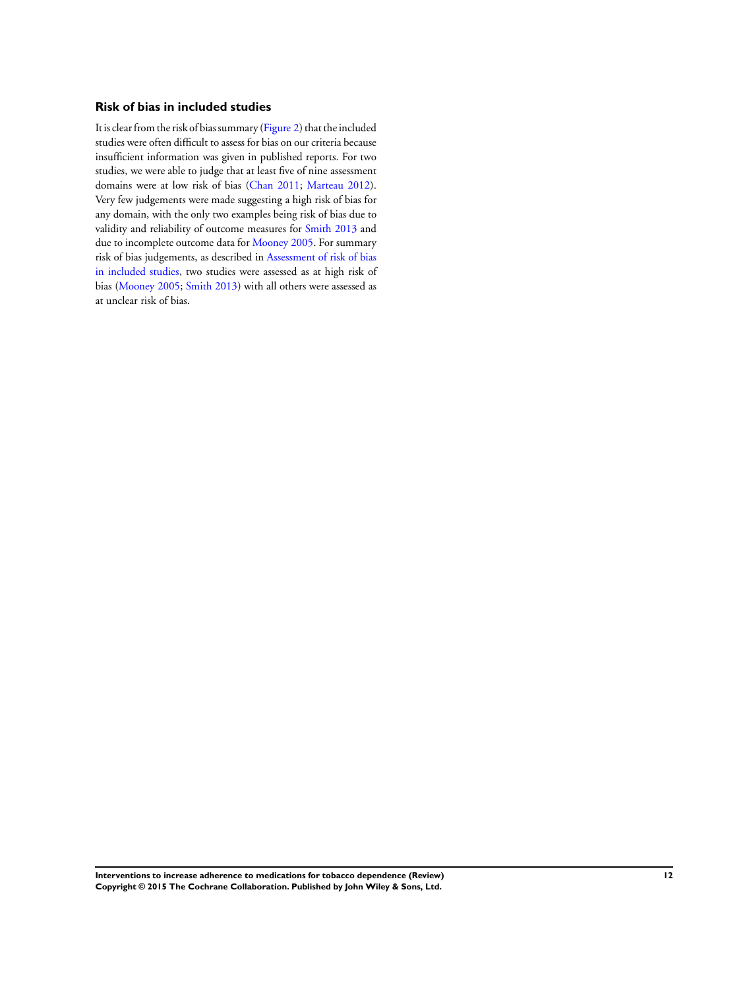# **Risk of bias in included studies**

It is clear from the risk of bias summary ([Figure 2](#page-14-0)) that the included studies were often difficult to assess for bias on our criteria because insufficient information was given in published reports. For two studies, we were able to judge that at least five of nine assessment domains were at low risk of bias [\(Chan 2011;](#page-20-0) [Marteau 2012](#page-20-0)). Very few judgements were made suggesting a high risk of bias for any domain, with the only two examples being risk of bias due to validity and reliability of outcome measures for [Smith 2013](#page-20-0) and due to incomplete outcome data for [Mooney 2005.](#page-20-0) For summary risk of bias judgements, as described in [Assessment of risk of bias](#page-7-0) [in included studies](#page-7-0), two studies were assessed as at high risk of bias ([Mooney 2005](#page-20-0); [Smith 2013\)](#page-20-0) with all others were assessed as at unclear risk of bias.

**Interventions to increase adherence to medications for tobacco dependence (Review) 12 Copyright © 2015 The Cochrane Collaboration. Published by John Wiley & Sons, Ltd.**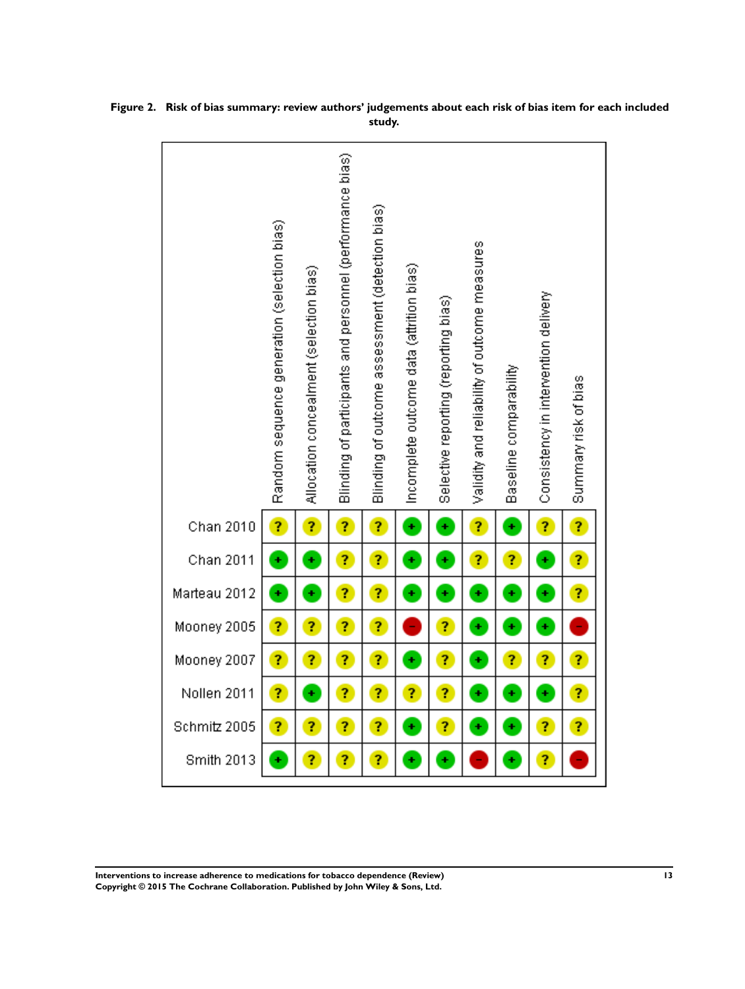

<span id="page-14-0"></span>**Figure 2. Risk of bias summary: review authors' judgements about each risk of bias item for each included study.**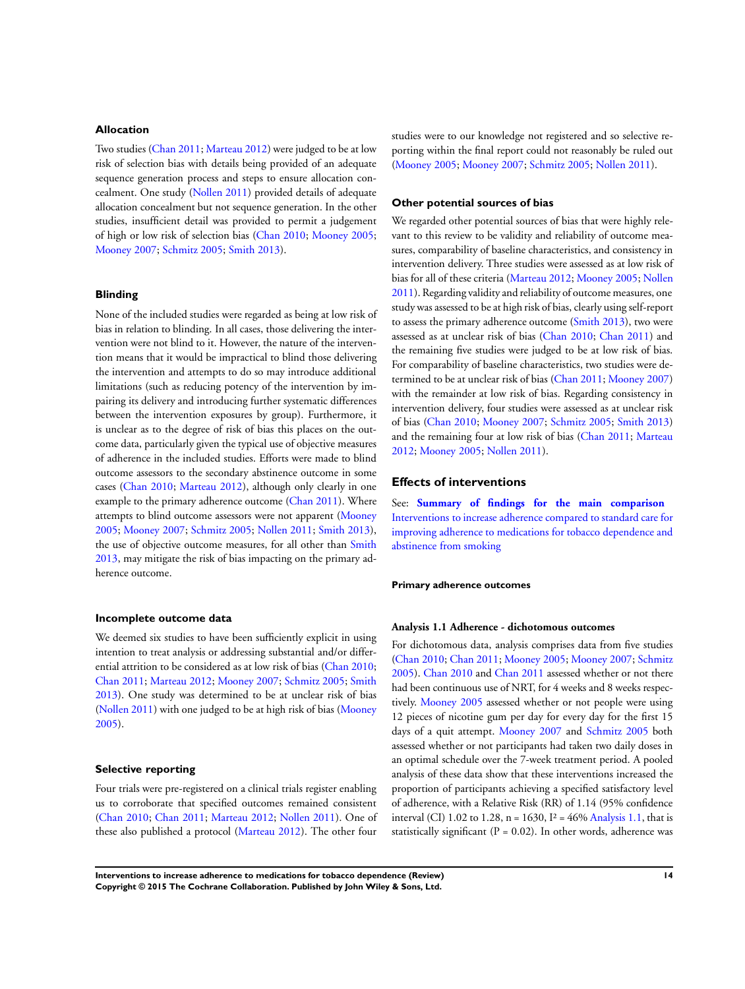### **Allocation**

Two studies [\(Chan 2011;](#page-20-0) [Marteau 2012\)](#page-20-0) were judged to be at low risk of selection bias with details being provided of an adequate sequence generation process and steps to ensure allocation concealment. One study ([Nollen 2011](#page-20-0)) provided details of adequate allocation concealment but not sequence generation. In the other studies, insufficient detail was provided to permit a judgement of high or low risk of selection bias ([Chan 2010;](#page-20-0) [Mooney 2005;](#page-20-0) [Mooney 2007](#page-20-0); [Schmitz 2005](#page-20-0); [Smith 2013](#page-20-0)).

#### **Blinding**

None of the included studies were regarded as being at low risk of bias in relation to blinding. In all cases, those delivering the intervention were not blind to it. However, the nature of the intervention means that it would be impractical to blind those delivering the intervention and attempts to do so may introduce additional limitations (such as reducing potency of the intervention by impairing its delivery and introducing further systematic differences between the intervention exposures by group). Furthermore, it is unclear as to the degree of risk of bias this places on the outcome data, particularly given the typical use of objective measures of adherence in the included studies. Efforts were made to blind outcome assessors to the secondary abstinence outcome in some cases ([Chan 2010;](#page-20-0) [Marteau 2012\)](#page-20-0), although only clearly in one example to the primary adherence outcome [\(Chan 2011\)](#page-20-0). Where attempts to blind outcome assessors were not apparent [\(Mooney](#page-20-0) [2005](#page-20-0); [Mooney 2007](#page-20-0); [Schmitz 2005](#page-20-0); [Nollen 2011](#page-20-0); [Smith 2013](#page-20-0)), the use of objective outcome measures, for all other than [Smith](#page-20-0) [2013](#page-20-0), may mitigate the risk of bias impacting on the primary adherence outcome.

### **Incomplete outcome data**

We deemed six studies to have been sufficiently explicit in using intention to treat analysis or addressing substantial and/or differential attrition to be considered as at low risk of bias ([Chan 2010;](#page-20-0) [Chan 2011;](#page-20-0) [Marteau 2012;](#page-20-0) [Mooney 2007](#page-20-0); [Schmitz 2005;](#page-20-0) [Smith](#page-20-0) [2013](#page-20-0)). One study was determined to be at unclear risk of bias [\(Nollen 2011\)](#page-20-0) with one judged to be at high risk of bias [\(Mooney](#page-20-0) [2005](#page-20-0)).

#### **Selective reporting**

Four trials were pre-registered on a clinical trials register enabling us to corroborate that specified outcomes remained consistent [\(Chan 2010](#page-20-0); [Chan 2011;](#page-20-0) [Marteau 2012;](#page-20-0) [Nollen 2011](#page-20-0)). One of these also published a protocol [\(Marteau 2012\)](#page-20-0). The other four

studies were to our knowledge not registered and so selective reporting within the final report could not reasonably be ruled out [\(Mooney 2005](#page-20-0); [Mooney 2007](#page-20-0); [Schmitz 2005;](#page-20-0) [Nollen 2011\)](#page-20-0).

#### **Other potential sources of bias**

We regarded other potential sources of bias that were highly relevant to this review to be validity and reliability of outcome measures, comparability of baseline characteristics, and consistency in intervention delivery. Three studies were assessed as at low risk of bias for all of these criteria ([Marteau 2012;](#page-20-0) [Mooney 2005](#page-20-0); [Nollen](#page-20-0) [2011](#page-20-0)). Regarding validity and reliability of outcome measures, one study was assessed to be at high risk of bias, clearly using self-report to assess the primary adherence outcome ([Smith 2013\)](#page-20-0), two were assessed as at unclear risk of bias [\(Chan 2010](#page-20-0); [Chan 2011](#page-20-0)) and the remaining five studies were judged to be at low risk of bias. For comparability of baseline characteristics, two studies were determined to be at unclear risk of bias [\(Chan 2011](#page-20-0); [Mooney 2007](#page-20-0)) with the remainder at low risk of bias. Regarding consistency in intervention delivery, four studies were assessed as at unclear risk of bias ([Chan 2010](#page-20-0); [Mooney 2007](#page-20-0); [Schmitz 2005](#page-20-0); [Smith 2013](#page-20-0)) and the remaining four at low risk of bias [\(Chan 2011](#page-20-0); [Marteau](#page-20-0) [2012](#page-20-0); [Mooney 2005;](#page-20-0) [Nollen 2011\)](#page-20-0).

### **Effects of interventions**

See: **[Summary of findings for the main comparison](#page-5-0)** [Interventions to increase adherence compared to standard care for](#page-5-0) [improving adherence to medications for tobacco dependence and](#page-5-0) [abstinence from smoking](#page-5-0)

#### **Primary adherence outcomes**

#### **Analysis 1.1 Adherence - dichotomous outcomes**

For dichotomous data, analysis comprises data from five studies [\(Chan 2010](#page-20-0); [Chan 2011](#page-20-0); [Mooney 2005](#page-20-0); [Mooney 2007;](#page-20-0) [Schmitz](#page-20-0) [2005](#page-20-0)). [Chan 2010](#page-20-0) and [Chan 2011](#page-20-0) assessed whether or not there had been continuous use of NRT, for 4 weeks and 8 weeks respectively. [Mooney 2005](#page-20-0) assessed whether or not people were using 12 pieces of nicotine gum per day for every day for the first 15 days of a quit attempt. [Mooney 2007](#page-20-0) and [Schmitz 2005](#page-20-0) both assessed whether or not participants had taken two daily doses in an optimal schedule over the 7-week treatment period. A pooled analysis of these data show that these interventions increased the proportion of participants achieving a specified satisfactory level of adherence, with a Relative Risk (RR) of 1.14 (95% confidence interval (CI) 1.02 to 1.28,  $n = 1630$ ,  $I^2 = 46\%$  [Analysis 1.1](#page-45-0), that is statistically significant ( $P = 0.02$ ). In other words, adherence was

**Interventions to increase adherence to medications for tobacco dependence (Review) 14 Copyright © 2015 The Cochrane Collaboration. Published by John Wiley & Sons, Ltd.**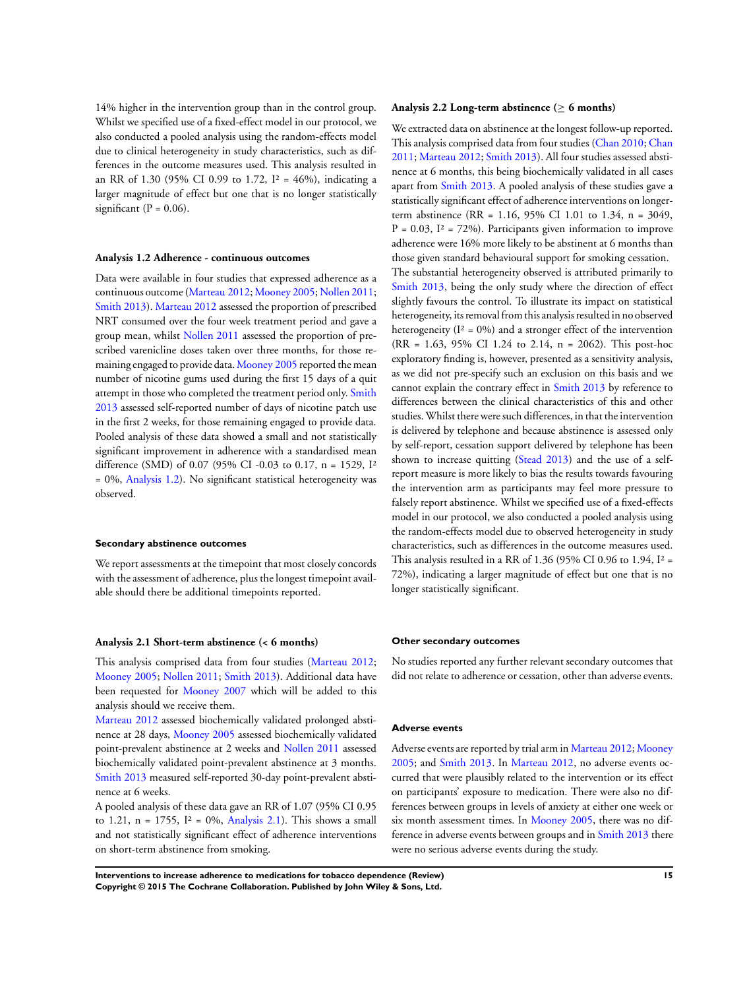14% higher in the intervention group than in the control group. Whilst we specified use of a fixed-effect model in our protocol, we also conducted a pooled analysis using the random-effects model due to clinical heterogeneity in study characteristics, such as differences in the outcome measures used. This analysis resulted in an RR of 1.30 (95% CI 0.99 to 1.72,  $I^2 = 46\%$ ), indicating a larger magnitude of effect but one that is no longer statistically significant ( $P = 0.06$ ).

#### **Analysis 1.2 Adherence - continuous outcomes**

Data were available in four studies that expressed adherence as a continuous outcome ([Marteau 2012](#page-20-0); [Mooney 2005](#page-20-0); [Nollen 2011;](#page-20-0) [Smith 2013](#page-20-0)). [Marteau 2012](#page-20-0) assessed the proportion of prescribed NRT consumed over the four week treatment period and gave a group mean, whilst [Nollen 2011](#page-20-0) assessed the proportion of prescribed varenicline doses taken over three months, for those re-maining engaged to provide data. [Mooney 2005](#page-20-0) reported the mean number of nicotine gums used during the first 15 days of a quit attempt in those who completed the treatment period only. [Smith](#page-20-0) [2013](#page-20-0) assessed self-reported number of days of nicotine patch use in the first 2 weeks, for those remaining engaged to provide data. Pooled analysis of these data showed a small and not statistically significant improvement in adherence with a standardised mean difference (SMD) of 0.07 (95% CI -0.03 to 0.17, n = 1529, I² = 0%, [Analysis 1.2](#page-46-0)). No significant statistical heterogeneity was observed.

#### **Secondary abstinence outcomes**

We report assessments at the timepoint that most closely concords with the assessment of adherence, plus the longest timepoint available should there be additional timepoints reported.

#### **Analysis 2.1 Short-term abstinence (< 6 months)**

This analysis comprised data from four studies ([Marteau 2012;](#page-20-0) [Mooney 2005;](#page-20-0) [Nollen 2011;](#page-20-0) [Smith 2013](#page-20-0)). Additional data have been requested for [Mooney 2007](#page-20-0) which will be added to this analysis should we receive them.

[Marteau 2012](#page-20-0) assessed biochemically validated prolonged abstinence at 28 days, [Mooney 2005](#page-20-0) assessed biochemically validated point-prevalent abstinence at 2 weeks and [Nollen 2011](#page-20-0) assessed biochemically validated point-prevalent abstinence at 3 months. [Smith 2013](#page-20-0) measured self-reported 30-day point-prevalent abstinence at 6 weeks.

A pooled analysis of these data gave an RR of 1.07 (95% CI 0.95 to 1.21,  $n = 1755$ ,  $I^2 = 0\%$ , [Analysis 2.1\)](#page-47-0). This shows a small and not statistically significant effect of adherence interventions on short-term abstinence from smoking.

#### **Analysis 2.2 Long-term abstinence (**≥ **6 months)**

We extracted data on abstinence at the longest follow-up reported. This analysis comprised data from four studies [\(Chan 2010;](#page-20-0) [Chan](#page-20-0) [2011](#page-20-0); [Marteau 2012;](#page-20-0) [Smith 2013](#page-20-0)). All four studies assessed abstinence at 6 months, this being biochemically validated in all cases apart from [Smith 2013](#page-20-0). A pooled analysis of these studies gave a statistically significant effect of adherence interventions on longerterm abstinence (RR = 1.16, 95% CI 1.01 to 1.34, n = 3049,  $P = 0.03$ ,  $I^2 = 72\%)$ . Participants given information to improve adherence were 16% more likely to be abstinent at 6 months than those given standard behavioural support for smoking cessation. The substantial heterogeneity observed is attributed primarily to [Smith 2013](#page-20-0), being the only study where the direction of effect slightly favours the control. To illustrate its impact on statistical heterogeneity, its removal from this analysis resulted in no observed heterogeneity  $(I^2 = 0\%)$  and a stronger effect of the intervention (RR = 1.63, 95% CI 1.24 to 2.14, n = 2062). This post-hoc exploratory finding is, however, presented as a sensitivity analysis, as we did not pre-specify such an exclusion on this basis and we cannot explain the contrary effect in [Smith 2013](#page-20-0) by reference to differences between the clinical characteristics of this and other studies. Whilst there were such differences, in that the intervention is delivered by telephone and because abstinence is assessed only by self-report, cessation support delivered by telephone has been shown to increase quitting ([Stead 2013\)](#page-20-0) and the use of a selfreport measure is more likely to bias the results towards favouring the intervention arm as participants may feel more pressure to falsely report abstinence. Whilst we specified use of a fixed-effects model in our protocol, we also conducted a pooled analysis using the random-effects model due to observed heterogeneity in study characteristics, such as differences in the outcome measures used. This analysis resulted in a RR of 1.36 (95% CI 0.96 to 1.94,  $I^2$  = 72%), indicating a larger magnitude of effect but one that is no longer statistically significant.

#### **Other secondary outcomes**

No studies reported any further relevant secondary outcomes that did not relate to adherence or cessation, other than adverse events.

#### **Adverse events**

Adverse events are reported by trial arm in [Marteau 2012](#page-20-0); [Mooney](#page-20-0) [2005](#page-20-0); and [Smith 2013](#page-20-0). In [Marteau 2012,](#page-20-0) no adverse events occurred that were plausibly related to the intervention or its effect on participants' exposure to medication. There were also no differences between groups in levels of anxiety at either one week or six month assessment times. In [Mooney 2005](#page-20-0), there was no difference in adverse events between groups and in [Smith 2013](#page-20-0) there were no serious adverse events during the study.

**Interventions to increase adherence to medications for tobacco dependence (Review) 15 Copyright © 2015 The Cochrane Collaboration. Published by John Wiley & Sons, Ltd.**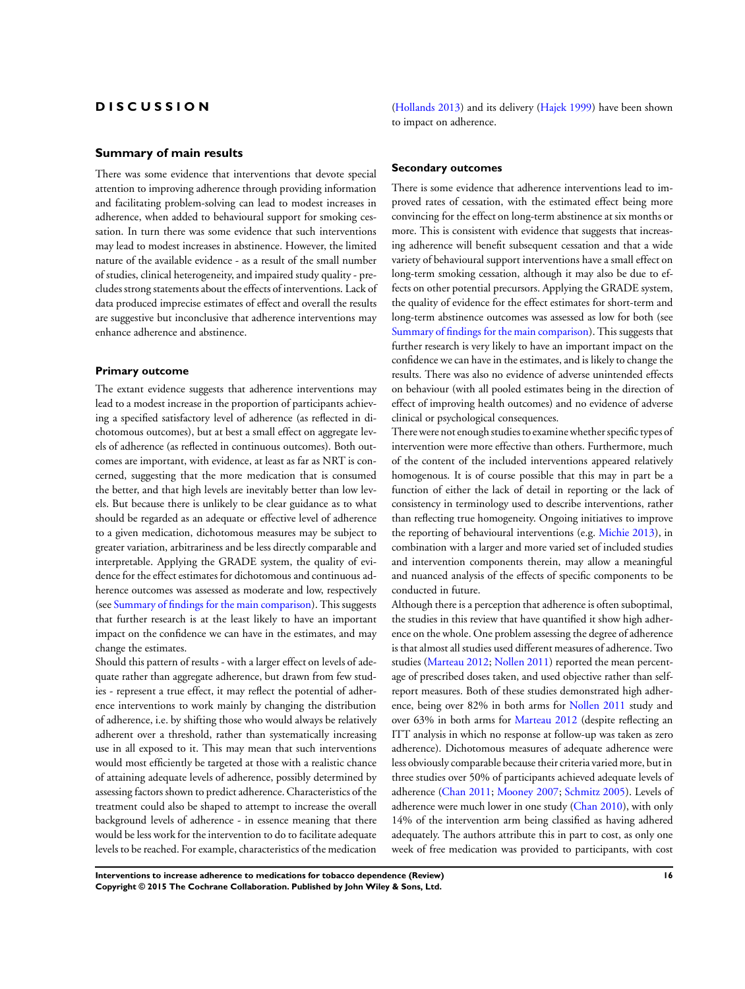# **D I S C U S S I O N**

#### **Summary of main results**

There was some evidence that interventions that devote special attention to improving adherence through providing information and facilitating problem-solving can lead to modest increases in adherence, when added to behavioural support for smoking cessation. In turn there was some evidence that such interventions may lead to modest increases in abstinence. However, the limited nature of the available evidence - as a result of the small number of studies, clinical heterogeneity, and impaired study quality - precludes strong statements about the effects of interventions. Lack of data produced imprecise estimates of effect and overall the results are suggestive but inconclusive that adherence interventions may enhance adherence and abstinence.

#### **Primary outcome**

The extant evidence suggests that adherence interventions may lead to a modest increase in the proportion of participants achieving a specified satisfactory level of adherence (as reflected in dichotomous outcomes), but at best a small effect on aggregate levels of adherence (as reflected in continuous outcomes). Both outcomes are important, with evidence, at least as far as NRT is concerned, suggesting that the more medication that is consumed the better, and that high levels are inevitably better than low levels. But because there is unlikely to be clear guidance as to what should be regarded as an adequate or effective level of adherence to a given medication, dichotomous measures may be subject to greater variation, arbitrariness and be less directly comparable and interpretable. Applying the GRADE system, the quality of evidence for the effect estimates for dichotomous and continuous adherence outcomes was assessed as moderate and low, respectively (see [Summary of findings for the main comparison](#page-5-0)). This suggests that further research is at the least likely to have an important impact on the confidence we can have in the estimates, and may change the estimates.

Should this pattern of results - with a larger effect on levels of adequate rather than aggregate adherence, but drawn from few studies - represent a true effect, it may reflect the potential of adherence interventions to work mainly by changing the distribution of adherence, i.e. by shifting those who would always be relatively adherent over a threshold, rather than systematically increasing use in all exposed to it. This may mean that such interventions would most efficiently be targeted at those with a realistic chance of attaining adequate levels of adherence, possibly determined by assessing factors shown to predict adherence. Characteristics of the treatment could also be shaped to attempt to increase the overall background levels of adherence - in essence meaning that there would be less work for the intervention to do to facilitate adequate levels to be reached. For example, characteristics of the medication

[\(Hollands 2013](#page-20-0)) and its delivery [\(Hajek 1999](#page-20-0)) have been shown to impact on adherence.

#### **Secondary outcomes**

There is some evidence that adherence interventions lead to improved rates of cessation, with the estimated effect being more convincing for the effect on long-term abstinence at six months or more. This is consistent with evidence that suggests that increasing adherence will benefit subsequent cessation and that a wide variety of behavioural support interventions have a small effect on long-term smoking cessation, although it may also be due to effects on other potential precursors. Applying the GRADE system, the quality of evidence for the effect estimates for short-term and long-term abstinence outcomes was assessed as low for both (see [Summary of findings for the main comparison\)](#page-5-0). This suggests that further research is very likely to have an important impact on the confidence we can have in the estimates, and is likely to change the results. There was also no evidence of adverse unintended effects on behaviour (with all pooled estimates being in the direction of effect of improving health outcomes) and no evidence of adverse clinical or psychological consequences.

There were not enough studies to examine whether specific types of intervention were more effective than others. Furthermore, much of the content of the included interventions appeared relatively homogenous. It is of course possible that this may in part be a function of either the lack of detail in reporting or the lack of consistency in terminology used to describe interventions, rather than reflecting true homogeneity. Ongoing initiatives to improve the reporting of behavioural interventions (e.g. [Michie 2013\)](#page-20-0), in combination with a larger and more varied set of included studies and intervention components therein, may allow a meaningful and nuanced analysis of the effects of specific components to be conducted in future.

Although there is a perception that adherence is often suboptimal, the studies in this review that have quantified it show high adherence on the whole. One problem assessing the degree of adherence is that almost all studies used different measures of adherence. Two studies ([Marteau 2012](#page-20-0); [Nollen 2011](#page-20-0)) reported the mean percentage of prescribed doses taken, and used objective rather than selfreport measures. Both of these studies demonstrated high adherence, being over 82% in both arms for [Nollen 2011](#page-20-0) study and over 63% in both arms for [Marteau 2012](#page-20-0) (despite reflecting an ITT analysis in which no response at follow-up was taken as zero adherence). Dichotomous measures of adequate adherence were less obviously comparable because their criteria varied more, but in three studies over 50% of participants achieved adequate levels of adherence [\(Chan 2011;](#page-20-0) [Mooney 2007](#page-20-0); [Schmitz 2005](#page-20-0)). Levels of adherence were much lower in one study ([Chan 2010](#page-20-0)), with only 14% of the intervention arm being classified as having adhered adequately. The authors attribute this in part to cost, as only one week of free medication was provided to participants, with cost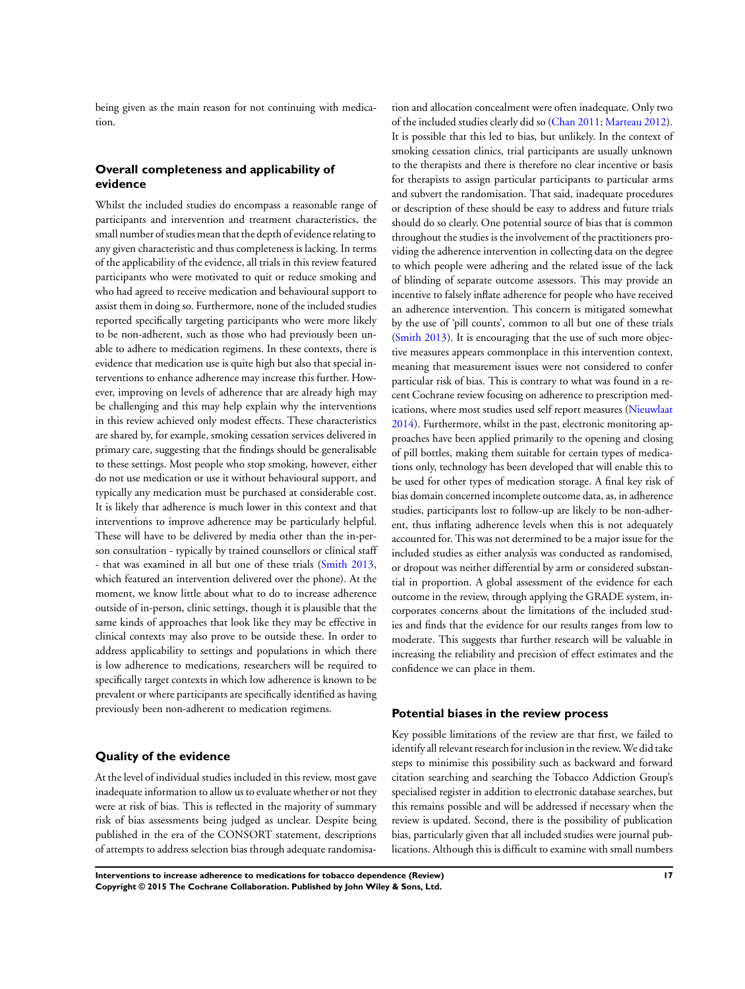being given as the main reason for not continuing with medication.

# **Overall completeness and applicability of evidence**

Whilst the included studies do encompass a reasonable range of participants and intervention and treatment characteristics, the small number of studies mean that the depth of evidence relating to any given characteristic and thus completeness is lacking. In terms of the applicability of the evidence, all trials in this review featured participants who were motivated to quit or reduce smoking and who had agreed to receive medication and behavioural support to assist them in doing so. Furthermore, none of the included studies reported specifically targeting participants who were more likely to be non-adherent, such as those who had previously been unable to adhere to medication regimens. In these contexts, there is evidence that medication use is quite high but also that special interventions to enhance adherence may increase this further. However, improving on levels of adherence that are already high may be challenging and this may help explain why the interventions in this review achieved only modest effects. These characteristics are shared by, for example, smoking cessation services delivered in primary care, suggesting that the findings should be generalisable to these settings. Most people who stop smoking, however, either do not use medication or use it without behavioural support, and typically any medication must be purchased at considerable cost. It is likely that adherence is much lower in this context and that interventions to improve adherence may be particularly helpful. These will have to be delivered by media other than the in-person consultation - typically by trained counsellors or clinical staff - that was examined in all but one of these trials ([Smith 2013,](#page-20-0) which featured an intervention delivered over the phone). At the moment, we know little about what to do to increase adherence outside of in-person, clinic settings, though it is plausible that the same kinds of approaches that look like they may be effective in clinical contexts may also prove to be outside these. In order to address applicability to settings and populations in which there is low adherence to medications, researchers will be required to specifically target contexts in which low adherence is known to be prevalent or where participants are specifically identified as having previously been non-adherent to medication regimens.

# **Quality of the evidence**

At the level of individual studies included in this review, most gave inadequate information to allow us to evaluate whether or not they were at risk of bias. This is reflected in the majority of summary risk of bias assessments being judged as unclear. Despite being published in the era of the CONSORT statement, descriptions of attempts to address selection bias through adequate randomisa-

tion and allocation concealment were often inadequate. Only two of the included studies clearly did so ([Chan 2011](#page-20-0); [Marteau 2012](#page-20-0)). It is possible that this led to bias, but unlikely. In the context of smoking cessation clinics, trial participants are usually unknown to the therapists and there is therefore no clear incentive or basis for therapists to assign particular participants to particular arms and subvert the randomisation. That said, inadequate procedures or description of these should be easy to address and future trials should do so clearly. One potential source of bias that is common throughout the studies is the involvement of the practitioners providing the adherence intervention in collecting data on the degree to which people were adhering and the related issue of the lack of blinding of separate outcome assessors. This may provide an incentive to falsely inflate adherence for people who have received an adherence intervention. This concern is mitigated somewhat by the use of 'pill counts', common to all but one of these trials [\(Smith 2013](#page-20-0)). It is encouraging that the use of such more objective measures appears commonplace in this intervention context, meaning that measurement issues were not considered to confer particular risk of bias. This is contrary to what was found in a recent Cochrane review focusing on adherence to prescription medications, where most studies used self report measures ([Nieuwlaat](#page-20-0) [2014](#page-20-0)). Furthermore, whilst in the past, electronic monitoring approaches have been applied primarily to the opening and closing of pill bottles, making them suitable for certain types of medications only, technology has been developed that will enable this to be used for other types of medication storage. A final key risk of bias domain concerned incomplete outcome data, as, in adherence studies, participants lost to follow-up are likely to be non-adherent, thus inflating adherence levels when this is not adequately accounted for. This was not determined to be a major issue for the included studies as either analysis was conducted as randomised, or dropout was neither differential by arm or considered substantial in proportion. A global assessment of the evidence for each outcome in the review, through applying the GRADE system, incorporates concerns about the limitations of the included studies and finds that the evidence for our results ranges from low to moderate. This suggests that further research will be valuable in increasing the reliability and precision of effect estimates and the confidence we can place in them.

#### **Potential biases in the review process**

Key possible limitations of the review are that first, we failed to identify all relevant research for inclusion in the review.We did take steps to minimise this possibility such as backward and forward citation searching and searching the Tobacco Addiction Group's specialised register in addition to electronic database searches, but this remains possible and will be addressed if necessary when the review is updated. Second, there is the possibility of publication bias, particularly given that all included studies were journal publications. Although this is difficult to examine with small numbers

**Interventions to increase adherence to medications for tobacco dependence (Review) 17 Copyright © 2015 The Cochrane Collaboration. Published by John Wiley & Sons, Ltd.**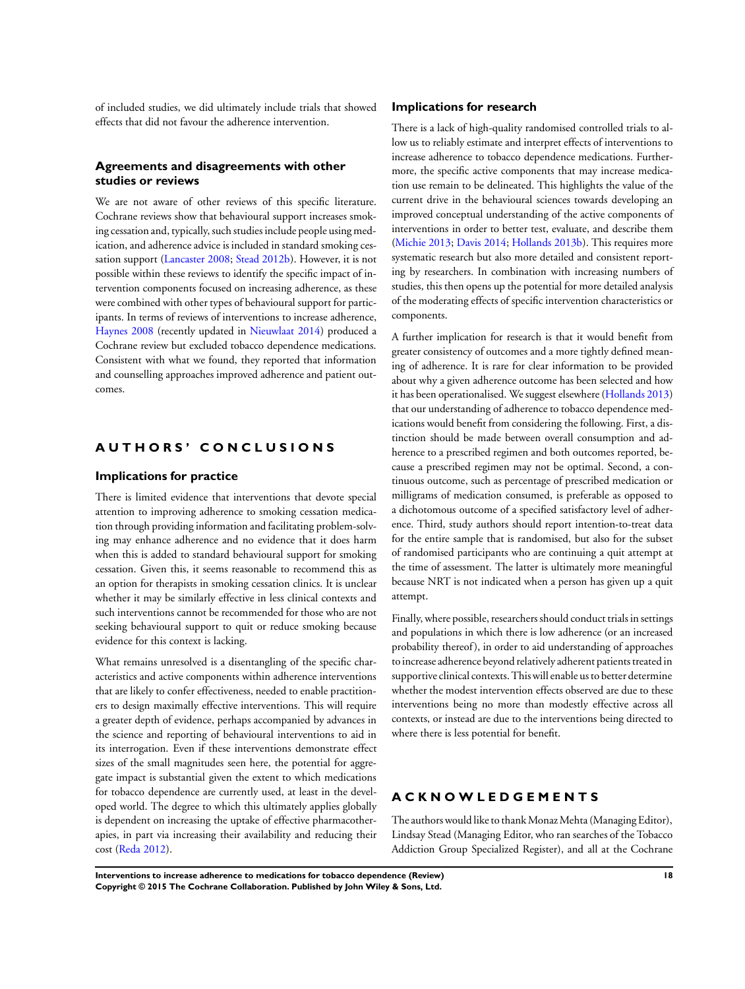of included studies, we did ultimately include trials that showed effects that did not favour the adherence intervention.

## **Agreements and disagreements with other studies or reviews**

We are not aware of other reviews of this specific literature. Cochrane reviews show that behavioural support increases smoking cessation and, typically, such studies include people using medication, and adherence advice is included in standard smoking cessation support [\(Lancaster 2008](#page-20-0); [Stead 2012b](#page-20-0)). However, it is not possible within these reviews to identify the specific impact of intervention components focused on increasing adherence, as these were combined with other types of behavioural support for participants. In terms of reviews of interventions to increase adherence, [Haynes 2008](#page-20-0) (recently updated in [Nieuwlaat 2014](#page-20-0)) produced a Cochrane review but excluded tobacco dependence medications. Consistent with what we found, they reported that information and counselling approaches improved adherence and patient outcomes.

# **A U T H O R S ' C O N C L U S I O N S**

## **Implications for practice**

There is limited evidence that interventions that devote special attention to improving adherence to smoking cessation medication through providing information and facilitating problem-solving may enhance adherence and no evidence that it does harm when this is added to standard behavioural support for smoking cessation. Given this, it seems reasonable to recommend this as an option for therapists in smoking cessation clinics. It is unclear whether it may be similarly effective in less clinical contexts and such interventions cannot be recommended for those who are not seeking behavioural support to quit or reduce smoking because evidence for this context is lacking.

What remains unresolved is a disentangling of the specific characteristics and active components within adherence interventions that are likely to confer effectiveness, needed to enable practitioners to design maximally effective interventions. This will require a greater depth of evidence, perhaps accompanied by advances in the science and reporting of behavioural interventions to aid in its interrogation. Even if these interventions demonstrate effect sizes of the small magnitudes seen here, the potential for aggregate impact is substantial given the extent to which medications for tobacco dependence are currently used, at least in the developed world. The degree to which this ultimately applies globally is dependent on increasing the uptake of effective pharmacotherapies, in part via increasing their availability and reducing their cost ([Reda 2012\)](#page-20-0).

### **Implications for research**

There is a lack of high-quality randomised controlled trials to allow us to reliably estimate and interpret effects of interventions to increase adherence to tobacco dependence medications. Furthermore, the specific active components that may increase medication use remain to be delineated. This highlights the value of the current drive in the behavioural sciences towards developing an improved conceptual understanding of the active components of interventions in order to better test, evaluate, and describe them [\(Michie 2013;](#page-20-0) [Davis 2014](#page-20-0); [Hollands 2013b\)](#page-20-0). This requires more systematic research but also more detailed and consistent reporting by researchers. In combination with increasing numbers of studies, this then opens up the potential for more detailed analysis of the moderating effects of specific intervention characteristics or components.

A further implication for research is that it would benefit from greater consistency of outcomes and a more tightly defined meaning of adherence. It is rare for clear information to be provided about why a given adherence outcome has been selected and how it has been operationalised. We suggest elsewhere ([Hollands 2013](#page-20-0)) that our understanding of adherence to tobacco dependence medications would benefit from considering the following. First, a distinction should be made between overall consumption and adherence to a prescribed regimen and both outcomes reported, because a prescribed regimen may not be optimal. Second, a continuous outcome, such as percentage of prescribed medication or milligrams of medication consumed, is preferable as opposed to a dichotomous outcome of a specified satisfactory level of adherence. Third, study authors should report intention-to-treat data for the entire sample that is randomised, but also for the subset of randomised participants who are continuing a quit attempt at the time of assessment. The latter is ultimately more meaningful because NRT is not indicated when a person has given up a quit attempt.

Finally, where possible, researchers should conduct trials in settings and populations in which there is low adherence (or an increased probability thereof), in order to aid understanding of approaches to increase adherence beyond relatively adherent patients treated in supportive clinical contexts. This will enable us to better determine whether the modest intervention effects observed are due to these interventions being no more than modestly effective across all contexts, or instead are due to the interventions being directed to where there is less potential for benefit.

# **A C K N O W L E D G E M E N T S**

The authors would like to thank Monaz Mehta (Managing Editor), Lindsay Stead (Managing Editor, who ran searches of the Tobacco Addiction Group Specialized Register), and all at the Cochrane

**Interventions to increase adherence to medications for tobacco dependence (Review) 18 Copyright © 2015 The Cochrane Collaboration. Published by John Wiley & Sons, Ltd.**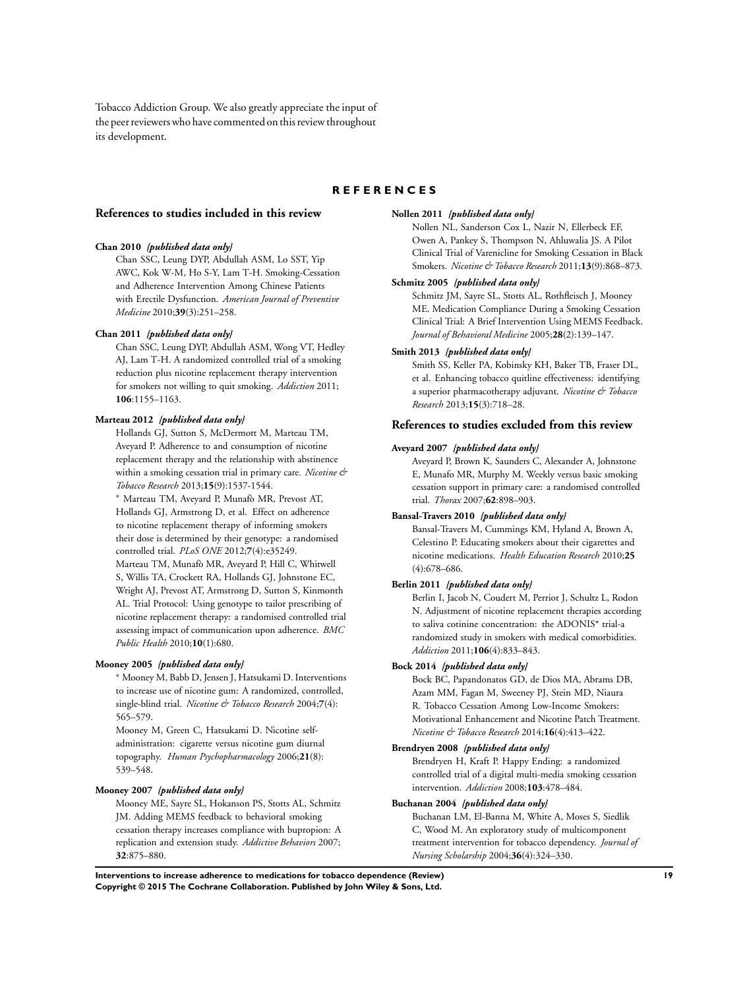<span id="page-20-0"></span>Tobacco Addiction Group. We also greatly appreciate the input of the peer reviewers who have commented on this review throughout its development.

### **R E F E R E N C E S**

#### **References to studies included in this review**

#### **Chan 2010** *{published data only}*

Chan SSC, Leung DYP, Abdullah ASM, Lo SST, Yip AWC, Kok W-M, Ho S-Y, Lam T-H. Smoking-Cessation and Adherence Intervention Among Chinese Patients with Erectile Dysfunction. *American Journal of Preventive Medicine* 2010;**39**(3):251–258.

#### **Chan 2011** *{published data only}*

Chan SSC, Leung DYP, Abdullah ASM, Wong VT, Hedley AJ, Lam T-H. A randomized controlled trial of a smoking reduction plus nicotine replacement therapy intervention for smokers not willing to quit smoking. *Addiction* 2011; **106**:1155–1163.

#### **Marteau 2012** *{published data only}*

Hollands GJ, Sutton S, McDermott M, Marteau TM, Aveyard P. Adherence to and consumption of nicotine replacement therapy and the relationship with abstinence within a smoking cessation trial in primary care. *Nicotine & Tobacco Research* 2013;**15**(9):1537-1544.

<sup>∗</sup> Marteau TM, Aveyard P, Munafò MR, Prevost AT, Hollands GJ, Armstrong D, et al. Effect on adherence to nicotine replacement therapy of informing smokers their dose is determined by their genotype: a randomised controlled trial. *PLoS ONE* 2012;**7**(4):e35249.

Marteau TM, Munafò MR, Aveyard P, Hill C, Whitwell S, Willis TA, Crockett RA, Hollands GJ, Johnstone EC, Wright AJ, Prevost AT, Armstrong D, Sutton S, Kinmonth AL. Trial Protocol: Using genotype to tailor prescribing of nicotine replacement therapy: a randomised controlled trial assessing impact of communication upon adherence. *BMC Public Health* 2010;**10**(1):680.

#### **Mooney 2005** *{published data only}*

<sup>∗</sup> Mooney M, Babb D, Jensen J, Hatsukami D. Interventions to increase use of nicotine gum: A randomized, controlled, single-blind trial. *Nicotine & Tobacco Research* 2004;**7**(4): 565–579.

Mooney M, Green C, Hatsukami D. Nicotine selfadministration: cigarette versus nicotine gum diurnal topography. *Human Psychopharmacology* 2006;**21**(8): 539–548.

#### **Mooney 2007** *{published data only}*

Mooney ME, Sayre SL, Hokanson PS, Stotts AL, Schmitz JM. Adding MEMS feedback to behavioral smoking cessation therapy increases compliance with bupropion: A replication and extension study. *Addictive Behaviors* 2007; **32**:875–880.

#### **Nollen 2011** *{published data only}*

Nollen NL, Sanderson Cox L, Nazir N, Ellerbeck EF, Owen A, Pankey S, Thompson N, Ahluwalia JS. A Pilot Clinical Trial of Varenicline for Smoking Cessation in Black Smokers. *Nicotine & Tobacco Research* 2011;**13**(9):868–873.

#### **Schmitz 2005** *{published data only}*

Schmitz JM, Sayre SL, Stotts AL, Rothfleisch J, Mooney ME. Medication Compliance During a Smoking Cessation Clinical Trial: A Brief Intervention Using MEMS Feedback. *Journal of Behavioral Medicine* 2005;**28**(2):139–147.

#### **Smith 2013** *{published data only}*

Smith SS, Keller PA, Kobinsky KH, Baker TB, Fraser DL, et al. Enhancing tobacco quitline effectiveness: identifying a superior pharmacotherapy adjuvant. *Nicotine & Tobacco Research* 2013;**15**(3):718–28.

### **References to studies excluded from this review**

#### **Aveyard 2007** *{published data only}*

Aveyard P, Brown K, Saunders C, Alexander A, Johnstone E, Munafo MR, Murphy M. Weekly versus basic smoking cessation support in primary care: a randomised controlled trial. *Thorax* 2007;**62**:898–903.

#### **Bansal-Travers 2010** *{published data only}*

Bansal-Travers M, Cummings KM, Hyland A, Brown A, Celestino P. Educating smokers about their cigarettes and nicotine medications. *Health Education Research* 2010;**25** (4):678–686.

#### **Berlin 2011** *{published data only}*

Berlin I, Jacob N, Coudert M, Perriot J, Schultz L, Rodon N. Adjustment of nicotine replacement therapies according to saliva cotinine concentration: the ADONIS\* trial-a randomized study in smokers with medical comorbidities. *Addiction* 2011;**106**(4):833–843.

#### **Bock 2014** *{published data only}*

Bock BC, Papandonatos GD, de Dios MA, Abrams DB, Azam MM, Fagan M, Sweeney PJ, Stein MD, Niaura R. Tobacco Cessation Among Low-Income Smokers: Motivational Enhancement and Nicotine Patch Treatment. *Nicotine & Tobacco Research* 2014;**16**(4):413–422.

#### **Brendryen 2008** *{published data only}*

Brendryen H, Kraft P. Happy Ending: a randomized controlled trial of a digital multi-media smoking cessation intervention. *Addiction* 2008;**103**:478–484.

#### **Buchanan 2004** *{published data only}*

Buchanan LM, El-Banna M, White A, Moses S, Siedlik C, Wood M. An exploratory study of multicomponent treatment intervention for tobacco dependency. *Journal of Nursing Scholarship* 2004;**36**(4):324–330.

**Interventions to increase adherence to medications for tobacco dependence (Review) 19 Copyright © 2015 The Cochrane Collaboration. Published by John Wiley & Sons, Ltd.**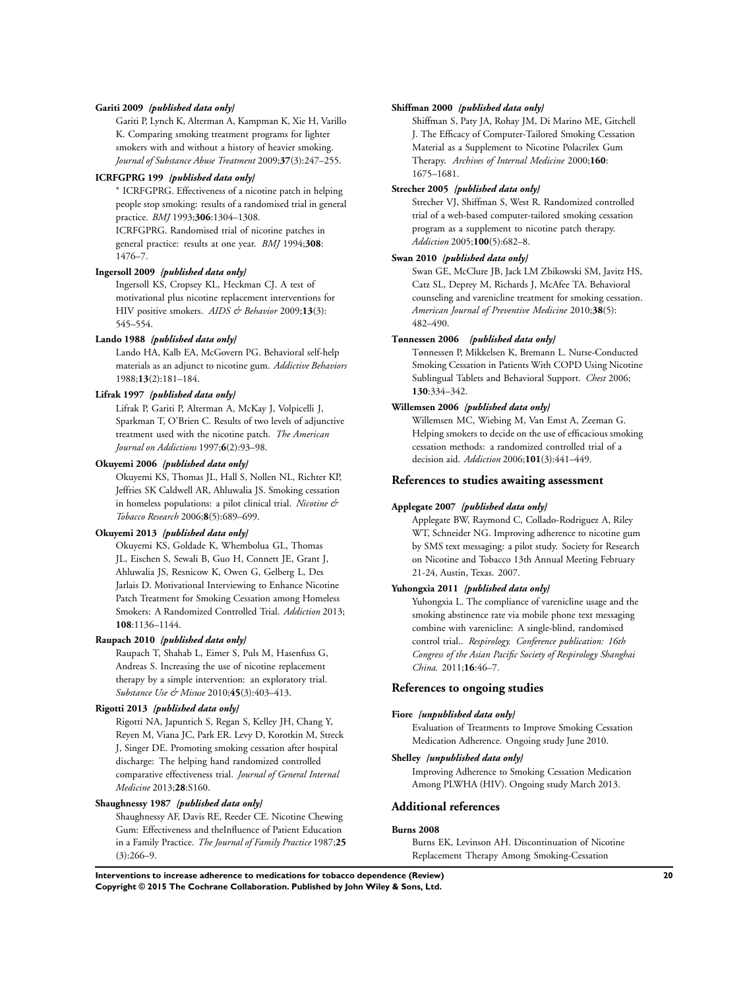#### **Gariti 2009** *{published data only}*

Gariti P, Lynch K, Alterman A, Kampman K, Xie H, Varillo K. Comparing smoking treatment programs for lighter smokers with and without a history of heavier smoking. *Journal of Substance Abuse Treatment* 2009;**37**(3):247–255.

### **ICRFGPRG 199** *{published data only}*

∗ ICRFGPRG. Effectiveness of a nicotine patch in helping people stop smoking: results of a randomised trial in general practice. *BMJ* 1993;**306**:1304–1308.

ICRFGPRG. Randomised trial of nicotine patches in general practice: results at one year. *BMJ* 1994;**308**: 1476–7.

#### **Ingersoll 2009** *{published data only}*

Ingersoll KS, Cropsey KL, Heckman CJ. A test of motivational plus nicotine replacement interventions for HIV positive smokers. *AIDS & Behavior* 2009;13(3): 545–554.

#### **Lando 1988** *{published data only}*

Lando HA, Kalb EA, McGovern PG. Behavioral self-help materials as an adjunct to nicotine gum. *Addictive Behaviors* 1988;**13**(2):181–184.

### **Lifrak 1997** *{published data only}*

Lifrak P, Gariti P, Alterman A, McKay J, Volpicelli J, Sparkman T, O'Brien C. Results of two levels of adjunctive treatment used with the nicotine patch. *The American Journal on Addictions* 1997;**6**(2):93–98.

#### **Okuyemi 2006** *{published data only}*

Okuyemi KS, Thomas JL, Hall S, Nollen NL, Richter KP, Jeffries SK Caldwell AR, Ahluwalia JS. Smoking cessation in homeless populations: a pilot clinical trial. *Nicotine & Tobacco Research* 2006;**8**(5):689–699.

#### **Okuyemi 2013** *{published data only}*

Okuyemi KS, Goldade K, Whembolua GL, Thomas JL, Eischen S, Sewali B, Guo H, Connett JE, Grant J, Ahluwalia JS, Resnicow K, Owen G, Gelberg L, Des Jarlais D. Motivational Interviewing to Enhance Nicotine Patch Treatment for Smoking Cessation among Homeless Smokers: A Randomized Controlled Trial. *Addiction* 2013; **108**:1136–1144.

#### **Raupach 2010** *{published data only}*

Raupach T, Shahab L, Eimer S, Puls M, Hasenfuss G, Andreas S. Increasing the use of nicotine replacement therapy by a simple intervention: an exploratory trial. *Substance Use & Misuse* 2010;**45**(3):403–413.

#### **Rigotti 2013** *{published data only}*

Rigotti NA, Japuntich S, Regan S, Kelley JH, Chang Y, Reyen M, Viana JC, Park ER. Levy D, Korotkin M, Streck J, Singer DE. Promoting smoking cessation after hospital discharge: The helping hand randomized controlled comparative effectiveness trial. *Journal of General Internal Medicine* 2013;**28**:S160.

#### **Shaughnessy 1987** *{published data only}*

Shaughnessy AF, Davis RE, Reeder CE. Nicotine Chewing Gum: Effectiveness and theInfluence of Patient Education in a Family Practice. *The Journal of Family Practice* 1987;**25**  $(3):266-9.$ 

#### **Shiffman 2000** *{published data only}*

Shiffman S, Paty JA, Rohay JM, Di Marino ME, Gitchell J. The Efficacy of Computer-Tailored Smoking Cessation Material as a Supplement to Nicotine Polacrilex Gum Therapy. *Archives of Internal Medicine* 2000;**160**: 1675–1681.

#### **Strecher 2005** *{published data only}*

Strecher VJ, Shiffman S, West R. Randomized controlled trial of a web-based computer-tailored smoking cessation program as a supplement to nicotine patch therapy. *Addiction* 2005;**100**(5):682–8.

#### **Swan 2010** *{published data only}*

Swan GE, McClure JB, Jack LM Zbikowski SM, Javitz HS, Catz SL, Deprey M, Richards J, McAfee TA. Behavioral counseling and varenicline treatment for smoking cessation. *American Journal of Preventive Medicine* 2010;**38**(5): 482–490.

#### **Tønnessen 2006** *{published data only}*

Tønnessen P, Mikkelsen K, Bremann L. Nurse-Conducted Smoking Cessation in Patients With COPD Using Nicotine Sublingual Tablets and Behavioral Support. *Chest* 2006; **130**:334–342.

#### **Willemsen 2006** *{published data only}*

Willemsen MC, Wiebing M, Van Emst A, Zeeman G. Helping smokers to decide on the use of efficacious smoking cessation methods: a randomized controlled trial of a decision aid. *Addiction* 2006;**101**(3):441–449.

#### **References to studies awaiting assessment**

#### **Applegate 2007** *{published data only}*

Applegate BW, Raymond C, Collado-Rodriguez A, Riley WT, Schneider NG. Improving adherence to nicotine gum by SMS text messaging: a pilot study. Society for Research on Nicotine and Tobacco 13th Annual Meeting February 21-24, Austin, Texas. 2007.

#### **Yuhongxia 2011** *{published data only}*

Yuhongxia L. The compliance of varenicline usage and the smoking abstinence rate via mobile phone text messaging combine with varenicline: A single-blind, randomised control trial.. *Respirology. Conference publication: 16th Congress of the Asian Pacific Society of Respirology Shanghai China.* 2011;**16**:46–7.

#### **References to ongoing studies**

#### **Fiore** *{unpublished data only}*

Evaluation of Treatments to Improve Smoking Cessation Medication Adherence. Ongoing study June 2010.

#### **Shelley** *{unpublished data only}*

Improving Adherence to Smoking Cessation Medication Among PLWHA (HIV). Ongoing study March 2013.

#### **Additional references**

#### **Burns 2008**

Burns EK, Levinson AH. Discontinuation of Nicotine Replacement Therapy Among Smoking-Cessation

**Interventions to increase adherence to medications for tobacco dependence (Review) 20 Copyright © 2015 The Cochrane Collaboration. Published by John Wiley & Sons, Ltd.**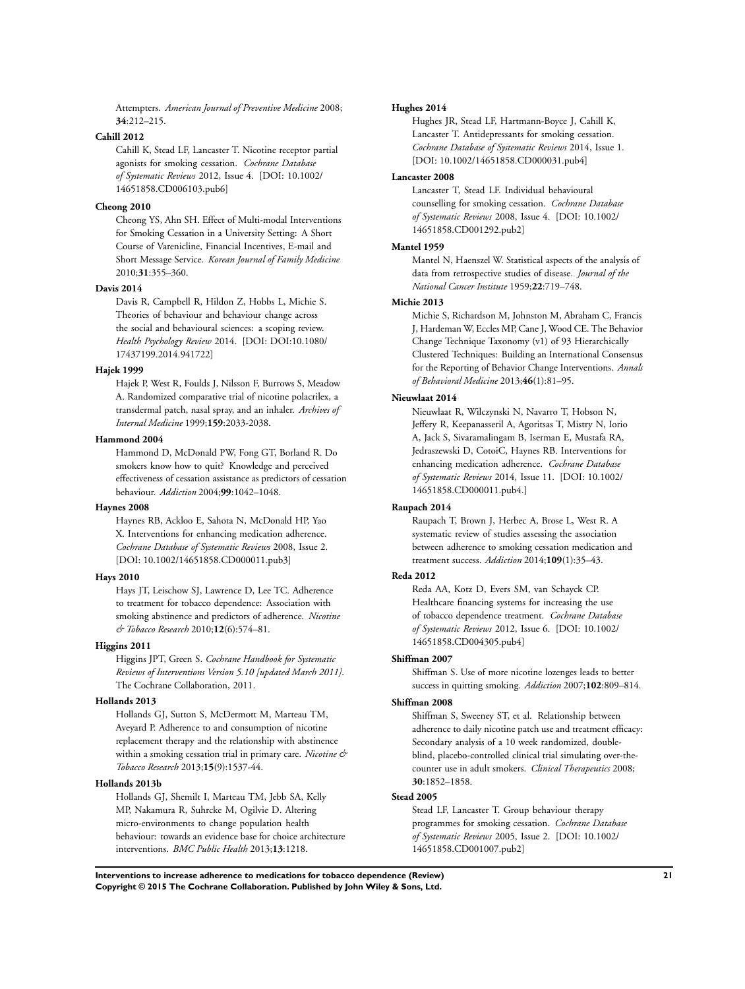Attempters. *American Journal of Preventive Medicine* 2008; **34**:212–215.

#### **Cahill 2012**

Cahill K, Stead LF, Lancaster T. Nicotine receptor partial agonists for smoking cessation. *Cochrane Database of Systematic Reviews* 2012, Issue 4. [DOI: 10.1002/ 14651858.CD006103.pub6]

#### **Cheong 2010**

Cheong YS, Ahn SH. Effect of Multi-modal Interventions for Smoking Cessation in a University Setting: A Short Course of Varenicline, Financial Incentives, E-mail and Short Message Service. *Korean Journal of Family Medicine* 2010;**31**:355–360.

#### **Davis 2014**

Davis R, Campbell R, Hildon Z, Hobbs L, Michie S. Theories of behaviour and behaviour change across the social and behavioural sciences: a scoping review. *Health Psychology Review* 2014. [DOI: DOI:10.1080/ 17437199.2014.941722]

#### **Hajek 1999**

Hajek P, West R, Foulds J, Nilsson F, Burrows S, Meadow A. Randomized comparative trial of nicotine polacrilex, a transdermal patch, nasal spray, and an inhaler. *Archives of Internal Medicine* 1999;**159**:2033-2038.

#### **Hammond 2004**

Hammond D, McDonald PW, Fong GT, Borland R. Do smokers know how to quit? Knowledge and perceived effectiveness of cessation assistance as predictors of cessation behaviour. *Addiction* 2004;**99**:1042–1048.

#### **Haynes 2008**

Haynes RB, Ackloo E, Sahota N, McDonald HP, Yao X. Interventions for enhancing medication adherence. *Cochrane Database of Systematic Reviews* 2008, Issue 2. [DOI: 10.1002/14651858.CD000011.pub3]

#### **Hays 2010**

Hays JT, Leischow SJ, Lawrence D, Lee TC. Adherence to treatment for tobacco dependence: Association with smoking abstinence and predictors of adherence. *Nicotine & Tobacco Research* 2010;**12**(6):574–81.

# **Higgins 2011**

Higgins JPT, Green S. *Cochrane Handbook for Systematic Reviews of Interventions Version 5.10 [updated March 2011]*. The Cochrane Collaboration, 2011.

#### **Hollands 2013**

Hollands GJ, Sutton S, McDermott M, Marteau TM, Aveyard P. Adherence to and consumption of nicotine replacement therapy and the relationship with abstinence within a smoking cessation trial in primary care. *Nicotine & Tobacco Research* 2013;**15**(9):1537-44.

### **Hollands 2013b**

Hollands GJ, Shemilt I, Marteau TM, Jebb SA, Kelly MP, Nakamura R, Suhrcke M, Ogilvie D. Altering micro-environments to change population health behaviour: towards an evidence base for choice architecture interventions. *BMC Public Health* 2013;**13**:1218.

#### **Hughes 2014**

Hughes JR, Stead LF, Hartmann-Boyce J, Cahill K, Lancaster T. Antidepressants for smoking cessation. *Cochrane Database of Systematic Reviews* 2014, Issue 1. [DOI: 10.1002/14651858.CD000031.pub4]

#### **Lancaster 2008**

Lancaster T, Stead LF. Individual behavioural counselling for smoking cessation. *Cochrane Database of Systematic Reviews* 2008, Issue 4. [DOI: 10.1002/ 14651858.CD001292.pub2]

#### **Mantel 1959**

Mantel N, Haenszel W. Statistical aspects of the analysis of data from retrospective studies of disease. *Journal of the National Cancer Institute* 1959;**22**:719–748.

#### **Michie 2013**

Michie S, Richardson M, Johnston M, Abraham C, Francis J, Hardeman W, Eccles MP, Cane J, Wood CE. The Behavior Change Technique Taxonomy (v1) of 93 Hierarchically Clustered Techniques: Building an International Consensus for the Reporting of Behavior Change Interventions. *Annals of Behavioral Medicine* 2013;**46**(1):81–95.

#### **Nieuwlaat 2014**

Nieuwlaat R, Wilczynski N, Navarro T, Hobson N, Jeffery R, Keepanasseril A, Agoritsas T, Mistry N, Iorio A, Jack S, Sivaramalingam B, Iserman E, Mustafa RA, Jedraszewski D, CotoiC, Haynes RB. Interventions for enhancing medication adherence. *Cochrane Database of Systematic Reviews* 2014, Issue 11. [DOI: 10.1002/ 14651858.CD000011.pub4.]

#### **Raupach 2014**

Raupach T, Brown J, Herbec A, Brose L, West R. A systematic review of studies assessing the association between adherence to smoking cessation medication and treatment success. *Addiction* 2014;**109**(1):35–43.

#### **Reda 2012**

Reda AA, Kotz D, Evers SM, van Schayck CP. Healthcare financing systems for increasing the use of tobacco dependence treatment. *Cochrane Database of Systematic Reviews* 2012, Issue 6. [DOI: 10.1002/ 14651858.CD004305.pub4]

#### **Shiffman 2007**

Shiffman S. Use of more nicotine lozenges leads to better success in quitting smoking. *Addiction* 2007;**102**:809–814.

#### **Shiffman 2008**

Shiffman S, Sweeney ST, et al. Relationship between adherence to daily nicotine patch use and treatment efficacy: Secondary analysis of a 10 week randomized, doubleblind, placebo-controlled clinical trial simulating over-thecounter use in adult smokers. *Clinical Therapeutics* 2008; **30**:1852–1858.

### **Stead 2005**

Stead LF, Lancaster T. Group behaviour therapy programmes for smoking cessation. *Cochrane Database of Systematic Reviews* 2005, Issue 2. [DOI: 10.1002/ 14651858.CD001007.pub2]

**Interventions to increase adherence to medications for tobacco dependence (Review) 21 Copyright © 2015 The Cochrane Collaboration. Published by John Wiley & Sons, Ltd.**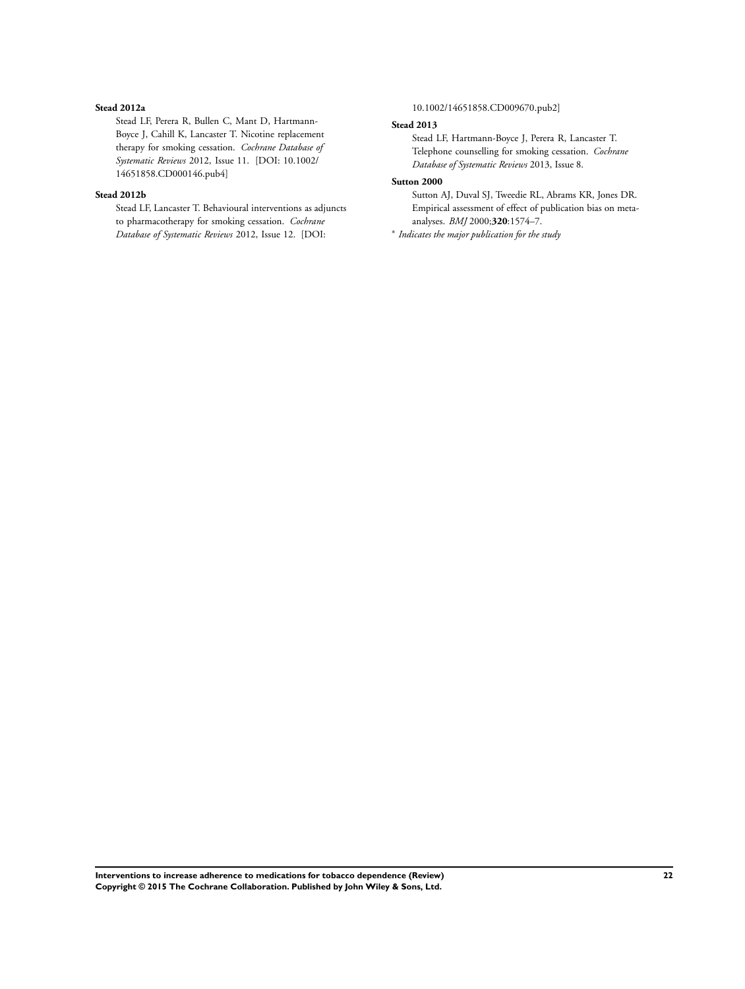### **Stead 2012a**

Stead LF, Perera R, Bullen C, Mant D, Hartmann-Boyce J, Cahill K, Lancaster T. Nicotine replacement therapy for smoking cessation. *Cochrane Database of Systematic Reviews* 2012, Issue 11. [DOI: 10.1002/ 14651858.CD000146.pub4]

### **Stead 2012b**

Stead LF, Lancaster T. Behavioural interventions as adjuncts to pharmacotherapy for smoking cessation. *Cochrane Database of Systematic Reviews* 2012, Issue 12. [DOI:

10.1002/14651858.CD009670.pub2]

#### **Stead 2013**

Stead LF, Hartmann-Boyce J, Perera R, Lancaster T. Telephone counselling for smoking cessation. *Cochrane Database of Systematic Reviews* 2013, Issue 8.

#### **Sutton 2000**

Sutton AJ, Duval SJ, Tweedie RL, Abrams KR, Jones DR. Empirical assessment of effect of publication bias on metaanalyses. *BMJ* 2000;**320**:1574–7.

∗ *Indicates the major publication for the study*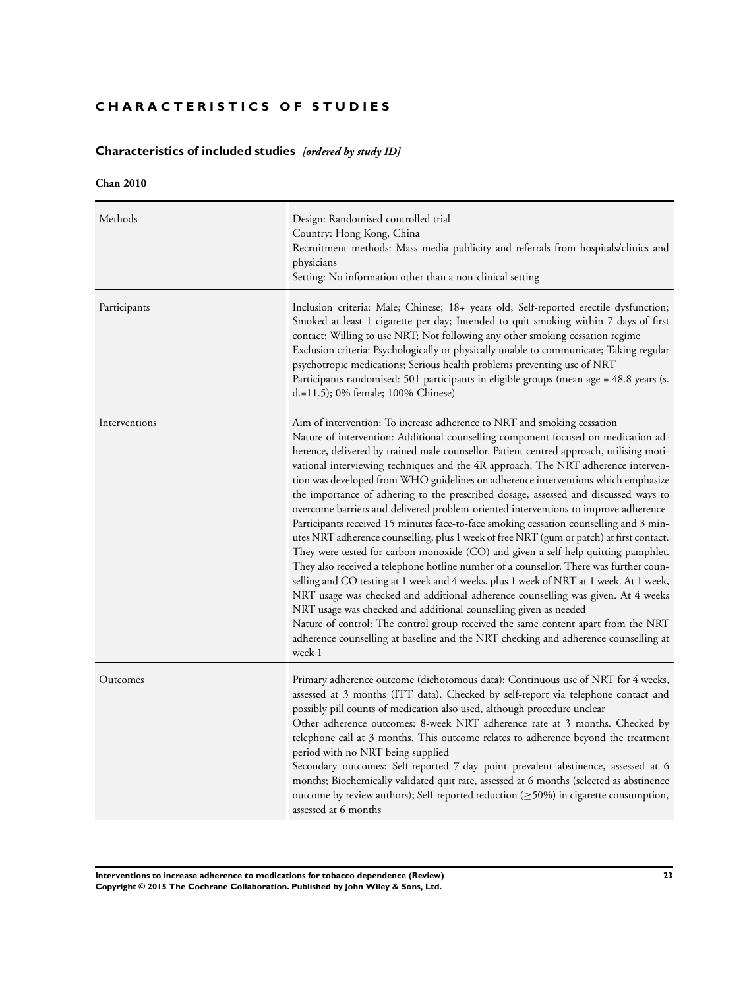# <span id="page-24-0"></span>**CHARACTERISTICS OF STUDIES**

# **Characteristics of included studies** *[ordered by study ID]*

# **Chan 2010**

| Methods       | Design: Randomised controlled trial<br>Country: Hong Kong, China<br>Recruitment methods: Mass media publicity and referrals from hospitals/clinics and<br>physicians<br>Setting: No information other than a non-clinical setting                                                                                                                                                                                                                                                                                                                                                                                                                                                                                                                                                                                                                                                                                                                                                                                                                                                                                                                                                                                                                                                                                                                                                                                               |
|---------------|---------------------------------------------------------------------------------------------------------------------------------------------------------------------------------------------------------------------------------------------------------------------------------------------------------------------------------------------------------------------------------------------------------------------------------------------------------------------------------------------------------------------------------------------------------------------------------------------------------------------------------------------------------------------------------------------------------------------------------------------------------------------------------------------------------------------------------------------------------------------------------------------------------------------------------------------------------------------------------------------------------------------------------------------------------------------------------------------------------------------------------------------------------------------------------------------------------------------------------------------------------------------------------------------------------------------------------------------------------------------------------------------------------------------------------|
| Participants  | Inclusion criteria: Male; Chinese; 18+ years old; Self-reported erectile dysfunction;<br>Smoked at least 1 cigarette per day; Intended to quit smoking within 7 days of first<br>contact; Willing to use NRT; Not following any other smoking cessation regime<br>Exclusion criteria: Psychologically or physically unable to communicate; Taking regular<br>psychotropic medications; Serious health problems preventing use of NRT<br>Participants randomised: 501 participants in eligible groups (mean age = 48.8 years (s.<br>d.=11.5); 0% female; 100% Chinese)                                                                                                                                                                                                                                                                                                                                                                                                                                                                                                                                                                                                                                                                                                                                                                                                                                                           |
| Interventions | Aim of intervention: To increase adherence to NRT and smoking cessation<br>Nature of intervention: Additional counselling component focused on medication ad-<br>herence, delivered by trained male counsellor. Patient centred approach, utilising moti-<br>vational interviewing techniques and the 4R approach. The NRT adherence interven-<br>tion was developed from WHO guidelines on adherence interventions which emphasize<br>the importance of adhering to the prescribed dosage, assessed and discussed ways to<br>overcome barriers and delivered problem-oriented interventions to improve adherence<br>Participants received 15 minutes face-to-face smoking cessation counselling and 3 min-<br>utes NRT adherence counselling, plus 1 week of free NRT (gum or patch) at first contact.<br>They were tested for carbon monoxide (CO) and given a self-help quitting pamphlet.<br>They also received a telephone hotline number of a counsellor. There was further coun-<br>selling and CO testing at 1 week and 4 weeks, plus 1 week of NRT at 1 week. At 1 week,<br>NRT usage was checked and additional adherence counselling was given. At 4 weeks<br>NRT usage was checked and additional counselling given as needed<br>Nature of control: The control group received the same content apart from the NRT<br>adherence counselling at baseline and the NRT checking and adherence counselling at<br>week 1 |
| Outcomes      | Primary adherence outcome (dichotomous data): Continuous use of NRT for 4 weeks,<br>assessed at 3 months (ITT data). Checked by self-report via telephone contact and<br>possibly pill counts of medication also used, although procedure unclear<br>Other adherence outcomes: 8-week NRT adherence rate at 3 months. Checked by<br>telephone call at 3 months. This outcome relates to adherence beyond the treatment<br>period with no NRT being supplied<br>Secondary outcomes: Self-reported 7-day point prevalent abstinence, assessed at 6<br>months; Biochemically validated quit rate, assessed at 6 months (selected as abstinence<br>outcome by review authors); Self-reported reduction $(\geq 50\%)$ in cigarette consumption,<br>assessed at 6 months                                                                                                                                                                                                                                                                                                                                                                                                                                                                                                                                                                                                                                                              |

**Interventions to increase adherence to medications for tobacco dependence (Review) 23 Copyright © 2015 The Cochrane Collaboration. Published by John Wiley & Sons, Ltd.**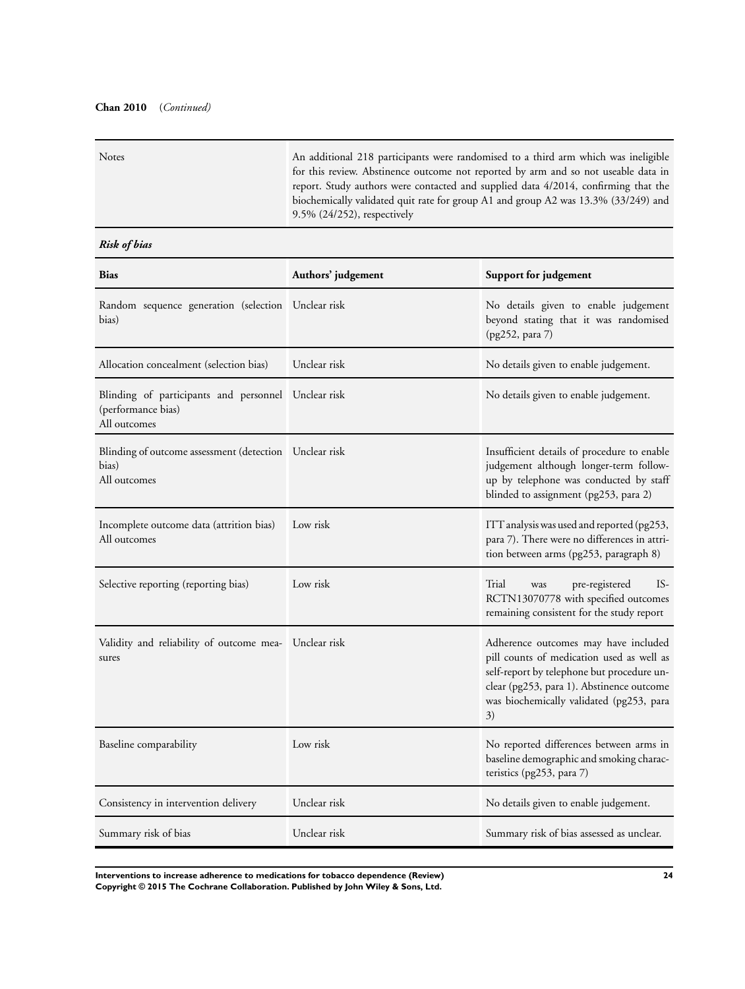# **Chan 2010** (*Continued)*

| <b>Notes</b> | An additional 218 participants were randomised to a third arm which was ineligible |
|--------------|------------------------------------------------------------------------------------|
|              | for this review. Abstinence outcome not reported by arm and so not useable data in |
|              | report. Study authors were contacted and supplied data 4/2014, confirming that the |
|              | biochemically validated quit rate for group A1 and group A2 was 13.3% (33/249) and |
|              | $9.5\%$ (24/252), respectively                                                     |
|              |                                                                                    |

# *Risk of bias*

| <b>Bias</b>                                                                               | Authors' judgement | Support for judgement                                                                                                                                                                                                          |
|-------------------------------------------------------------------------------------------|--------------------|--------------------------------------------------------------------------------------------------------------------------------------------------------------------------------------------------------------------------------|
| Random sequence generation (selection Unclear risk<br>bias)                               |                    | No details given to enable judgement<br>beyond stating that it was randomised<br>(pg252, para 7)                                                                                                                               |
| Allocation concealment (selection bias)                                                   | Unclear risk       | No details given to enable judgement.                                                                                                                                                                                          |
| Blinding of participants and personnel Unclear risk<br>(performance bias)<br>All outcomes |                    | No details given to enable judgement.                                                                                                                                                                                          |
| Blinding of outcome assessment (detection Unclear risk<br>bias)<br>All outcomes           |                    | Insufficient details of procedure to enable<br>judgement although longer-term follow-<br>up by telephone was conducted by staff<br>blinded to assignment (pg253, para 2)                                                       |
| Incomplete outcome data (attrition bias)<br>All outcomes                                  | Low risk           | ITT analysis was used and reported (pg253,<br>para 7). There were no differences in attri-<br>tion between arms (pg253, paragraph 8)                                                                                           |
| Selective reporting (reporting bias)                                                      | Low risk           | Trial<br>pre-registered<br>IS-<br>was<br>RCTN13070778 with specified outcomes<br>remaining consistent for the study report                                                                                                     |
| Validity and reliability of outcome mea- Unclear risk<br>sures                            |                    | Adherence outcomes may have included<br>pill counts of medication used as well as<br>self-report by telephone but procedure un-<br>clear (pg253, para 1). Abstinence outcome<br>was biochemically validated (pg253, para<br>3) |
| Baseline comparability                                                                    | Low risk           | No reported differences between arms in<br>baseline demographic and smoking charac-<br>teristics (pg253, para 7)                                                                                                               |
| Consistency in intervention delivery                                                      | Unclear risk       | No details given to enable judgement.                                                                                                                                                                                          |
| Summary risk of bias                                                                      | Unclear risk       | Summary risk of bias assessed as unclear.                                                                                                                                                                                      |

**Interventions to increase adherence to medications for tobacco dependence (Review) 24 Copyright © 2015 The Cochrane Collaboration. Published by John Wiley & Sons, Ltd.**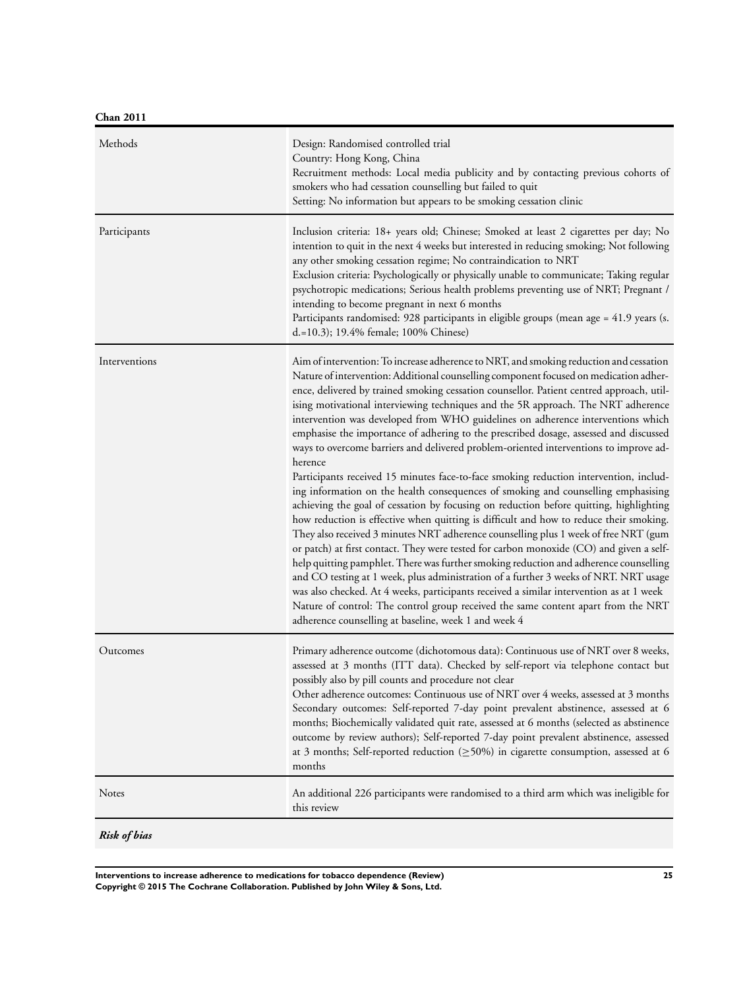| Methods             | Design: Randomised controlled trial<br>Country: Hong Kong, China<br>Recruitment methods: Local media publicity and by contacting previous cohorts of<br>smokers who had cessation counselling but failed to quit<br>Setting: No information but appears to be smoking cessation clinic                                                                                                                                                                                                                                                                                                                                                                                                                                                                                                                                                                                                                                                                                                                                                                                                                                                                                                                                                                                                                                                                                                                                                                                                                                                                                                                                        |
|---------------------|-------------------------------------------------------------------------------------------------------------------------------------------------------------------------------------------------------------------------------------------------------------------------------------------------------------------------------------------------------------------------------------------------------------------------------------------------------------------------------------------------------------------------------------------------------------------------------------------------------------------------------------------------------------------------------------------------------------------------------------------------------------------------------------------------------------------------------------------------------------------------------------------------------------------------------------------------------------------------------------------------------------------------------------------------------------------------------------------------------------------------------------------------------------------------------------------------------------------------------------------------------------------------------------------------------------------------------------------------------------------------------------------------------------------------------------------------------------------------------------------------------------------------------------------------------------------------------------------------------------------------------|
| Participants        | Inclusion criteria: 18+ years old; Chinese; Smoked at least 2 cigarettes per day; No<br>intention to quit in the next 4 weeks but interested in reducing smoking; Not following<br>any other smoking cessation regime; No contraindication to NRT<br>Exclusion criteria: Psychologically or physically unable to communicate; Taking regular<br>psychotropic medications; Serious health problems preventing use of NRT; Pregnant /<br>intending to become pregnant in next 6 months<br>Participants randomised: 928 participants in eligible groups (mean age = 41.9 years (s.<br>d.=10.3); 19.4% female; 100% Chinese)                                                                                                                                                                                                                                                                                                                                                                                                                                                                                                                                                                                                                                                                                                                                                                                                                                                                                                                                                                                                      |
| Interventions       | Aim of intervention: To increase adherence to NRT, and smoking reduction and cessation<br>Nature of intervention: Additional counselling component focused on medication adher-<br>ence, delivered by trained smoking cessation counsellor. Patient centred approach, util-<br>ising motivational interviewing techniques and the 5R approach. The NRT adherence<br>intervention was developed from WHO guidelines on adherence interventions which<br>emphasise the importance of adhering to the prescribed dosage, assessed and discussed<br>ways to overcome barriers and delivered problem-oriented interventions to improve ad-<br>herence<br>Participants received 15 minutes face-to-face smoking reduction intervention, includ-<br>ing information on the health consequences of smoking and counselling emphasising<br>achieving the goal of cessation by focusing on reduction before quitting, highlighting<br>how reduction is effective when quitting is difficult and how to reduce their smoking.<br>They also received 3 minutes NRT adherence counselling plus 1 week of free NRT (gum<br>or patch) at first contact. They were tested for carbon monoxide (CO) and given a self-<br>help quitting pamphlet. There was further smoking reduction and adherence counselling<br>and CO testing at 1 week, plus administration of a further 3 weeks of NRT. NRT usage<br>was also checked. At 4 weeks, participants received a similar intervention as at 1 week<br>Nature of control: The control group received the same content apart from the NRT<br>adherence counselling at baseline, week 1 and week 4 |
| Outcomes            | Primary adherence outcome (dichotomous data): Continuous use of NRT over 8 weeks,<br>assessed at 3 months (ITT data). Checked by self-report via telephone contact but<br>possibly also by pill counts and procedure not clear<br>Other adherence outcomes: Continuous use of NRT over 4 weeks, assessed at 3 months<br>Secondary outcomes: Self-reported 7-day point prevalent abstinence, assessed at 6<br>months; Biochemically validated quit rate, assessed at 6 months (selected as abstinence<br>outcome by review authors); Self-reported 7-day point prevalent abstinence, assessed<br>at 3 months; Self-reported reduction $(\geq 50\%)$ in cigarette consumption, assessed at 6<br>months                                                                                                                                                                                                                                                                                                                                                                                                                                                                                                                                                                                                                                                                                                                                                                                                                                                                                                                          |
| Notes               | An additional 226 participants were randomised to a third arm which was ineligible for<br>this review                                                                                                                                                                                                                                                                                                                                                                                                                                                                                                                                                                                                                                                                                                                                                                                                                                                                                                                                                                                                                                                                                                                                                                                                                                                                                                                                                                                                                                                                                                                         |
| <b>Risk of bias</b> |                                                                                                                                                                                                                                                                                                                                                                                                                                                                                                                                                                                                                                                                                                                                                                                                                                                                                                                                                                                                                                                                                                                                                                                                                                                                                                                                                                                                                                                                                                                                                                                                                               |

**Interventions to increase adherence to medications for tobacco dependence (Review) 25 Copyright © 2015 The Cochrane Collaboration. Published by John Wiley & Sons, Ltd.**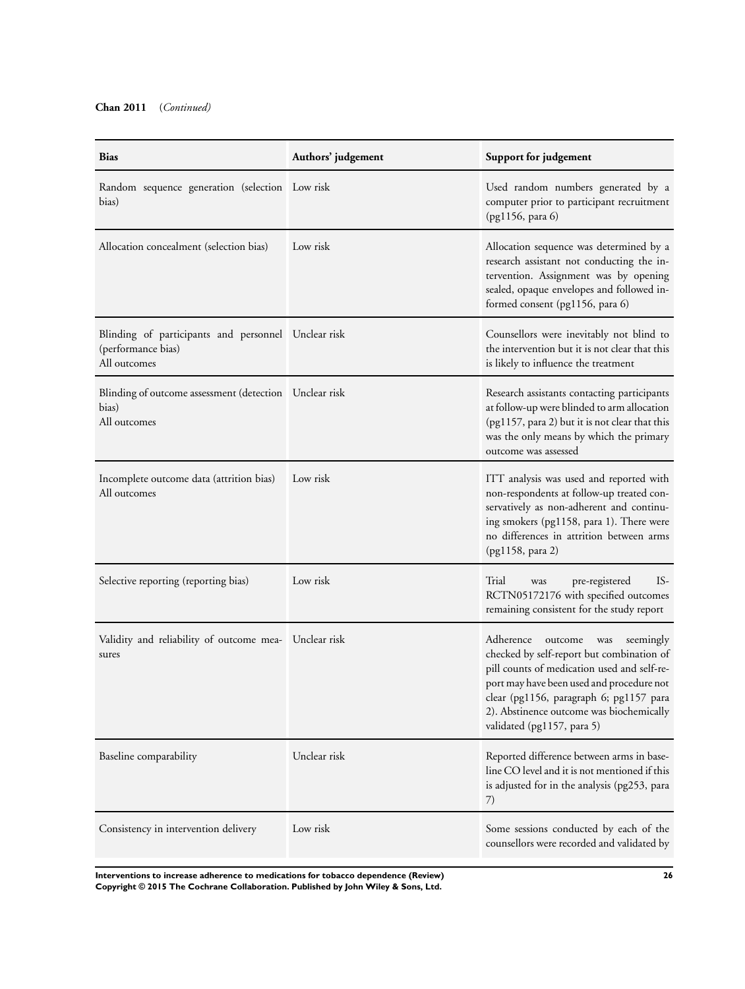| <b>Bias</b>                                                                               | Authors' judgement | Support for judgement                                                                                                                                                                                                                                                                                  |
|-------------------------------------------------------------------------------------------|--------------------|--------------------------------------------------------------------------------------------------------------------------------------------------------------------------------------------------------------------------------------------------------------------------------------------------------|
| Random sequence generation (selection Low risk<br>bias)                                   |                    | Used random numbers generated by a<br>computer prior to participant recruitment<br>(pg1156, para 6)                                                                                                                                                                                                    |
| Allocation concealment (selection bias)                                                   | Low risk           | Allocation sequence was determined by a<br>research assistant not conducting the in-<br>tervention. Assignment was by opening<br>sealed, opaque envelopes and followed in-<br>formed consent (pg1156, para 6)                                                                                          |
| Blinding of participants and personnel Unclear risk<br>(performance bias)<br>All outcomes |                    | Counsellors were inevitably not blind to<br>the intervention but it is not clear that this<br>is likely to influence the treatment                                                                                                                                                                     |
| Blinding of outcome assessment (detection Unclear risk<br>bias)<br>All outcomes           |                    | Research assistants contacting participants<br>at follow-up were blinded to arm allocation<br>(pg1157, para 2) but it is not clear that this<br>was the only means by which the primary<br>outcome was assessed                                                                                        |
| Incomplete outcome data (attrition bias)<br>All outcomes                                  | Low risk           | ITT analysis was used and reported with<br>non-respondents at follow-up treated con-<br>servatively as non-adherent and continu-<br>ing smokers (pg1158, para 1). There were<br>no differences in attrition between arms<br>(pg1158, para 2)                                                           |
| Selective reporting (reporting bias)                                                      | Low risk           | Trial<br>IS-<br>pre-registered<br>was<br>RCTN05172176 with specified outcomes<br>remaining consistent for the study report                                                                                                                                                                             |
| Validity and reliability of outcome mea- Unclear risk<br>sures                            |                    | Adherence<br>seemingly<br>outcome<br>was<br>checked by self-report but combination of<br>pill counts of medication used and self-re-<br>port may have been used and procedure not<br>clear (pg1156, paragraph 6; pg1157 para<br>2). Abstinence outcome was biochemically<br>validated (pg1157, para 5) |
| Baseline comparability                                                                    | Unclear risk       | Reported difference between arms in base-<br>line CO level and it is not mentioned if this<br>is adjusted for in the analysis (pg253, para<br>7)                                                                                                                                                       |
| Consistency in intervention delivery                                                      | Low risk           | Some sessions conducted by each of the<br>counsellors were recorded and validated by                                                                                                                                                                                                                   |

**Interventions to increase adherence to medications for tobacco dependence (Review) 26 Copyright © 2015 The Cochrane Collaboration. Published by John Wiley & Sons, Ltd.**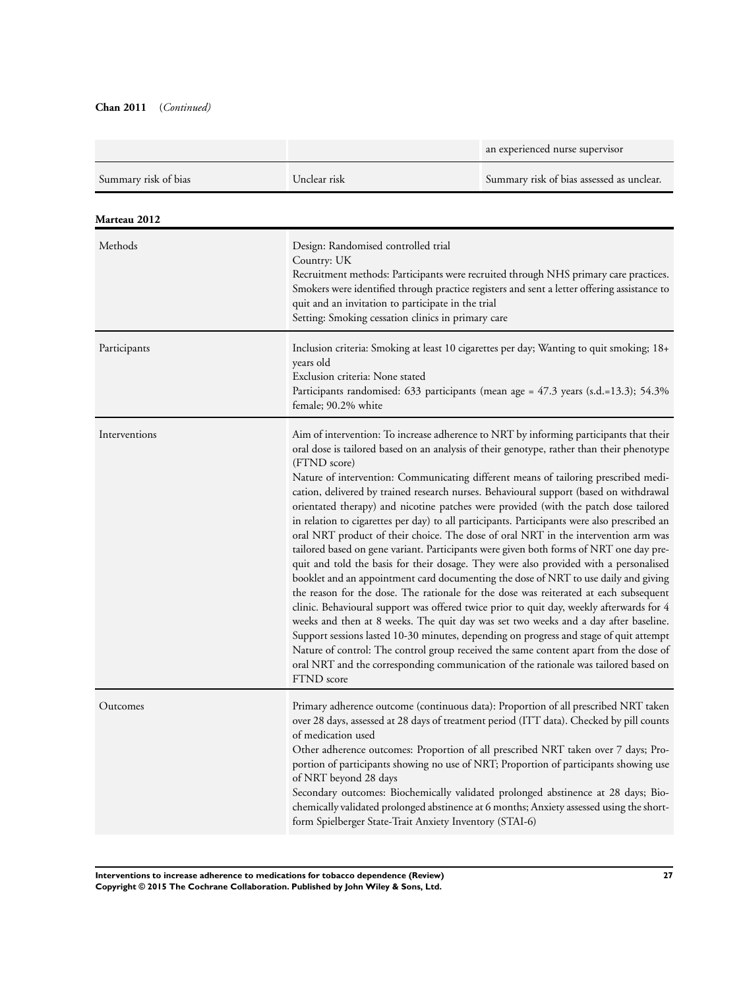# **Chan 2011** (*Continued)*

|                      |                                             | an experienced nurse supervisor                                                                                                                                                                                                                                                                                                                                                                                                                                                                                                                                                                                                                                                                                                                                                                                                                                                                                                                                                                                                                                                                                                                                                                                                                                                                                                                                                                                                                                                    |  |
|----------------------|---------------------------------------------|------------------------------------------------------------------------------------------------------------------------------------------------------------------------------------------------------------------------------------------------------------------------------------------------------------------------------------------------------------------------------------------------------------------------------------------------------------------------------------------------------------------------------------------------------------------------------------------------------------------------------------------------------------------------------------------------------------------------------------------------------------------------------------------------------------------------------------------------------------------------------------------------------------------------------------------------------------------------------------------------------------------------------------------------------------------------------------------------------------------------------------------------------------------------------------------------------------------------------------------------------------------------------------------------------------------------------------------------------------------------------------------------------------------------------------------------------------------------------------|--|
| Summary risk of bias | Unclear risk                                | Summary risk of bias assessed as unclear.                                                                                                                                                                                                                                                                                                                                                                                                                                                                                                                                                                                                                                                                                                                                                                                                                                                                                                                                                                                                                                                                                                                                                                                                                                                                                                                                                                                                                                          |  |
| Marteau 2012         |                                             |                                                                                                                                                                                                                                                                                                                                                                                                                                                                                                                                                                                                                                                                                                                                                                                                                                                                                                                                                                                                                                                                                                                                                                                                                                                                                                                                                                                                                                                                                    |  |
| Methods              | Country: UK                                 | Design: Randomised controlled trial<br>Recruitment methods: Participants were recruited through NHS primary care practices.<br>Smokers were identified through practice registers and sent a letter offering assistance to<br>quit and an invitation to participate in the trial<br>Setting: Smoking cessation clinics in primary care                                                                                                                                                                                                                                                                                                                                                                                                                                                                                                                                                                                                                                                                                                                                                                                                                                                                                                                                                                                                                                                                                                                                             |  |
| Participants         | years old<br>female; 90.2% white            | Inclusion criteria: Smoking at least 10 cigarettes per day; Wanting to quit smoking; 18+<br>Exclusion criteria: None stated<br>Participants randomised: 633 participants (mean age = 47.3 years (s.d.=13.3); 54.3%                                                                                                                                                                                                                                                                                                                                                                                                                                                                                                                                                                                                                                                                                                                                                                                                                                                                                                                                                                                                                                                                                                                                                                                                                                                                 |  |
| Interventions        | (FTND score)<br>FTND score                  | Aim of intervention: To increase adherence to NRT by informing participants that their<br>oral dose is tailored based on an analysis of their genotype, rather than their phenotype<br>Nature of intervention: Communicating different means of tailoring prescribed medi-<br>cation, delivered by trained research nurses. Behavioural support (based on withdrawal<br>orientated therapy) and nicotine patches were provided (with the patch dose tailored<br>in relation to cigarettes per day) to all participants. Participants were also prescribed an<br>oral NRT product of their choice. The dose of oral NRT in the intervention arm was<br>tailored based on gene variant. Participants were given both forms of NRT one day pre-<br>quit and told the basis for their dosage. They were also provided with a personalised<br>booklet and an appointment card documenting the dose of NRT to use daily and giving<br>the reason for the dose. The rationale for the dose was reiterated at each subsequent<br>clinic. Behavioural support was offered twice prior to quit day, weekly afterwards for 4<br>weeks and then at 8 weeks. The quit day was set two weeks and a day after baseline.<br>Support sessions lasted 10-30 minutes, depending on progress and stage of quit attempt<br>Nature of control: The control group received the same content apart from the dose of<br>oral NRT and the corresponding communication of the rationale was tailored based on |  |
| Outcomes             | of medication used<br>of NRT beyond 28 days | Primary adherence outcome (continuous data): Proportion of all prescribed NRT taken<br>over 28 days, assessed at 28 days of treatment period (ITT data). Checked by pill counts<br>Other adherence outcomes: Proportion of all prescribed NRT taken over 7 days; Pro-<br>portion of participants showing no use of NRT; Proportion of participants showing use<br>Secondary outcomes: Biochemically validated prolonged abstinence at 28 days; Bio-<br>chemically validated prolonged abstinence at 6 months; Anxiety assessed using the short-<br>form Spielberger State-Trait Anxiety Inventory (STAI-6)                                                                                                                                                                                                                                                                                                                                                                                                                                                                                                                                                                                                                                                                                                                                                                                                                                                                         |  |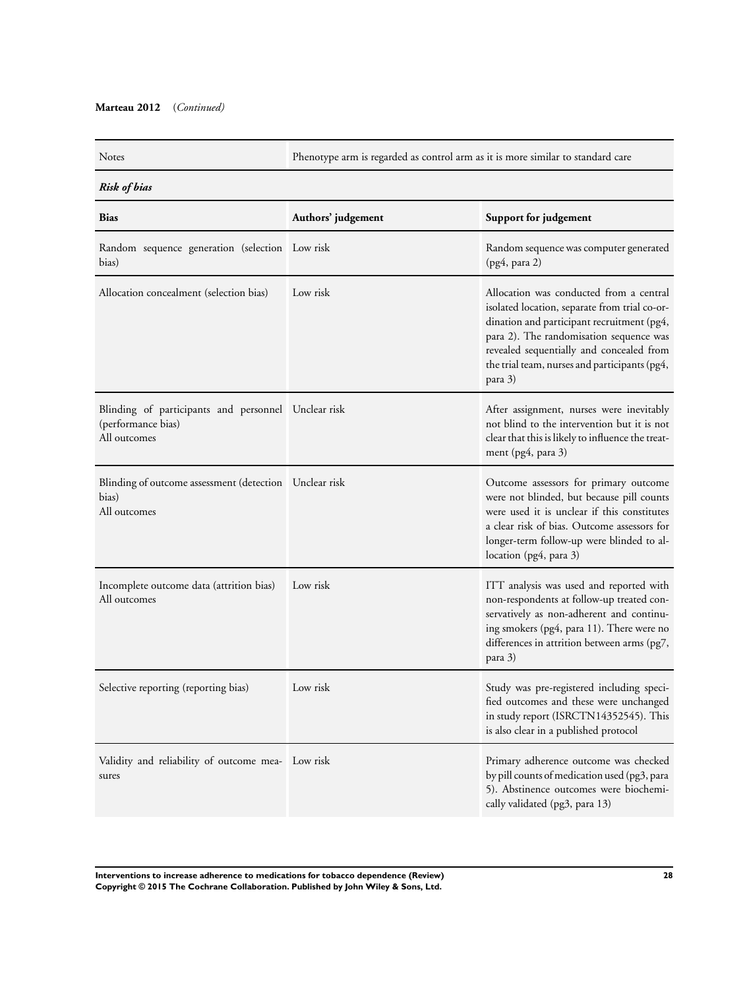# **Marteau 2012** (*Continued)*

Notes Phenotype arm is regarded as control arm as it is more similar to standard care

| <b>Risk of bias</b> |  |
|---------------------|--|
|                     |  |
|                     |  |

| <b>Bias</b>                                                                               | Authors' judgement | Support for judgement                                                                                                                                                                                                                                                                     |
|-------------------------------------------------------------------------------------------|--------------------|-------------------------------------------------------------------------------------------------------------------------------------------------------------------------------------------------------------------------------------------------------------------------------------------|
| Random sequence generation (selection Low risk<br>bias)                                   |                    | Random sequence was computer generated<br>(pg4, para2)                                                                                                                                                                                                                                    |
| Allocation concealment (selection bias)                                                   | Low risk           | Allocation was conducted from a central<br>isolated location, separate from trial co-or-<br>dination and participant recruitment (pg4,<br>para 2). The randomisation sequence was<br>revealed sequentially and concealed from<br>the trial team, nurses and participants (pg4,<br>para 3) |
| Blinding of participants and personnel Unclear risk<br>(performance bias)<br>All outcomes |                    | After assignment, nurses were inevitably<br>not blind to the intervention but it is not<br>clear that this is likely to influence the treat-<br>ment (pg4, para 3)                                                                                                                        |
| Blinding of outcome assessment (detection Unclear risk<br>bias)<br>All outcomes           |                    | Outcome assessors for primary outcome<br>were not blinded, but because pill counts<br>were used it is unclear if this constitutes<br>a clear risk of bias. Outcome assessors for<br>longer-term follow-up were blinded to al-<br>location (pg4, para 3)                                   |
| Incomplete outcome data (attrition bias)<br>All outcomes                                  | Low risk           | ITT analysis was used and reported with<br>non-respondents at follow-up treated con-<br>servatively as non-adherent and continu-<br>ing smokers (pg4, para 11). There were no<br>differences in attrition between arms (pg7,<br>para 3)                                                   |
| Selective reporting (reporting bias)                                                      | Low risk           | Study was pre-registered including speci-<br>fied outcomes and these were unchanged<br>in study report (ISRCTN14352545). This<br>is also clear in a published protocol                                                                                                                    |
| Validity and reliability of outcome mea- Low risk<br>sures                                |                    | Primary adherence outcome was checked<br>by pill counts of medication used (pg3, para<br>5). Abstinence outcomes were biochemi-<br>cally validated (pg3, para 13)                                                                                                                         |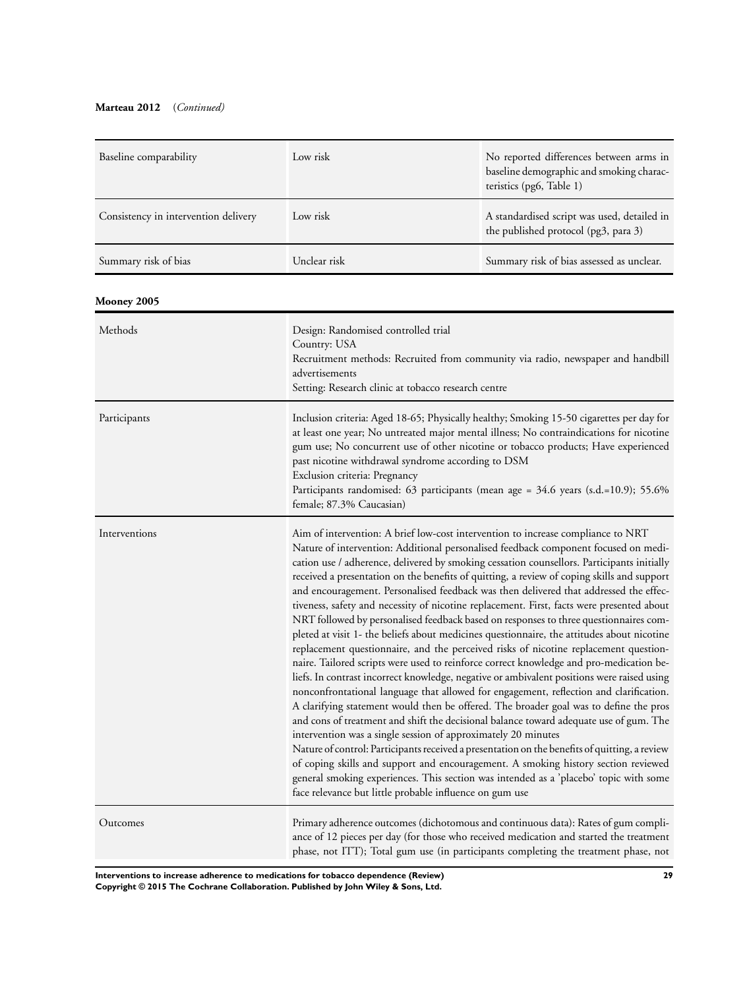# **Marteau 2012** (*Continued)*

| Baseline comparability               | Low risk                                                                                                                                                                                                                                                                                                                                                                                                                                                                                                                                                                                                                                                                                                                                                                                                                                                                                                                                                                                                                                                                                                                                                                                                                                                                                                                                                                                                                                                                                                                                                                                                                                                                                                                   | No reported differences between arms in<br>baseline demographic and smoking charac-<br>teristics (pg6, Table 1)                        |  |
|--------------------------------------|----------------------------------------------------------------------------------------------------------------------------------------------------------------------------------------------------------------------------------------------------------------------------------------------------------------------------------------------------------------------------------------------------------------------------------------------------------------------------------------------------------------------------------------------------------------------------------------------------------------------------------------------------------------------------------------------------------------------------------------------------------------------------------------------------------------------------------------------------------------------------------------------------------------------------------------------------------------------------------------------------------------------------------------------------------------------------------------------------------------------------------------------------------------------------------------------------------------------------------------------------------------------------------------------------------------------------------------------------------------------------------------------------------------------------------------------------------------------------------------------------------------------------------------------------------------------------------------------------------------------------------------------------------------------------------------------------------------------------|----------------------------------------------------------------------------------------------------------------------------------------|--|
| Consistency in intervention delivery | Low risk                                                                                                                                                                                                                                                                                                                                                                                                                                                                                                                                                                                                                                                                                                                                                                                                                                                                                                                                                                                                                                                                                                                                                                                                                                                                                                                                                                                                                                                                                                                                                                                                                                                                                                                   | A standardised script was used, detailed in<br>the published protocol (pg3, para 3)                                                    |  |
| Summary risk of bias                 | Unclear risk                                                                                                                                                                                                                                                                                                                                                                                                                                                                                                                                                                                                                                                                                                                                                                                                                                                                                                                                                                                                                                                                                                                                                                                                                                                                                                                                                                                                                                                                                                                                                                                                                                                                                                               | Summary risk of bias assessed as unclear.                                                                                              |  |
| Mooney 2005                          |                                                                                                                                                                                                                                                                                                                                                                                                                                                                                                                                                                                                                                                                                                                                                                                                                                                                                                                                                                                                                                                                                                                                                                                                                                                                                                                                                                                                                                                                                                                                                                                                                                                                                                                            |                                                                                                                                        |  |
| Methods                              | Design: Randomised controlled trial<br>Country: USA<br>advertisements                                                                                                                                                                                                                                                                                                                                                                                                                                                                                                                                                                                                                                                                                                                                                                                                                                                                                                                                                                                                                                                                                                                                                                                                                                                                                                                                                                                                                                                                                                                                                                                                                                                      | Recruitment methods: Recruited from community via radio, newspaper and handbill<br>Setting: Research clinic at tobacco research centre |  |
| Participants                         | Inclusion criteria: Aged 18-65; Physically healthy; Smoking 15-50 cigarettes per day for<br>at least one year; No untreated major mental illness; No contraindications for nicotine<br>gum use; No concurrent use of other nicotine or tobacco products; Have experienced<br>past nicotine withdrawal syndrome according to DSM<br>Exclusion criteria: Pregnancy<br>Participants randomised: 63 participants (mean age = 34.6 years (s.d.=10.9); 55.6%<br>female; 87.3% Caucasian)                                                                                                                                                                                                                                                                                                                                                                                                                                                                                                                                                                                                                                                                                                                                                                                                                                                                                                                                                                                                                                                                                                                                                                                                                                         |                                                                                                                                        |  |
| Interventions                        | Aim of intervention: A brief low-cost intervention to increase compliance to NRT<br>Nature of intervention: Additional personalised feedback component focused on medi-<br>cation use / adherence, delivered by smoking cessation counsellors. Participants initially<br>received a presentation on the benefits of quitting, a review of coping skills and support<br>and encouragement. Personalised feedback was then delivered that addressed the effec-<br>tiveness, safety and necessity of nicotine replacement. First, facts were presented about<br>NRT followed by personalised feedback based on responses to three questionnaires com-<br>pleted at visit 1- the beliefs about medicines questionnaire, the attitudes about nicotine<br>replacement questionnaire, and the perceived risks of nicotine replacement question-<br>naire. Tailored scripts were used to reinforce correct knowledge and pro-medication be-<br>liefs. In contrast incorrect knowledge, negative or ambivalent positions were raised using<br>nonconfrontational language that allowed for engagement, reflection and clarification.<br>A clarifying statement would then be offered. The broader goal was to define the pros<br>and cons of treatment and shift the decisional balance toward adequate use of gum. The<br>intervention was a single session of approximately 20 minutes<br>Nature of control: Participants received a presentation on the benefits of quitting, a review<br>of coping skills and support and encouragement. A smoking history section reviewed<br>general smoking experiences. This section was intended as a 'placebo' topic with some<br>face relevance but little probable influence on gum use |                                                                                                                                        |  |
| Outcomes                             | Primary adherence outcomes (dichotomous and continuous data): Rates of gum compli-<br>ance of 12 pieces per day (for those who received medication and started the treatment<br>phase, not ITT); Total gum use (in participants completing the treatment phase, not                                                                                                                                                                                                                                                                                                                                                                                                                                                                                                                                                                                                                                                                                                                                                                                                                                                                                                                                                                                                                                                                                                                                                                                                                                                                                                                                                                                                                                                        |                                                                                                                                        |  |

**Interventions to increase adherence to medications for tobacco dependence (Review) 29 Copyright © 2015 The Cochrane Collaboration. Published by John Wiley & Sons, Ltd.**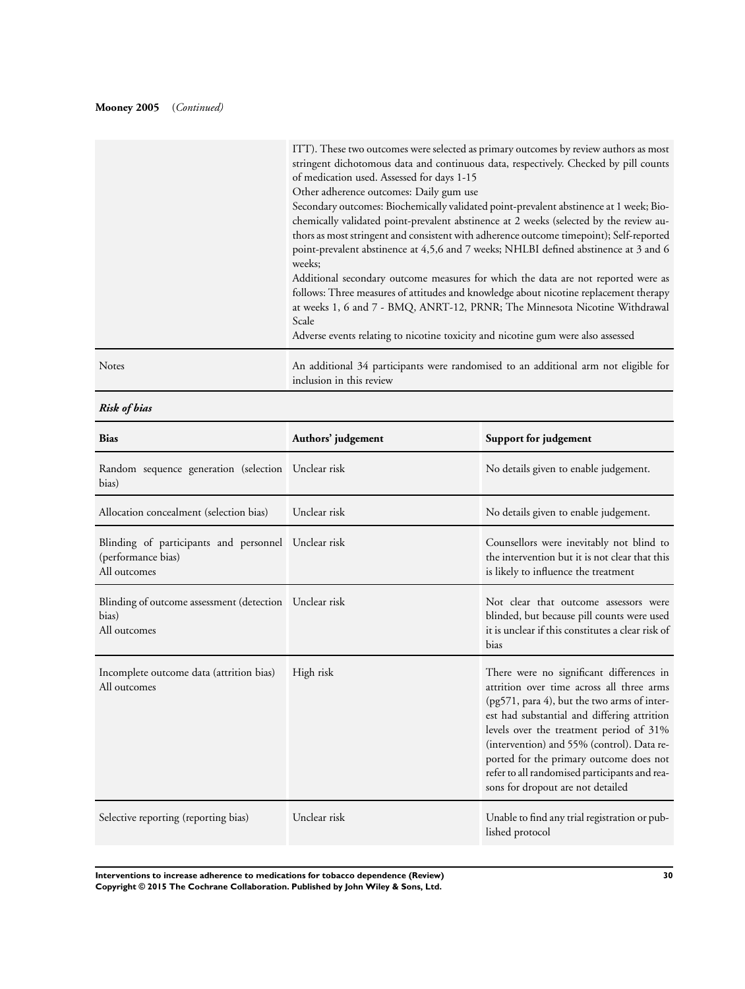# **Mooney 2005** (*Continued)*

|              | ITT). These two outcomes were selected as primary outcomes by review authors as most<br>stringent dichotomous data and continuous data, respectively. Checked by pill counts<br>of medication used. Assessed for days 1-15<br>Other adherence outcomes: Daily gum use<br>Secondary outcomes: Biochemically validated point-prevalent abstinence at 1 week; Bio-<br>chemically validated point-prevalent abstinence at 2 weeks (selected by the review au-<br>thors as most stringent and consistent with adherence outcome timepoint); Self-reported<br>point-prevalent abstinence at 4,5,6 and 7 weeks; NHLBI defined abstinence at 3 and 6<br>weeks;<br>Additional secondary outcome measures for which the data are not reported were as<br>follows: Three measures of attitudes and knowledge about nicotine replacement therapy<br>at weeks 1, 6 and 7 - BMQ, ANRT-12, PRNR; The Minnesota Nicotine Withdrawal<br>Scale<br>Adverse events relating to nicotine toxicity and nicotine gum were also assessed |
|--------------|------------------------------------------------------------------------------------------------------------------------------------------------------------------------------------------------------------------------------------------------------------------------------------------------------------------------------------------------------------------------------------------------------------------------------------------------------------------------------------------------------------------------------------------------------------------------------------------------------------------------------------------------------------------------------------------------------------------------------------------------------------------------------------------------------------------------------------------------------------------------------------------------------------------------------------------------------------------------------------------------------------------|
| <b>Notes</b> | An additional 34 participants were randomised to an additional arm not eligible for<br>inclusion in this review                                                                                                                                                                                                                                                                                                                                                                                                                                                                                                                                                                                                                                                                                                                                                                                                                                                                                                  |

# *Risk of bias*

| <b>Bias</b>                                                                               | Authors' judgement | Support for judgement                                                                                                                                                                                                                                                                                                                                                                                         |
|-------------------------------------------------------------------------------------------|--------------------|---------------------------------------------------------------------------------------------------------------------------------------------------------------------------------------------------------------------------------------------------------------------------------------------------------------------------------------------------------------------------------------------------------------|
| Random sequence generation (selection Unclear risk<br>bias)                               |                    | No details given to enable judgement.                                                                                                                                                                                                                                                                                                                                                                         |
| Allocation concealment (selection bias)                                                   | Unclear risk       | No details given to enable judgement.                                                                                                                                                                                                                                                                                                                                                                         |
| Blinding of participants and personnel Unclear risk<br>(performance bias)<br>All outcomes |                    | Counsellors were inevitably not blind to<br>the intervention but it is not clear that this<br>is likely to influence the treatment                                                                                                                                                                                                                                                                            |
| Blinding of outcome assessment (detection Unclear risk<br>bias)<br>All outcomes           |                    | Not clear that outcome assessors were<br>blinded, but because pill counts were used<br>it is unclear if this constitutes a clear risk of<br>bias                                                                                                                                                                                                                                                              |
| Incomplete outcome data (attrition bias)<br>All outcomes                                  | High risk          | There were no significant differences in<br>attrition over time across all three arms<br>(pg571, para 4), but the two arms of inter-<br>est had substantial and differing attrition<br>levels over the treatment period of 31%<br>(intervention) and 55% (control). Data re-<br>ported for the primary outcome does not<br>refer to all randomised participants and rea-<br>sons for dropout are not detailed |
| Selective reporting (reporting bias)                                                      | Unclear risk       | Unable to find any trial registration or pub-<br>lished protocol                                                                                                                                                                                                                                                                                                                                              |

**Interventions to increase adherence to medications for tobacco dependence (Review) 30 Copyright © 2015 The Cochrane Collaboration. Published by John Wiley & Sons, Ltd.**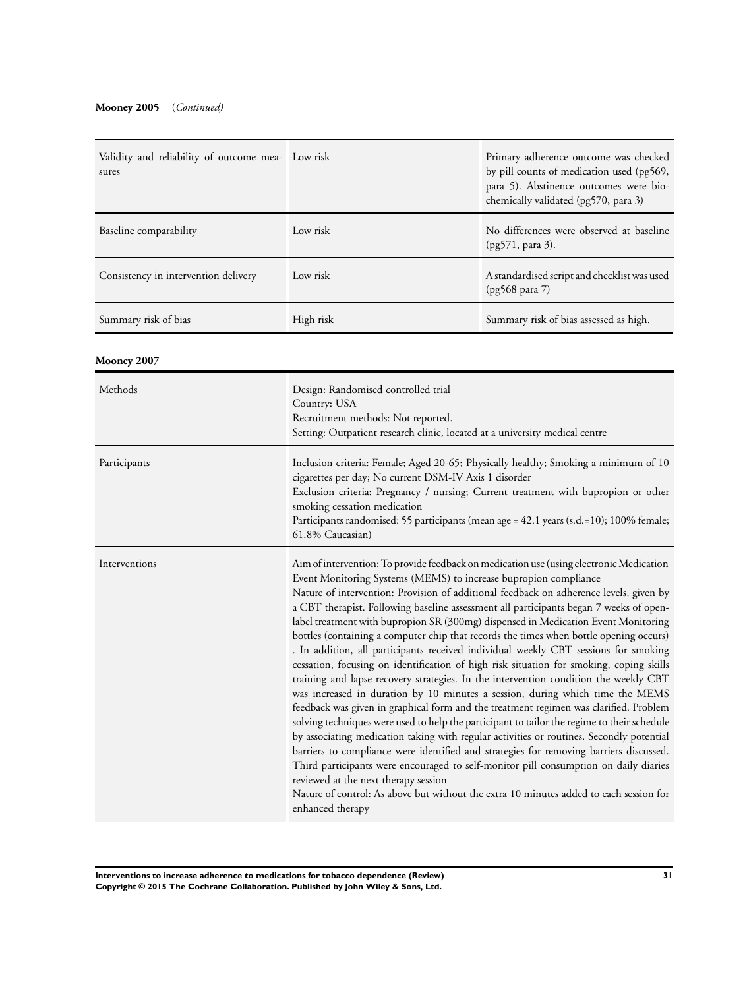| Validity and reliability of outcome mea- Low risk<br>sures |                                                                                                                                                                                                                                                                                                                                                                                                                                                                                                                                                                                                                                                                                                                                                                                                                                                                                                                                                                                                                                                                                                                                                                                                                                                                                                                                                                                                                                                                                                                        | Primary adherence outcome was checked<br>by pill counts of medication used (pg569,<br>para 5). Abstinence outcomes were bio-<br>chemically validated (pg570, para 3) |
|------------------------------------------------------------|------------------------------------------------------------------------------------------------------------------------------------------------------------------------------------------------------------------------------------------------------------------------------------------------------------------------------------------------------------------------------------------------------------------------------------------------------------------------------------------------------------------------------------------------------------------------------------------------------------------------------------------------------------------------------------------------------------------------------------------------------------------------------------------------------------------------------------------------------------------------------------------------------------------------------------------------------------------------------------------------------------------------------------------------------------------------------------------------------------------------------------------------------------------------------------------------------------------------------------------------------------------------------------------------------------------------------------------------------------------------------------------------------------------------------------------------------------------------------------------------------------------------|----------------------------------------------------------------------------------------------------------------------------------------------------------------------|
| Baseline comparability                                     | Low risk                                                                                                                                                                                                                                                                                                                                                                                                                                                                                                                                                                                                                                                                                                                                                                                                                                                                                                                                                                                                                                                                                                                                                                                                                                                                                                                                                                                                                                                                                                               | No differences were observed at baseline<br>(pg571, para 3).                                                                                                         |
| Consistency in intervention delivery                       | Low risk                                                                                                                                                                                                                                                                                                                                                                                                                                                                                                                                                                                                                                                                                                                                                                                                                                                                                                                                                                                                                                                                                                                                                                                                                                                                                                                                                                                                                                                                                                               | A standardised script and checklist was used<br>(pg568 para 7)                                                                                                       |
| Summary risk of bias                                       | High risk                                                                                                                                                                                                                                                                                                                                                                                                                                                                                                                                                                                                                                                                                                                                                                                                                                                                                                                                                                                                                                                                                                                                                                                                                                                                                                                                                                                                                                                                                                              | Summary risk of bias assessed as high.                                                                                                                               |
| Mooney 2007                                                |                                                                                                                                                                                                                                                                                                                                                                                                                                                                                                                                                                                                                                                                                                                                                                                                                                                                                                                                                                                                                                                                                                                                                                                                                                                                                                                                                                                                                                                                                                                        |                                                                                                                                                                      |
| Methods                                                    | Design: Randomised controlled trial<br>Country: USA<br>Recruitment methods: Not reported.<br>Setting: Outpatient research clinic, located at a university medical centre                                                                                                                                                                                                                                                                                                                                                                                                                                                                                                                                                                                                                                                                                                                                                                                                                                                                                                                                                                                                                                                                                                                                                                                                                                                                                                                                               |                                                                                                                                                                      |
| Participants                                               | Inclusion criteria: Female; Aged 20-65; Physically healthy; Smoking a minimum of 10<br>cigarettes per day; No current DSM-IV Axis 1 disorder<br>Exclusion criteria: Pregnancy / nursing; Current treatment with bupropion or other<br>smoking cessation medication<br>Participants randomised: 55 participants (mean age = 42.1 years (s.d.=10); 100% female;<br>61.8% Caucasian)                                                                                                                                                                                                                                                                                                                                                                                                                                                                                                                                                                                                                                                                                                                                                                                                                                                                                                                                                                                                                                                                                                                                      |                                                                                                                                                                      |
| Interventions                                              | Aim of intervention: To provide feedback on medication use (using electronic Medication<br>Event Monitoring Systems (MEMS) to increase bupropion compliance<br>Nature of intervention: Provision of additional feedback on adherence levels, given by<br>a CBT therapist. Following baseline assessment all participants began 7 weeks of open-<br>label treatment with bupropion SR (300mg) dispensed in Medication Event Monitoring<br>bottles (containing a computer chip that records the times when bottle opening occurs)<br>. In addition, all participants received individual weekly CBT sessions for smoking<br>cessation, focusing on identification of high risk situation for smoking, coping skills<br>training and lapse recovery strategies. In the intervention condition the weekly CBT<br>was increased in duration by 10 minutes a session, during which time the MEMS<br>feedback was given in graphical form and the treatment regimen was clarified. Problem<br>solving techniques were used to help the participant to tailor the regime to their schedule<br>by associating medication taking with regular activities or routines. Secondly potential<br>barriers to compliance were identified and strategies for removing barriers discussed.<br>Third participants were encouraged to self-monitor pill consumption on daily diaries<br>reviewed at the next therapy session<br>Nature of control: As above but without the extra 10 minutes added to each session for<br>enhanced therapy |                                                                                                                                                                      |

**Interventions to increase adherence to medications for tobacco dependence (Review) 31 Copyright © 2015 The Cochrane Collaboration. Published by John Wiley & Sons, Ltd.**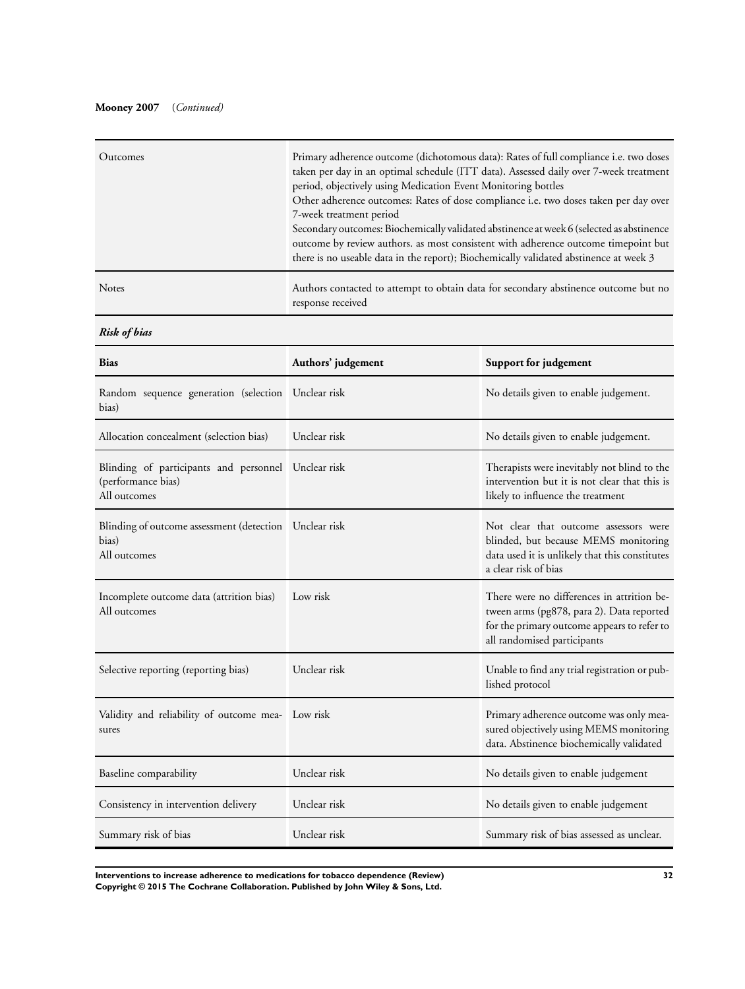# **Mooney 2007** (*Continued)*

| Outcomes     | Primary adherence outcome (dichotomous data): Rates of full compliance i.e. two doses    |
|--------------|------------------------------------------------------------------------------------------|
|              | taken per day in an optimal schedule (ITT data). Assessed daily over 7-week treatment    |
|              | period, objectively using Medication Event Monitoring bottles                            |
|              | Other adherence outcomes: Rates of dose compliance i.e. two doses taken per day over     |
|              | 7-week treatment period                                                                  |
|              | Secondary outcomes: Biochemically validated abstinence at week 6 (selected as abstinence |
|              | outcome by review authors. as most consistent with adherence outcome timepoint but       |
|              | there is no useable data in the report); Biochemically validated abstinence at week 3    |
|              |                                                                                          |
| <b>Notes</b> | Authors contacted to attempt to obtain data for secondary abstinence outcome but no      |
|              | response received                                                                        |

# *Risk of bias*

| <b>Bias</b>                                                                               | Authors' judgement | Support for judgement                                                                                                                                                 |
|-------------------------------------------------------------------------------------------|--------------------|-----------------------------------------------------------------------------------------------------------------------------------------------------------------------|
| Random sequence generation (selection Unclear risk<br>bias)                               |                    | No details given to enable judgement.                                                                                                                                 |
| Allocation concealment (selection bias)                                                   | Unclear risk       | No details given to enable judgement.                                                                                                                                 |
| Blinding of participants and personnel Unclear risk<br>(performance bias)<br>All outcomes |                    | Therapists were inevitably not blind to the<br>intervention but it is not clear that this is<br>likely to influence the treatment                                     |
| Blinding of outcome assessment (detection Unclear risk<br>bias)<br>All outcomes           |                    | Not clear that outcome assessors were<br>blinded, but because MEMS monitoring<br>data used it is unlikely that this constitutes<br>a clear risk of bias               |
| Incomplete outcome data (attrition bias)<br>All outcomes                                  | Low risk           | There were no differences in attrition be-<br>tween arms (pg878, para 2). Data reported<br>for the primary outcome appears to refer to<br>all randomised participants |
| Selective reporting (reporting bias)                                                      | Unclear risk       | Unable to find any trial registration or pub-<br>lished protocol                                                                                                      |
| Validity and reliability of outcome mea- Low risk<br>sures                                |                    | Primary adherence outcome was only mea-<br>sured objectively using MEMS monitoring<br>data. Abstinence biochemically validated                                        |
| Baseline comparability                                                                    | Unclear risk       | No details given to enable judgement                                                                                                                                  |
| Consistency in intervention delivery                                                      | Unclear risk       | No details given to enable judgement                                                                                                                                  |
| Summary risk of bias                                                                      | Unclear risk       | Summary risk of bias assessed as unclear.                                                                                                                             |

**Interventions to increase adherence to medications for tobacco dependence (Review) 32 Copyright © 2015 The Cochrane Collaboration. Published by John Wiley & Sons, Ltd.**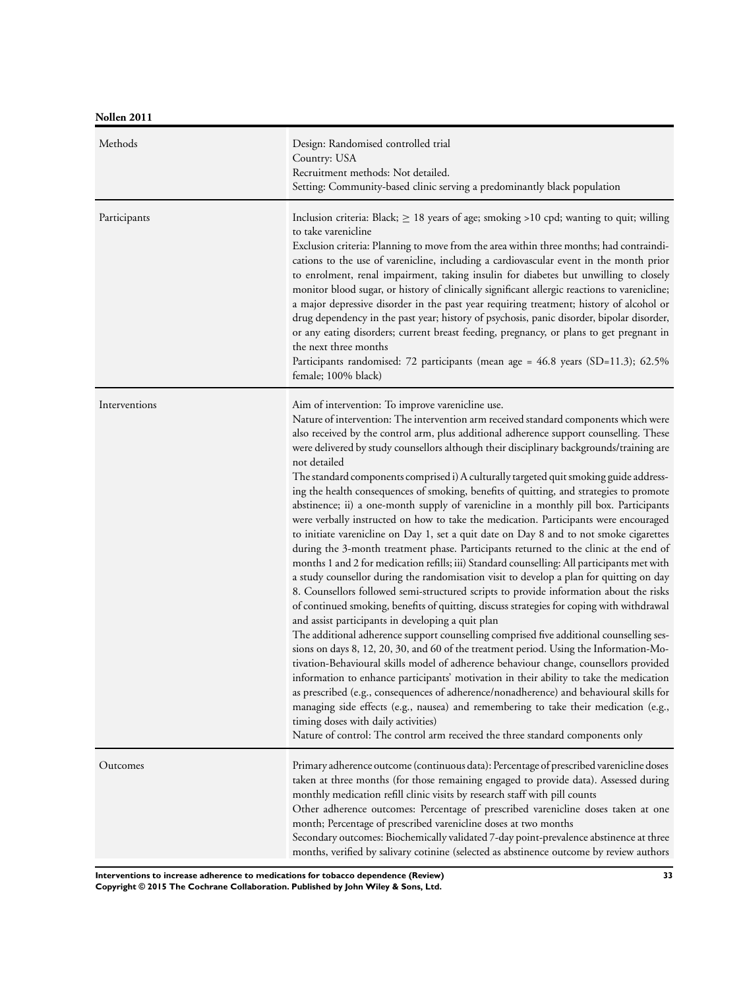| Methods       | Design: Randomised controlled trial<br>Country: USA<br>Recruitment methods: Not detailed.<br>Setting: Community-based clinic serving a predominantly black population                                                                                                                                                                                                                                                                                                                                                                                                                                                                                                                                                                                                                                                                                                                                                                                                                                                                                                                                                                                                                                                                                                                                                                                                                                                                                                                                                                                                                                                                                                                                                                                                                                                                                                                                                                                                                                                              |
|---------------|------------------------------------------------------------------------------------------------------------------------------------------------------------------------------------------------------------------------------------------------------------------------------------------------------------------------------------------------------------------------------------------------------------------------------------------------------------------------------------------------------------------------------------------------------------------------------------------------------------------------------------------------------------------------------------------------------------------------------------------------------------------------------------------------------------------------------------------------------------------------------------------------------------------------------------------------------------------------------------------------------------------------------------------------------------------------------------------------------------------------------------------------------------------------------------------------------------------------------------------------------------------------------------------------------------------------------------------------------------------------------------------------------------------------------------------------------------------------------------------------------------------------------------------------------------------------------------------------------------------------------------------------------------------------------------------------------------------------------------------------------------------------------------------------------------------------------------------------------------------------------------------------------------------------------------------------------------------------------------------------------------------------------------|
| Participants  | Inclusion criteria: Black; $\geq 18$ years of age; smoking >10 cpd; wanting to quit; willing<br>to take varenicline<br>Exclusion criteria: Planning to move from the area within three months; had contraindi-<br>cations to the use of varenicline, including a cardiovascular event in the month prior<br>to enrolment, renal impairment, taking insulin for diabetes but unwilling to closely<br>monitor blood sugar, or history of clinically significant allergic reactions to varenicline;<br>a major depressive disorder in the past year requiring treatment; history of alcohol or<br>drug dependency in the past year; history of psychosis, panic disorder, bipolar disorder,<br>or any eating disorders; current breast feeding, pregnancy, or plans to get pregnant in<br>the next three months<br>Participants randomised: 72 participants (mean age = 46.8 years (SD=11.3); 62.5%<br>female; 100% black)                                                                                                                                                                                                                                                                                                                                                                                                                                                                                                                                                                                                                                                                                                                                                                                                                                                                                                                                                                                                                                                                                                            |
| Interventions | Aim of intervention: To improve varenicline use.<br>Nature of intervention: The intervention arm received standard components which were<br>also received by the control arm, plus additional adherence support counselling. These<br>were delivered by study counsellors although their disciplinary backgrounds/training are<br>not detailed<br>The standard components comprised i) A culturally targeted quit smoking guide address-<br>ing the health consequences of smoking, benefits of quitting, and strategies to promote<br>abstinence; ii) a one-month supply of varenicline in a monthly pill box. Participants<br>were verbally instructed on how to take the medication. Participants were encouraged<br>to initiate varenicline on Day 1, set a quit date on Day 8 and to not smoke cigarettes<br>during the 3-month treatment phase. Participants returned to the clinic at the end of<br>months 1 and 2 for medication refills; iii) Standard counselling: All participants met with<br>a study counsellor during the randomisation visit to develop a plan for quitting on day<br>8. Counsellors followed semi-structured scripts to provide information about the risks<br>of continued smoking, benefits of quitting, discuss strategies for coping with withdrawal<br>and assist participants in developing a quit plan<br>The additional adherence support counselling comprised five additional counselling ses-<br>sions on days 8, 12, 20, 30, and 60 of the treatment period. Using the Information-Mo-<br>tivation-Behavioural skills model of adherence behaviour change, counsellors provided<br>information to enhance participants' motivation in their ability to take the medication<br>as prescribed (e.g., consequences of adherence/nonadherence) and behavioural skills for<br>managing side effects (e.g., nausea) and remembering to take their medication (e.g.,<br>timing doses with daily activities)<br>Nature of control: The control arm received the three standard components only |
| Outcomes      | Primary adherence outcome (continuous data): Percentage of prescribed varenicline doses<br>taken at three months (for those remaining engaged to provide data). Assessed during<br>monthly medication refill clinic visits by research staff with pill counts<br>Other adherence outcomes: Percentage of prescribed varenicline doses taken at one<br>month; Percentage of prescribed varenicline doses at two months<br>Secondary outcomes: Biochemically validated 7-day point-prevalence abstinence at three<br>months, verified by salivary cotinine (selected as abstinence outcome by review authors                                                                                                                                                                                                                                                                                                                                                                                                                                                                                                                                                                                                                                                                                                                                                                                                                                                                                                                                                                                                                                                                                                                                                                                                                                                                                                                                                                                                                         |

**Interventions to increase adherence to medications for tobacco dependence (Review) 33 Copyright © 2015 The Cochrane Collaboration. Published by John Wiley & Sons, Ltd.**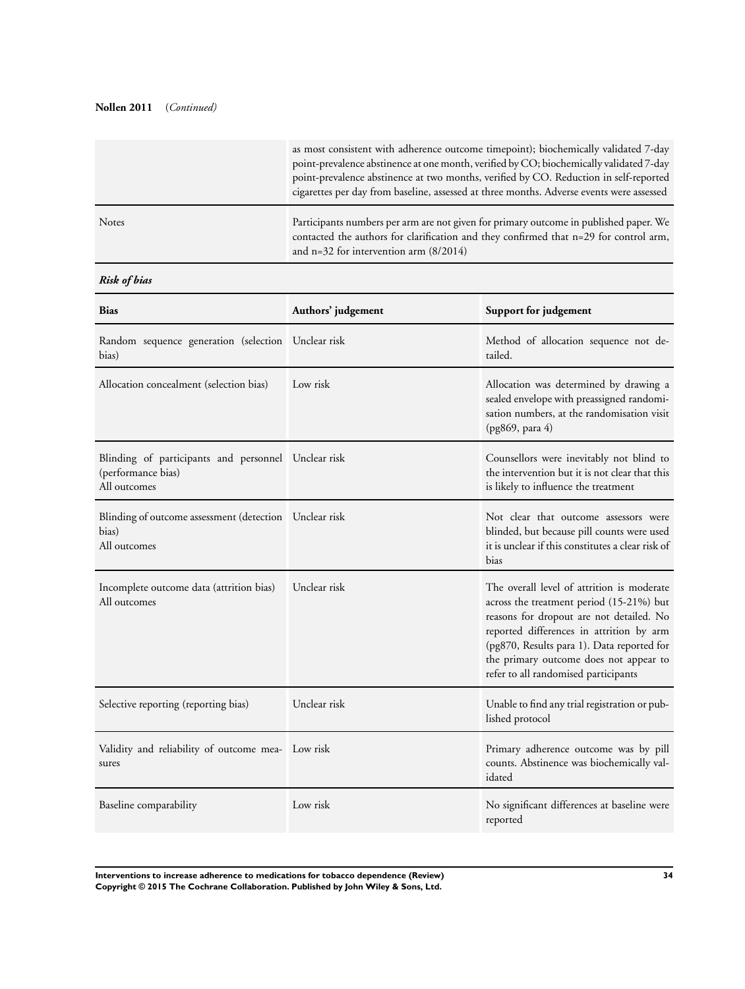# **Nollen 2011** (*Continued)*

|              | as most consistent with adherence outcome timepoint); biochemically validated 7-day<br>point-prevalence abstinence at one month, verified by CO; biochemically validated 7-day<br>point-prevalence abstinence at two months, verified by CO. Reduction in self-reported<br>cigarettes per day from baseline, assessed at three months. Adverse events were assessed |
|--------------|---------------------------------------------------------------------------------------------------------------------------------------------------------------------------------------------------------------------------------------------------------------------------------------------------------------------------------------------------------------------|
| <b>Notes</b> | Participants numbers per arm are not given for primary outcome in published paper. We<br>contacted the authors for clarification and they confirmed that n=29 for control arm,<br>and $n=32$ for intervention arm $(8/2014)$                                                                                                                                        |

# *Risk of bias*

| <b>Bias</b>                                                                               | Authors' judgement | Support for judgement                                                                                                                                                                                                                                                                                          |
|-------------------------------------------------------------------------------------------|--------------------|----------------------------------------------------------------------------------------------------------------------------------------------------------------------------------------------------------------------------------------------------------------------------------------------------------------|
| Random sequence generation (selection Unclear risk<br>bias)                               |                    | Method of allocation sequence not de-<br>tailed.                                                                                                                                                                                                                                                               |
| Allocation concealment (selection bias)                                                   | Low risk           | Allocation was determined by drawing a<br>sealed envelope with preassigned randomi-<br>sation numbers, at the randomisation visit<br>(pg869, para 4)                                                                                                                                                           |
| Blinding of participants and personnel Unclear risk<br>(performance bias)<br>All outcomes |                    | Counsellors were inevitably not blind to<br>the intervention but it is not clear that this<br>is likely to influence the treatment                                                                                                                                                                             |
| Blinding of outcome assessment (detection Unclear risk<br>bias)<br>All outcomes           |                    | Not clear that outcome assessors were<br>blinded, but because pill counts were used<br>it is unclear if this constitutes a clear risk of<br>bias                                                                                                                                                               |
| Incomplete outcome data (attrition bias)<br>All outcomes                                  | Unclear risk       | The overall level of attrition is moderate<br>across the treatment period (15-21%) but<br>reasons for dropout are not detailed. No<br>reported differences in attrition by arm<br>(pg870, Results para 1). Data reported for<br>the primary outcome does not appear to<br>refer to all randomised participants |
| Selective reporting (reporting bias)                                                      | Unclear risk       | Unable to find any trial registration or pub-<br>lished protocol                                                                                                                                                                                                                                               |
| Validity and reliability of outcome mea- Low risk<br>sures                                |                    | Primary adherence outcome was by pill<br>counts. Abstinence was biochemically val-<br>idated                                                                                                                                                                                                                   |
| Baseline comparability                                                                    | Low risk           | No significant differences at baseline were<br>reported                                                                                                                                                                                                                                                        |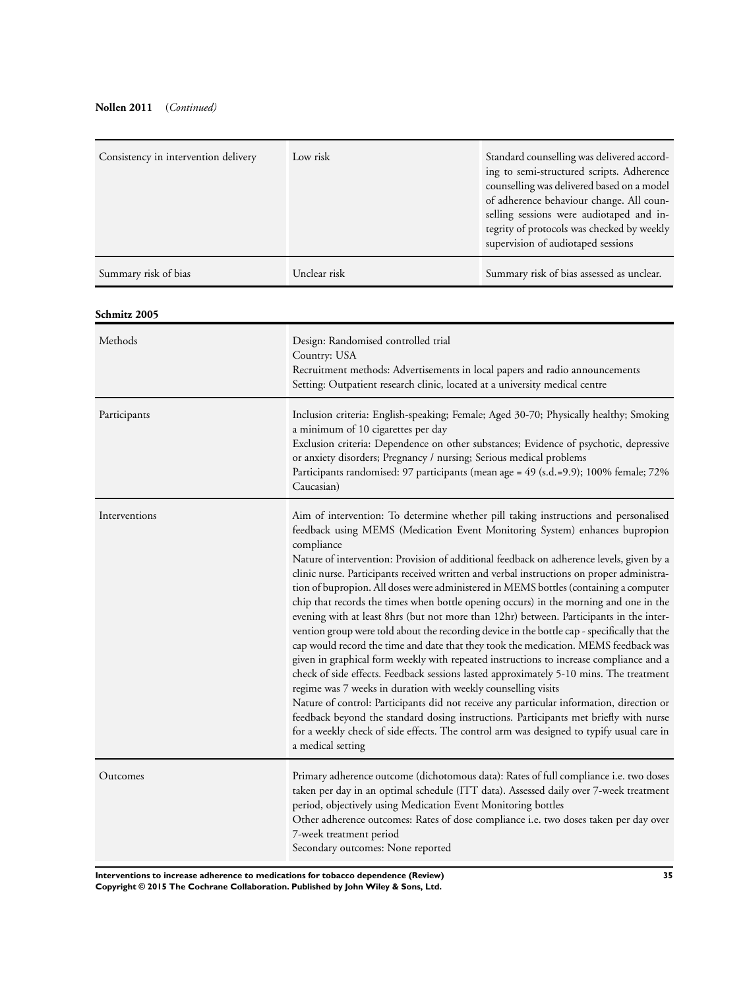# **Nollen 2011** (*Continued)*

| Consistency in intervention delivery | Low risk                                                                                                                                                                                                                                                                                                                                                                                                                                                                                                                                                                                                                                                                                                                                                                                                                                                                                                                                                                                                                                                                                                                                                                                                                                                                                                                                                                                                 | Standard counselling was delivered accord-<br>ing to semi-structured scripts. Adherence<br>counselling was delivered based on a model<br>of adherence behaviour change. All coun-<br>selling sessions were audiotaped and in-<br>tegrity of protocols was checked by weekly<br>supervision of audiotaped sessions |
|--------------------------------------|----------------------------------------------------------------------------------------------------------------------------------------------------------------------------------------------------------------------------------------------------------------------------------------------------------------------------------------------------------------------------------------------------------------------------------------------------------------------------------------------------------------------------------------------------------------------------------------------------------------------------------------------------------------------------------------------------------------------------------------------------------------------------------------------------------------------------------------------------------------------------------------------------------------------------------------------------------------------------------------------------------------------------------------------------------------------------------------------------------------------------------------------------------------------------------------------------------------------------------------------------------------------------------------------------------------------------------------------------------------------------------------------------------|-------------------------------------------------------------------------------------------------------------------------------------------------------------------------------------------------------------------------------------------------------------------------------------------------------------------|
| Summary risk of bias                 | Unclear risk                                                                                                                                                                                                                                                                                                                                                                                                                                                                                                                                                                                                                                                                                                                                                                                                                                                                                                                                                                                                                                                                                                                                                                                                                                                                                                                                                                                             | Summary risk of bias assessed as unclear.                                                                                                                                                                                                                                                                         |
| Schmitz 2005                         |                                                                                                                                                                                                                                                                                                                                                                                                                                                                                                                                                                                                                                                                                                                                                                                                                                                                                                                                                                                                                                                                                                                                                                                                                                                                                                                                                                                                          |                                                                                                                                                                                                                                                                                                                   |
| Methods                              | Design: Randomised controlled trial<br>Country: USA<br>Recruitment methods: Advertisements in local papers and radio announcements<br>Setting: Outpatient research clinic, located at a university medical centre                                                                                                                                                                                                                                                                                                                                                                                                                                                                                                                                                                                                                                                                                                                                                                                                                                                                                                                                                                                                                                                                                                                                                                                        |                                                                                                                                                                                                                                                                                                                   |
| Participants                         | Inclusion criteria: English-speaking; Female; Aged 30-70; Physically healthy; Smoking<br>a minimum of 10 cigarettes per day<br>Exclusion criteria: Dependence on other substances; Evidence of psychotic, depressive<br>or anxiety disorders; Pregnancy / nursing; Serious medical problems<br>Participants randomised: 97 participants (mean age = 49 (s.d.=9.9); 100% female; 72%<br>Caucasian)                                                                                                                                                                                                                                                                                                                                                                                                                                                                                                                                                                                                                                                                                                                                                                                                                                                                                                                                                                                                        |                                                                                                                                                                                                                                                                                                                   |
| Interventions                        | Aim of intervention: To determine whether pill taking instructions and personalised<br>feedback using MEMS (Medication Event Monitoring System) enhances bupropion<br>compliance<br>Nature of intervention: Provision of additional feedback on adherence levels, given by a<br>clinic nurse. Participants received written and verbal instructions on proper administra-<br>tion of bupropion. All doses were administered in MEMS bottles (containing a computer<br>chip that records the times when bottle opening occurs) in the morning and one in the<br>evening with at least 8hrs (but not more than 12hr) between. Participants in the inter-<br>vention group were told about the recording device in the bottle cap - specifically that the<br>cap would record the time and date that they took the medication. MEMS feedback was<br>given in graphical form weekly with repeated instructions to increase compliance and a<br>check of side effects. Feedback sessions lasted approximately 5-10 mins. The treatment<br>regime was 7 weeks in duration with weekly counselling visits<br>Nature of control: Participants did not receive any particular information, direction or<br>feedback beyond the standard dosing instructions. Participants met briefly with nurse<br>for a weekly check of side effects. The control arm was designed to typify usual care in<br>a medical setting |                                                                                                                                                                                                                                                                                                                   |
| Outcomes                             | Primary adherence outcome (dichotomous data): Rates of full compliance i.e. two doses<br>taken per day in an optimal schedule (ITT data). Assessed daily over 7-week treatment<br>period, objectively using Medication Event Monitoring bottles<br>Other adherence outcomes: Rates of dose compliance i.e. two doses taken per day over<br>7-week treatment period<br>Secondary outcomes: None reported                                                                                                                                                                                                                                                                                                                                                                                                                                                                                                                                                                                                                                                                                                                                                                                                                                                                                                                                                                                                  |                                                                                                                                                                                                                                                                                                                   |

**Interventions to increase adherence to medications for tobacco dependence (Review) 35 Copyright © 2015 The Cochrane Collaboration. Published by John Wiley & Sons, Ltd.**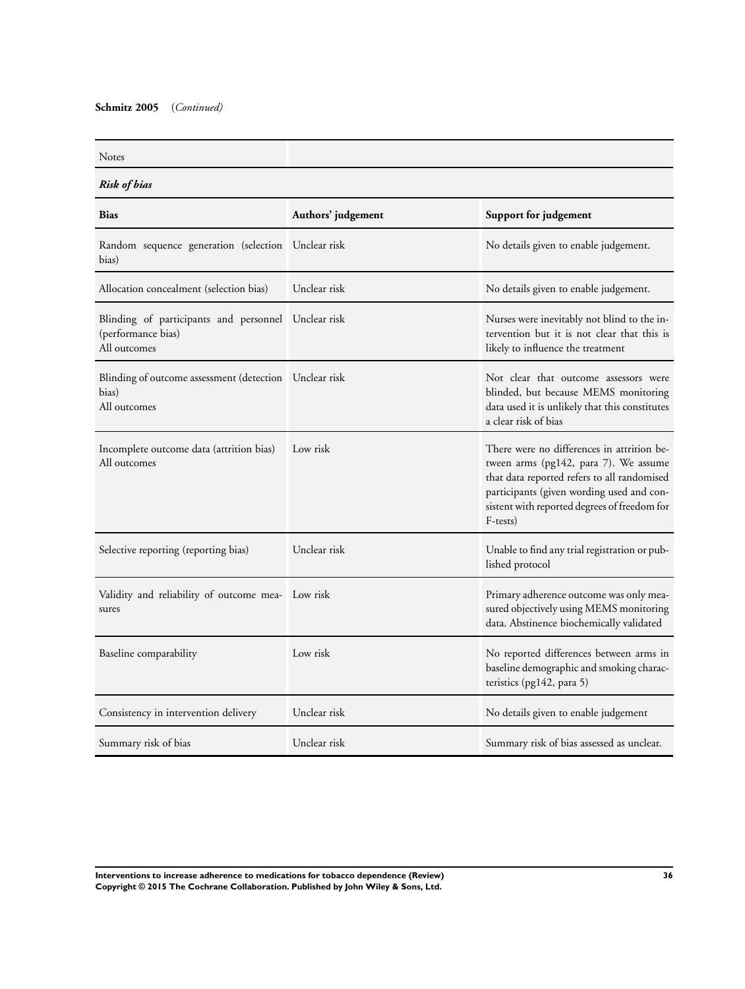# **Schmitz 2005** (*Continued)*

Notes

*Risk of bias*

| <b>Bias</b>                                                                               | Authors' judgement | Support for judgement                                                                                                                                                                                                                       |
|-------------------------------------------------------------------------------------------|--------------------|---------------------------------------------------------------------------------------------------------------------------------------------------------------------------------------------------------------------------------------------|
| Random sequence generation (selection Unclear risk<br>bias)                               |                    | No details given to enable judgement.                                                                                                                                                                                                       |
| Allocation concealment (selection bias)                                                   | Unclear risk       | No details given to enable judgement.                                                                                                                                                                                                       |
| Blinding of participants and personnel Unclear risk<br>(performance bias)<br>All outcomes |                    | Nurses were inevitably not blind to the in-<br>tervention but it is not clear that this is<br>likely to influence the treatment                                                                                                             |
| Blinding of outcome assessment (detection Unclear risk<br>bias)<br>All outcomes           |                    | Not clear that outcome assessors were<br>blinded, but because MEMS monitoring<br>data used it is unlikely that this constitutes<br>a clear risk of bias                                                                                     |
| Incomplete outcome data (attrition bias)<br>All outcomes                                  | Low risk           | There were no differences in attrition be-<br>tween arms (pg142, para 7). We assume<br>that data reported refers to all randomised<br>participants (given wording used and con-<br>sistent with reported degrees of freedom for<br>F-tests) |
| Selective reporting (reporting bias)                                                      | Unclear risk       | Unable to find any trial registration or pub-<br>lished protocol                                                                                                                                                                            |
| Validity and reliability of outcome mea- Low risk<br>sures                                |                    | Primary adherence outcome was only mea-<br>sured objectively using MEMS monitoring<br>data. Abstinence biochemically validated                                                                                                              |
| Baseline comparability                                                                    | Low risk           | No reported differences between arms in<br>baseline demographic and smoking charac-<br>teristics (pg142, para 5)                                                                                                                            |
| Consistency in intervention delivery                                                      | Unclear risk       | No details given to enable judgement                                                                                                                                                                                                        |
| Summary risk of bias                                                                      | Unclear risk       | Summary risk of bias assessed as unclear.                                                                                                                                                                                                   |

**Interventions to increase adherence to medications for tobacco dependence (Review) 36 Copyright © 2015 The Cochrane Collaboration. Published by John Wiley & Sons, Ltd.**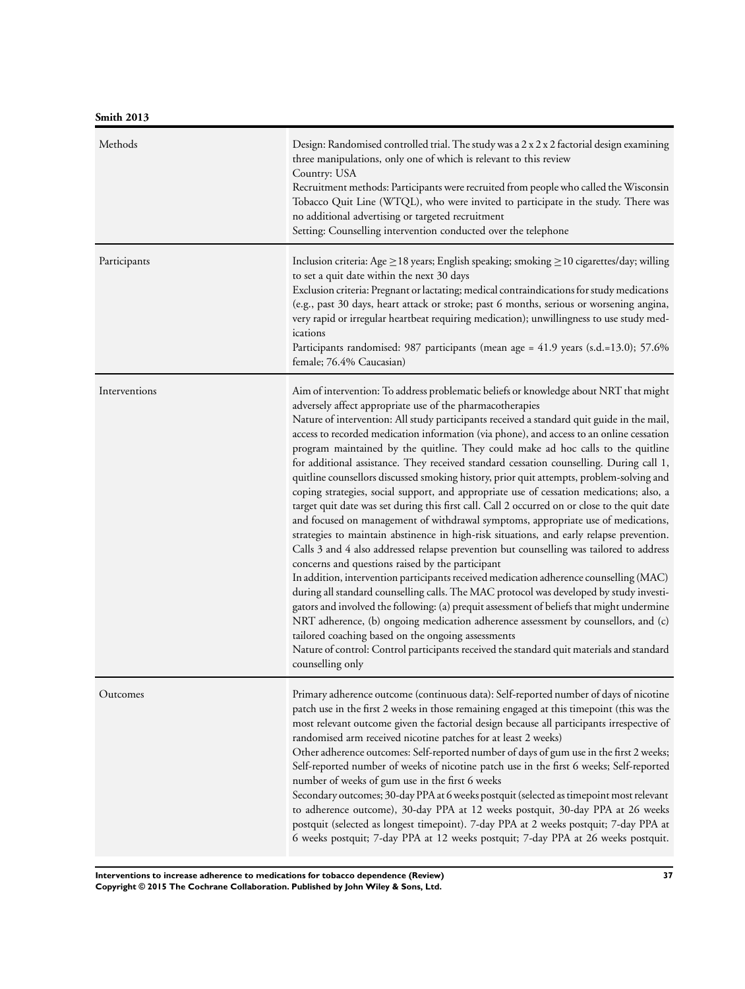| Methods       | Design: Randomised controlled trial. The study was a 2 x 2 x 2 factorial design examining<br>three manipulations, only one of which is relevant to this review<br>Country: USA<br>Recruitment methods: Participants were recruited from people who called the Wisconsin<br>Tobacco Quit Line (WTQL), who were invited to participate in the study. There was<br>no additional advertising or targeted recruitment<br>Setting: Counselling intervention conducted over the telephone                                                                                                                                                                                                                                                                                                                                                                                                                                                                                                                                                                                                                                                                                                                                                                                                                                                                                                                                                                                                                                                                                                                                                                                                                 |
|---------------|-----------------------------------------------------------------------------------------------------------------------------------------------------------------------------------------------------------------------------------------------------------------------------------------------------------------------------------------------------------------------------------------------------------------------------------------------------------------------------------------------------------------------------------------------------------------------------------------------------------------------------------------------------------------------------------------------------------------------------------------------------------------------------------------------------------------------------------------------------------------------------------------------------------------------------------------------------------------------------------------------------------------------------------------------------------------------------------------------------------------------------------------------------------------------------------------------------------------------------------------------------------------------------------------------------------------------------------------------------------------------------------------------------------------------------------------------------------------------------------------------------------------------------------------------------------------------------------------------------------------------------------------------------------------------------------------------------|
| Participants  | Inclusion criteria: Age $\geq$ 18 years; English speaking; smoking $\geq$ 10 cigarettes/day; willing<br>to set a quit date within the next 30 days<br>Exclusion criteria: Pregnant or lactating; medical contraindications for study medications<br>(e.g., past 30 days, heart attack or stroke; past 6 months, serious or worsening angina,<br>very rapid or irregular heartbeat requiring medication); unwillingness to use study med-<br>ications<br>Participants randomised: 987 participants (mean age = 41.9 years (s.d.=13.0); 57.6%<br>female; 76.4% Caucasian)                                                                                                                                                                                                                                                                                                                                                                                                                                                                                                                                                                                                                                                                                                                                                                                                                                                                                                                                                                                                                                                                                                                             |
| Interventions | Aim of intervention: To address problematic beliefs or knowledge about NRT that might<br>adversely affect appropriate use of the pharmacotherapies<br>Nature of intervention: All study participants received a standard quit guide in the mail,<br>access to recorded medication information (via phone), and access to an online cessation<br>program maintained by the quitline. They could make ad hoc calls to the quitline<br>for additional assistance. They received standard cessation counselling. During call 1,<br>quitline counsellors discussed smoking history, prior quit attempts, problem-solving and<br>coping strategies, social support, and appropriate use of cessation medications; also, a<br>target quit date was set during this first call. Call 2 occurred on or close to the quit date<br>and focused on management of withdrawal symptoms, appropriate use of medications,<br>strategies to maintain abstinence in high-risk situations, and early relapse prevention.<br>Calls 3 and 4 also addressed relapse prevention but counselling was tailored to address<br>concerns and questions raised by the participant<br>In addition, intervention participants received medication adherence counselling (MAC)<br>during all standard counselling calls. The MAC protocol was developed by study investi-<br>gators and involved the following: (a) prequit assessment of beliefs that might undermine<br>NRT adherence, (b) ongoing medication adherence assessment by counsellors, and (c)<br>tailored coaching based on the ongoing assessments<br>Nature of control: Control participants received the standard quit materials and standard<br>counselling only |
| Outcomes      | Primary adherence outcome (continuous data): Self-reported number of days of nicotine<br>patch use in the first 2 weeks in those remaining engaged at this timepoint (this was the<br>most relevant outcome given the factorial design because all participants irrespective of<br>randomised arm received nicotine patches for at least 2 weeks)<br>Other adherence outcomes: Self-reported number of days of gum use in the first 2 weeks;<br>Self-reported number of weeks of nicotine patch use in the first 6 weeks; Self-reported<br>number of weeks of gum use in the first 6 weeks<br>Secondary outcomes; 30-day PPA at 6 weeks postquit (selected as timepoint most relevant<br>to adherence outcome), 30-day PPA at 12 weeks postquit, 30-day PPA at 26 weeks<br>postquit (selected as longest timepoint). 7-day PPA at 2 weeks postquit; 7-day PPA at<br>6 weeks postquit; 7-day PPA at 12 weeks postquit; 7-day PPA at 26 weeks postquit.                                                                                                                                                                                                                                                                                                                                                                                                                                                                                                                                                                                                                                                                                                                                               |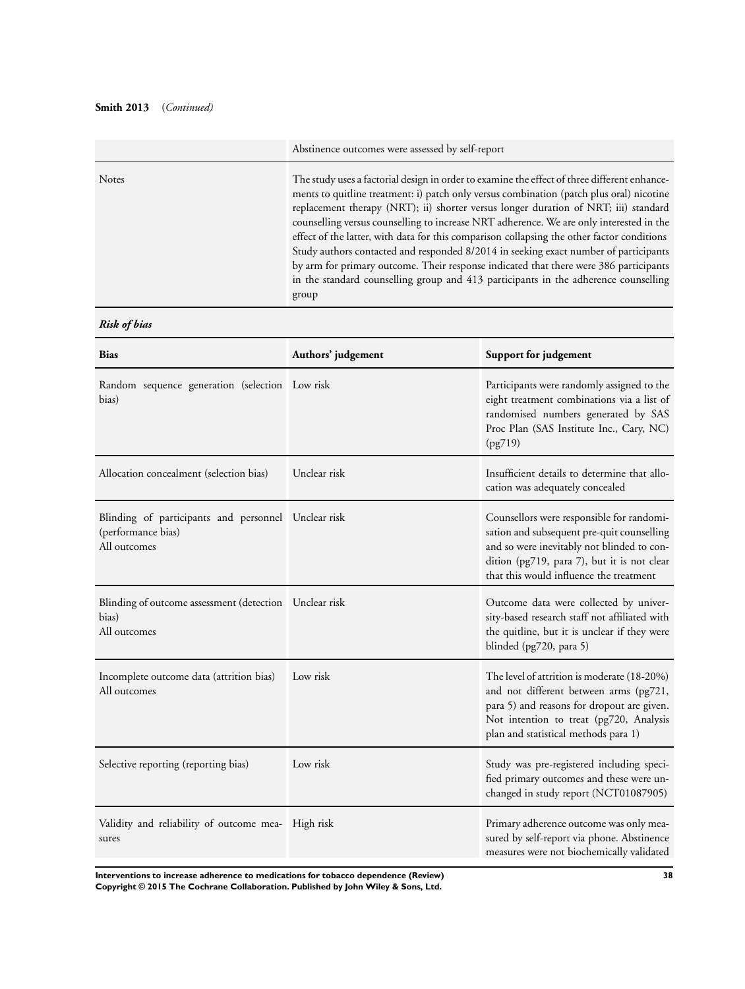|              | Abstinence outcomes were assessed by self-report                                                                                                                                                                                                                                                                                                                                                                                                                                                                                                                                                                                                                                                                                                          |
|--------------|-----------------------------------------------------------------------------------------------------------------------------------------------------------------------------------------------------------------------------------------------------------------------------------------------------------------------------------------------------------------------------------------------------------------------------------------------------------------------------------------------------------------------------------------------------------------------------------------------------------------------------------------------------------------------------------------------------------------------------------------------------------|
| <b>Notes</b> | The study uses a factorial design in order to examine the effect of three different enhance-<br>ments to quitline treatment: i) patch only versus combination (patch plus oral) nicotine<br>replacement therapy (NRT); ii) shorter versus longer duration of NRT; iii) standard<br>counselling versus counselling to increase NRT adherence. We are only interested in the<br>effect of the latter, with data for this comparison collapsing the other factor conditions<br>Study authors contacted and responded 8/2014 in seeking exact number of participants<br>by arm for primary outcome. Their response indicated that there were 386 participants<br>in the standard counselling group and 413 participants in the adherence counselling<br>group |

# *Risk of bias*

| <b>Bias</b>                                                                               | Authors' judgement | Support for judgement                                                                                                                                                                                                           |
|-------------------------------------------------------------------------------------------|--------------------|---------------------------------------------------------------------------------------------------------------------------------------------------------------------------------------------------------------------------------|
| Random sequence generation (selection Low risk<br>bias)                                   |                    | Participants were randomly assigned to the<br>eight treatment combinations via a list of<br>randomised numbers generated by SAS<br>Proc Plan (SAS Institute Inc., Cary, NC)<br>(pg719)                                          |
| Allocation concealment (selection bias)                                                   | Unclear risk       | Insufficient details to determine that allo-<br>cation was adequately concealed                                                                                                                                                 |
| Blinding of participants and personnel Unclear risk<br>(performance bias)<br>All outcomes |                    | Counsellors were responsible for randomi-<br>sation and subsequent pre-quit counselling<br>and so were inevitably not blinded to con-<br>dition (pg719, para 7), but it is not clear<br>that this would influence the treatment |
| Blinding of outcome assessment (detection Unclear risk<br>bias)<br>All outcomes           |                    | Outcome data were collected by univer-<br>sity-based research staff not affiliated with<br>the quitline, but it is unclear if they were<br>blinded (pg720, para 5)                                                              |
| Incomplete outcome data (attrition bias)<br>All outcomes                                  | Low risk           | The level of attrition is moderate (18-20%)<br>and not different between arms (pg721,<br>para 5) and reasons for dropout are given.<br>Not intention to treat (pg720, Analysis<br>plan and statistical methods para 1)          |
| Selective reporting (reporting bias)                                                      | Low risk           | Study was pre-registered including speci-<br>fied primary outcomes and these were un-<br>changed in study report (NCT01087905)                                                                                                  |
| Validity and reliability of outcome mea- High risk<br>sures                               |                    | Primary adherence outcome was only mea-<br>sured by self-report via phone. Abstinence<br>measures were not biochemically validated                                                                                              |

**Interventions to increase adherence to medications for tobacco dependence (Review) 38 Copyright © 2015 The Cochrane Collaboration. Published by John Wiley & Sons, Ltd.**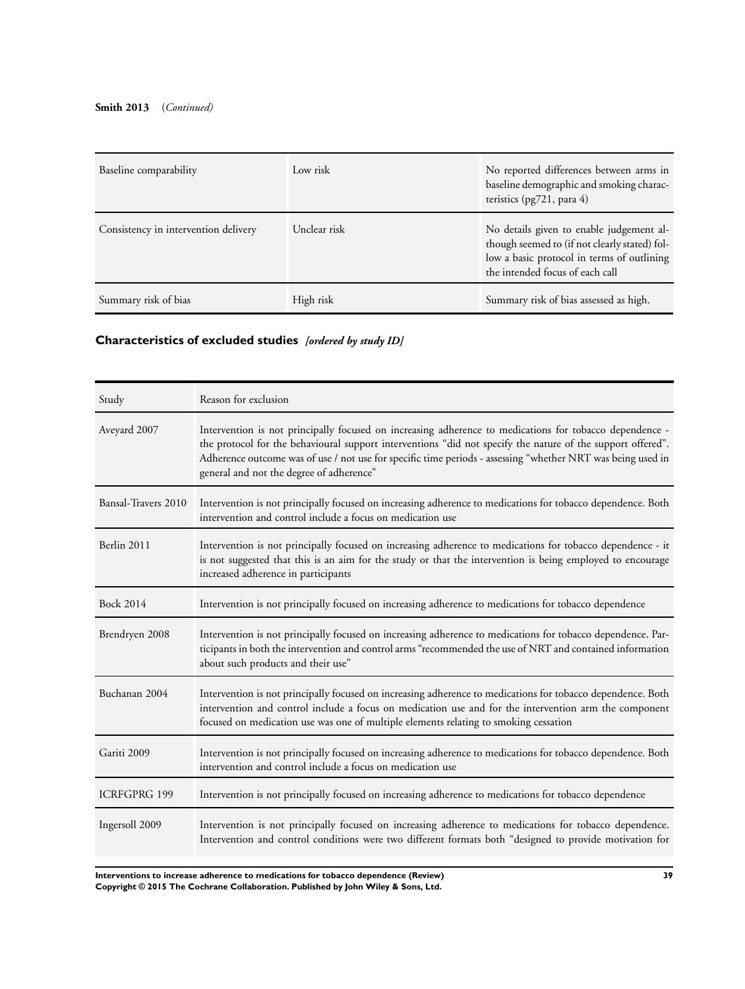<span id="page-40-0"></span>

| Baseline comparability               | Low risk     | No reported differences between arms in<br>baseline demographic and smoking charac-<br>teristics (pg721, para 4)                                                           |
|--------------------------------------|--------------|----------------------------------------------------------------------------------------------------------------------------------------------------------------------------|
| Consistency in intervention delivery | Unclear risk | No details given to enable judgement al-<br>though seemed to (if not clearly stated) fol-<br>low a basic protocol in terms of outlining<br>the intended focus of each call |
| Summary risk of bias                 | High risk    | Summary risk of bias assessed as high.                                                                                                                                     |

# **Characteristics of excluded studies** *[ordered by study ID]*

| Study               | Reason for exclusion                                                                                                                                                                                                                                                                                                                                                              |
|---------------------|-----------------------------------------------------------------------------------------------------------------------------------------------------------------------------------------------------------------------------------------------------------------------------------------------------------------------------------------------------------------------------------|
| Aveyard 2007        | Intervention is not principally focused on increasing adherence to medications for tobacco dependence -<br>the protocol for the behavioural support interventions "did not specify the nature of the support offered".<br>Adherence outcome was of use / not use for specific time periods - assessing "whether NRT was being used in<br>general and not the degree of adherence" |
| Bansal-Travers 2010 | Intervention is not principally focused on increasing adherence to medications for tobacco dependence. Both<br>intervention and control include a focus on medication use                                                                                                                                                                                                         |
| Berlin 2011         | Intervention is not principally focused on increasing adherence to medications for tobacco dependence - it<br>is not suggested that this is an aim for the study or that the intervention is being employed to encourage<br>increased adherence in participants                                                                                                                   |
| <b>Bock 2014</b>    | Intervention is not principally focused on increasing adherence to medications for tobacco dependence                                                                                                                                                                                                                                                                             |
| Brendryen 2008      | Intervention is not principally focused on increasing adherence to medications for tobacco dependence. Par-<br>ticipants in both the intervention and control arms "recommended the use of NRT and contained information<br>about such products and their use"                                                                                                                    |
| Buchanan 2004       | Intervention is not principally focused on increasing adherence to medications for tobacco dependence. Both<br>intervention and control include a focus on medication use and for the intervention arm the component<br>focused on medication use was one of multiple elements relating to smoking cessation                                                                      |
| Gariti 2009         | Intervention is not principally focused on increasing adherence to medications for tobacco dependence. Both<br>intervention and control include a focus on medication use                                                                                                                                                                                                         |
| <b>ICRFGPRG 199</b> | Intervention is not principally focused on increasing adherence to medications for tobacco dependence                                                                                                                                                                                                                                                                             |
| Ingersoll 2009      | Intervention is not principally focused on increasing adherence to medications for tobacco dependence.<br>Intervention and control conditions were two different formats both "designed to provide motivation for                                                                                                                                                                 |

**Interventions to increase adherence to medications for tobacco dependence (Review) 39 Copyright © 2015 The Cochrane Collaboration. Published by John Wiley & Sons, Ltd.**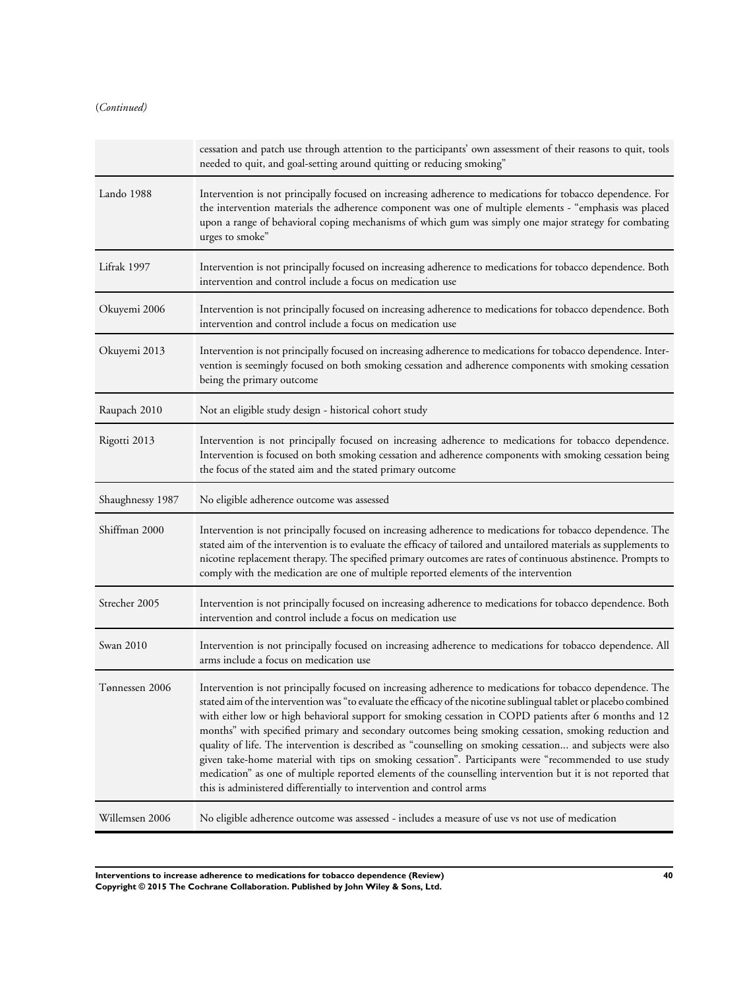|                  | cessation and patch use through attention to the participants' own assessment of their reasons to quit, tools<br>needed to quit, and goal-setting around quitting or reducing smoking"                                                                                                                                                                                                                                                                                                                                                                                                                                                                                                                                                                                                                                                                             |
|------------------|--------------------------------------------------------------------------------------------------------------------------------------------------------------------------------------------------------------------------------------------------------------------------------------------------------------------------------------------------------------------------------------------------------------------------------------------------------------------------------------------------------------------------------------------------------------------------------------------------------------------------------------------------------------------------------------------------------------------------------------------------------------------------------------------------------------------------------------------------------------------|
| Lando 1988       | Intervention is not principally focused on increasing adherence to medications for tobacco dependence. For<br>the intervention materials the adherence component was one of multiple elements - "emphasis was placed<br>upon a range of behavioral coping mechanisms of which gum was simply one major strategy for combating<br>urges to smoke"                                                                                                                                                                                                                                                                                                                                                                                                                                                                                                                   |
| Lifrak 1997      | Intervention is not principally focused on increasing adherence to medications for tobacco dependence. Both<br>intervention and control include a focus on medication use                                                                                                                                                                                                                                                                                                                                                                                                                                                                                                                                                                                                                                                                                          |
| Okuyemi 2006     | Intervention is not principally focused on increasing adherence to medications for tobacco dependence. Both<br>intervention and control include a focus on medication use                                                                                                                                                                                                                                                                                                                                                                                                                                                                                                                                                                                                                                                                                          |
| Okuyemi 2013     | Intervention is not principally focused on increasing adherence to medications for tobacco dependence. Inter-<br>vention is seemingly focused on both smoking cessation and adherence components with smoking cessation<br>being the primary outcome                                                                                                                                                                                                                                                                                                                                                                                                                                                                                                                                                                                                               |
| Raupach 2010     | Not an eligible study design - historical cohort study                                                                                                                                                                                                                                                                                                                                                                                                                                                                                                                                                                                                                                                                                                                                                                                                             |
| Rigotti 2013     | Intervention is not principally focused on increasing adherence to medications for tobacco dependence.<br>Intervention is focused on both smoking cessation and adherence components with smoking cessation being<br>the focus of the stated aim and the stated primary outcome                                                                                                                                                                                                                                                                                                                                                                                                                                                                                                                                                                                    |
| Shaughnessy 1987 | No eligible adherence outcome was assessed                                                                                                                                                                                                                                                                                                                                                                                                                                                                                                                                                                                                                                                                                                                                                                                                                         |
| Shiffman 2000    | Intervention is not principally focused on increasing adherence to medications for tobacco dependence. The<br>stated aim of the intervention is to evaluate the efficacy of tailored and untailored materials as supplements to<br>nicotine replacement therapy. The specified primary outcomes are rates of continuous abstinence. Prompts to<br>comply with the medication are one of multiple reported elements of the intervention                                                                                                                                                                                                                                                                                                                                                                                                                             |
| Strecher 2005    | Intervention is not principally focused on increasing adherence to medications for tobacco dependence. Both<br>intervention and control include a focus on medication use                                                                                                                                                                                                                                                                                                                                                                                                                                                                                                                                                                                                                                                                                          |
| Swan 2010        | Intervention is not principally focused on increasing adherence to medications for tobacco dependence. All<br>arms include a focus on medication use                                                                                                                                                                                                                                                                                                                                                                                                                                                                                                                                                                                                                                                                                                               |
| Tønnessen 2006   |                                                                                                                                                                                                                                                                                                                                                                                                                                                                                                                                                                                                                                                                                                                                                                                                                                                                    |
|                  | Intervention is not principally focused on increasing adherence to medications for tobacco dependence. The<br>stated aim of the intervention was "to evaluate the efficacy of the nicotine sublingual tablet or placebo combined<br>with either low or high behavioral support for smoking cessation in COPD patients after 6 months and 12<br>months" with specified primary and secondary outcomes being smoking cessation, smoking reduction and<br>quality of life. The intervention is described as "counselling on smoking cessation and subjects were also<br>given take-home material with tips on smoking cessation". Participants were "recommended to use study<br>medication" as one of multiple reported elements of the counselling intervention but it is not reported that<br>this is administered differentially to intervention and control arms |

**Interventions to increase adherence to medications for tobacco dependence (Review) 40 Copyright © 2015 The Cochrane Collaboration. Published by John Wiley & Sons, Ltd.**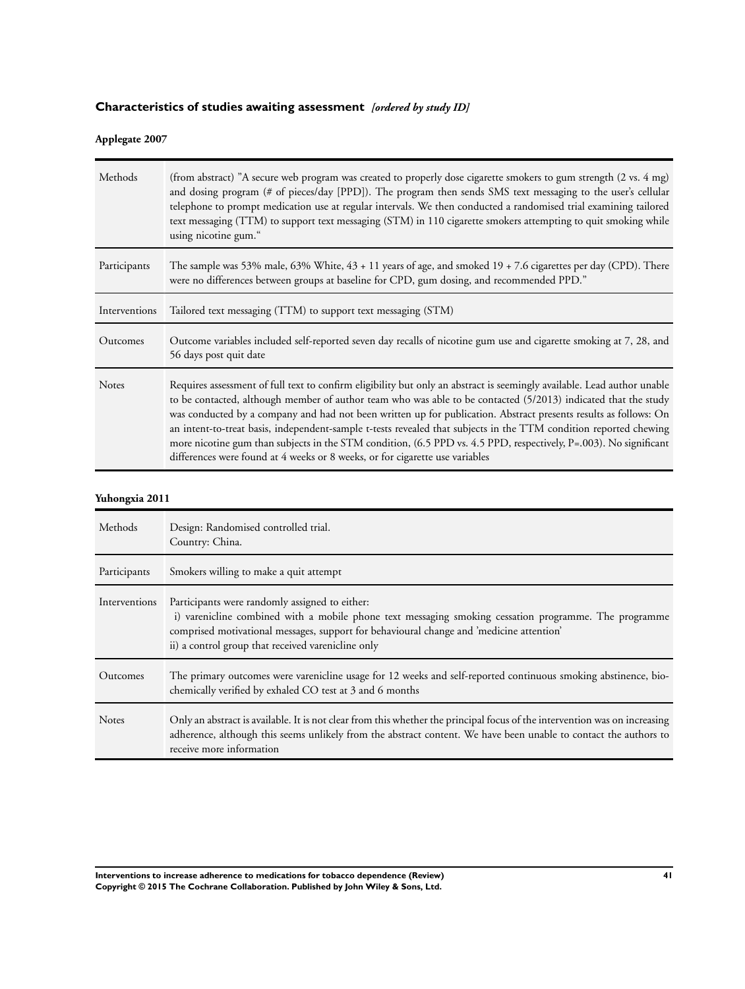# **Characteristics of studies awaiting assessment** *[ordered by study ID]*

# **Applegate 2007**

| Methods       | (from abstract) "A secure web program was created to properly dose cigarette smokers to gum strength (2 vs. 4 mg)<br>and dosing program (# of pieces/day [PPD]). The program then sends SMS text messaging to the user's cellular<br>telephone to prompt medication use at regular intervals. We then conducted a randomised trial examining tailored<br>text messaging (TTM) to support text messaging (STM) in 110 cigarette smokers attempting to quit smoking while<br>using nicotine gum."                                                                                                                                                                                         |
|---------------|-----------------------------------------------------------------------------------------------------------------------------------------------------------------------------------------------------------------------------------------------------------------------------------------------------------------------------------------------------------------------------------------------------------------------------------------------------------------------------------------------------------------------------------------------------------------------------------------------------------------------------------------------------------------------------------------|
| Participants  | The sample was 53% male, 63% White, $43 + 11$ years of age, and smoked $19 + 7.6$ cigarettes per day (CPD). There<br>were no differences between groups at baseline for CPD, gum dosing, and recommended PPD."                                                                                                                                                                                                                                                                                                                                                                                                                                                                          |
| Interventions | Tailored text messaging (TTM) to support text messaging (STM)                                                                                                                                                                                                                                                                                                                                                                                                                                                                                                                                                                                                                           |
| Outcomes      | Outcome variables included self-reported seven day recalls of nicotine gum use and cigarette smoking at 7, 28, and<br>56 days post quit date                                                                                                                                                                                                                                                                                                                                                                                                                                                                                                                                            |
| <b>Notes</b>  | Requires assessment of full text to confirm eligibility but only an abstract is seemingly available. Lead author unable<br>to be contacted, although member of author team who was able to be contacted (5/2013) indicated that the study<br>was conducted by a company and had not been written up for publication. Abstract presents results as follows: On<br>an intent-to-treat basis, independent-sample t-tests revealed that subjects in the TTM condition reported chewing<br>more nicotine gum than subjects in the STM condition, (6.5 PPD vs. 4.5 PPD, respectively, P=.003). No significant<br>differences were found at 4 weeks or 8 weeks, or for cigarette use variables |

# **Yuhongxia 2011**

| Methods       | Design: Randomised controlled trial.<br>Country: China.                                                                                                                                                                                                                                                   |
|---------------|-----------------------------------------------------------------------------------------------------------------------------------------------------------------------------------------------------------------------------------------------------------------------------------------------------------|
| Participants  | Smokers willing to make a quit attempt                                                                                                                                                                                                                                                                    |
| Interventions | Participants were randomly assigned to either:<br>i) varenicline combined with a mobile phone text messaging smoking cessation programme. The programme<br>comprised motivational messages, support for behavioural change and 'medicine attention'<br>ii) a control group that received varenicline only |
| Outcomes      | The primary outcomes were varenicline usage for 12 weeks and self-reported continuous smoking abstinence, bio-<br>chemically verified by exhaled CO test at 3 and 6 months                                                                                                                                |
| <b>Notes</b>  | Only an abstract is available. It is not clear from this whether the principal focus of the intervention was on increasing<br>adherence, although this seems unlikely from the abstract content. We have been unable to contact the authors to<br>receive more information                                |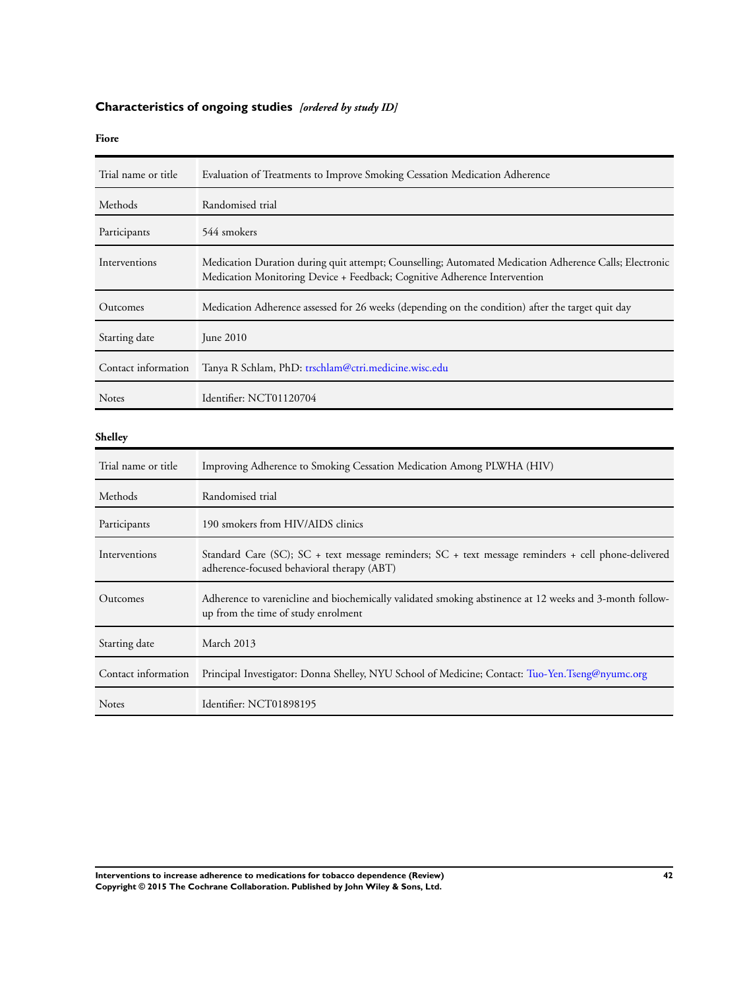# <span id="page-43-0"></span>**Characteristics of ongoing studies** *[ordered by study ID]*

## **Fiore**

| Trial name or title | Evaluation of Treatments to Improve Smoking Cessation Medication Adherence                                                                                                          |
|---------------------|-------------------------------------------------------------------------------------------------------------------------------------------------------------------------------------|
| Methods             | Randomised trial                                                                                                                                                                    |
| Participants        | 544 smokers                                                                                                                                                                         |
| Interventions       | Medication Duration during quit attempt; Counselling; Automated Medication Adherence Calls; Electronic<br>Medication Monitoring Device + Feedback; Cognitive Adherence Intervention |
| Outcomes            | Medication Adherence assessed for 26 weeks (depending on the condition) after the target quit day                                                                                   |
| Starting date       | June 2010                                                                                                                                                                           |
| Contact information | Tanya R Schlam, PhD: trschlam@ctri.medicine.wisc.edu                                                                                                                                |
| Notes               | Identifier: NCT01120704                                                                                                                                                             |
| Shelley             |                                                                                                                                                                                     |
| Trial name or title | Improving Adherence to Smoking Cessation Medication Among PLWHA (HIV)                                                                                                               |
| Methods             | Randomised trial                                                                                                                                                                    |
| Participants        | 190 smokers from HIV/AIDS clinics                                                                                                                                                   |
| Interventions       | Standard Care (SC); SC + text message reminders; SC + text message reminders + cell phone-delivered<br>adherence-focused behavioral therapy (ABT)                                   |
| Outcomes            | Adherence to varenicline and biochemically validated smoking abstinence at 12 weeks and 3-month follow-<br>up from the time of study enrolment                                      |
| Starting date       | March 2013                                                                                                                                                                          |
| Contact information | Principal Investigator: Donna Shelley, NYU School of Medicine; Contact: Tuo-Yen.Tseng@nyumc.org                                                                                     |
| Notes               | Identifier: NCT01898195                                                                                                                                                             |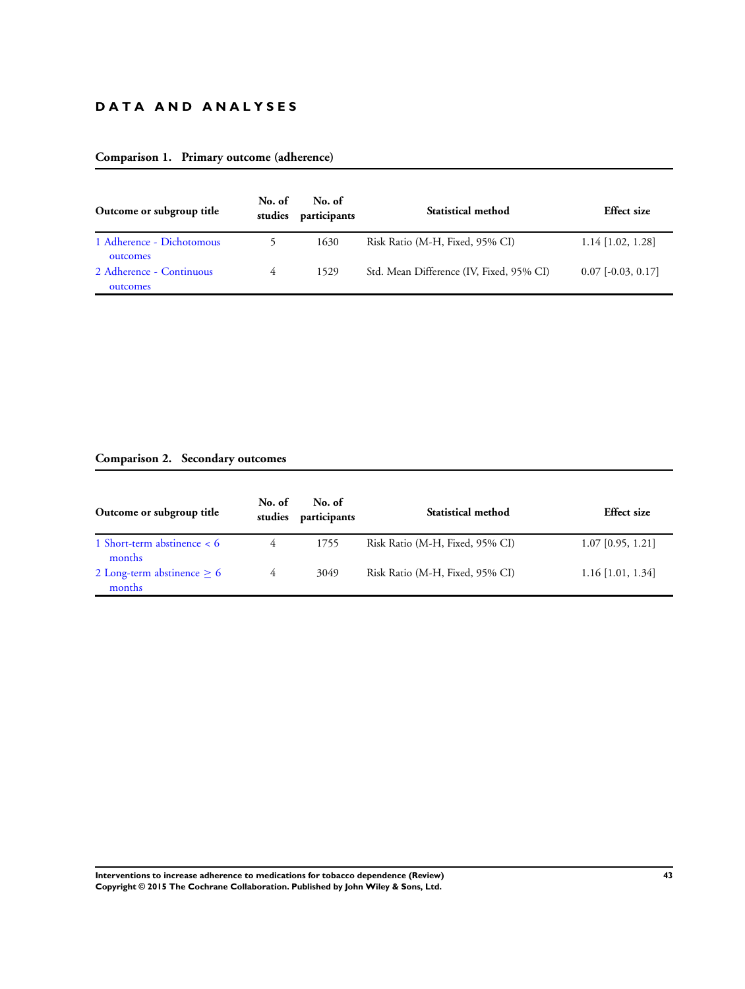# **D A T A A N D A N A L Y S E S**

| Outcome or subgroup title             | No. of<br>studies | No. of<br>participants | Statistical method                       | <b>Effect size</b>   |
|---------------------------------------|-------------------|------------------------|------------------------------------------|----------------------|
| 1 Adherence - Dichotomous<br>outcomes |                   | 1630                   | Risk Ratio (M-H, Fixed, 95% CI)          | $1.14$ [1.02, 1.28]  |
| 2 Adherence - Continuous<br>outcomes  | 4                 | 1529                   | Std. Mean Difference (IV, Fixed, 95% CI) | $0.07$ [-0.03, 0.17] |

# **Comparison 1. Primary outcome (adherence)**

# **Comparison 2. Secondary outcomes**

| Outcome or subgroup title                 | No. of<br>studies | No. of<br>participants | Statistical method              | <b>Effect</b> size  |
|-------------------------------------------|-------------------|------------------------|---------------------------------|---------------------|
| 1 Short-term abstinence $< 6$<br>months   | 4                 | 1755                   | Risk Ratio (M-H, Fixed, 95% CI) | $1.07$ [0.95, 1.21] |
| 2 Long-term abstinence $\geq$ 6<br>months |                   | 3049                   | Risk Ratio (M-H, Fixed, 95% CI) | $1.16$ [1.01, 1.34] |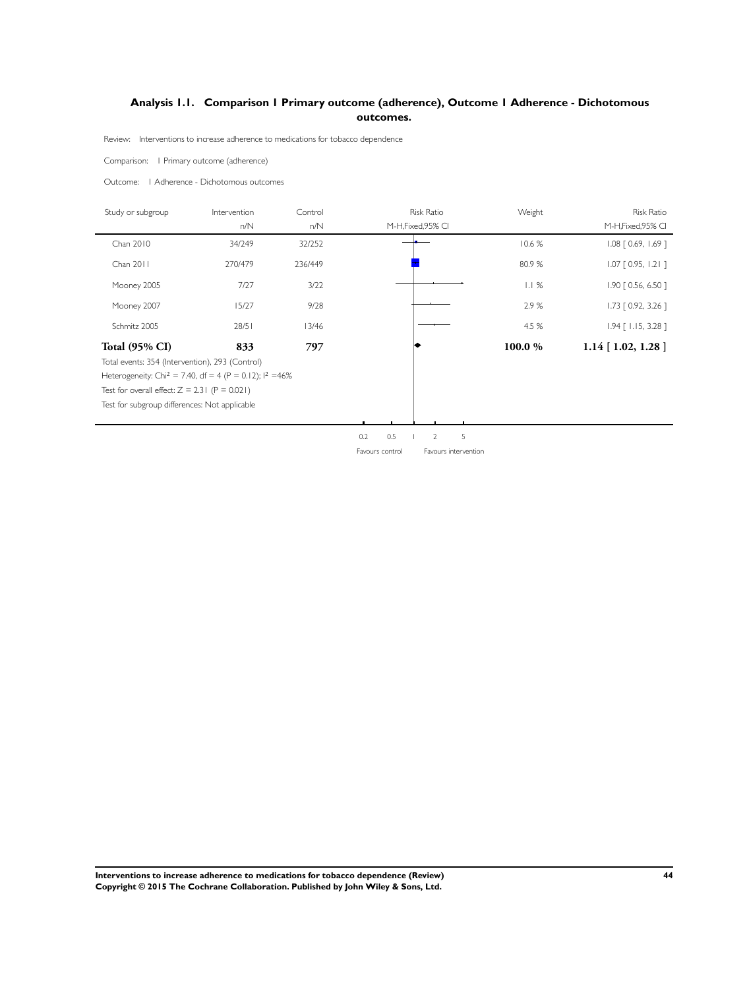# <span id="page-45-0"></span>**Analysis 1.1. Comparison 1 Primary outcome (adherence), Outcome 1 Adherence - Dichotomous outcomes.**

Review: Interventions to increase adherence to medications for tobacco dependence

Comparison: 1 Primary outcome (adherence)

Outcome: 1 Adherence - Dichotomous outcomes

| Study or subgroup                                                                                                                                                                                                                                     | Intervention<br>n/N | Control<br>n/N | <b>Risk Ratio</b><br>M-H, Fixed, 95% CI | Weight | <b>Risk Ratio</b><br>M-H, Fixed, 95% CI |
|-------------------------------------------------------------------------------------------------------------------------------------------------------------------------------------------------------------------------------------------------------|---------------------|----------------|-----------------------------------------|--------|-----------------------------------------|
| Chan 2010                                                                                                                                                                                                                                             | 34/249              | 32/252         |                                         | 10.6 % | $1.08$ $[0.69, 1.69]$                   |
| Chan 2011                                                                                                                                                                                                                                             | 270/479             | 236/449        |                                         | 80.9%  | $1.07$ $[0.95, 1.21]$                   |
| Mooney 2005                                                                                                                                                                                                                                           | 7/27                | 3/22           |                                         | 1.1%   | $1.90$ $[0.56, 6.50]$                   |
| Mooney 2007                                                                                                                                                                                                                                           | 15/27               | 9/28           |                                         | 2.9%   | 1.73 [ 0.92, 3.26 ]                     |
| Schmitz 2005                                                                                                                                                                                                                                          | 28/51               | 13/46          |                                         | 4.5 %  | $1.94$ [ $1.15$ , 3.28 ]                |
| <b>Total (95% CI)</b><br>Total events: 354 (Intervention), 293 (Control)<br>Heterogeneity: Chi <sup>2</sup> = 7.40, df = 4 (P = 0.12); $1^2$ =46%<br>Test for overall effect: $Z = 2.31$ (P = 0.021)<br>Test for subgroup differences: Not applicable | 833                 | 797            |                                         | 100.0% | $1.14$ [ 1.02, 1.28 ]                   |

0.2 0.5 1 2 5

Favours control Favours intervention

**Interventions to increase adherence to medications for tobacco dependence (Review) 44 Copyright © 2015 The Cochrane Collaboration. Published by John Wiley & Sons, Ltd.**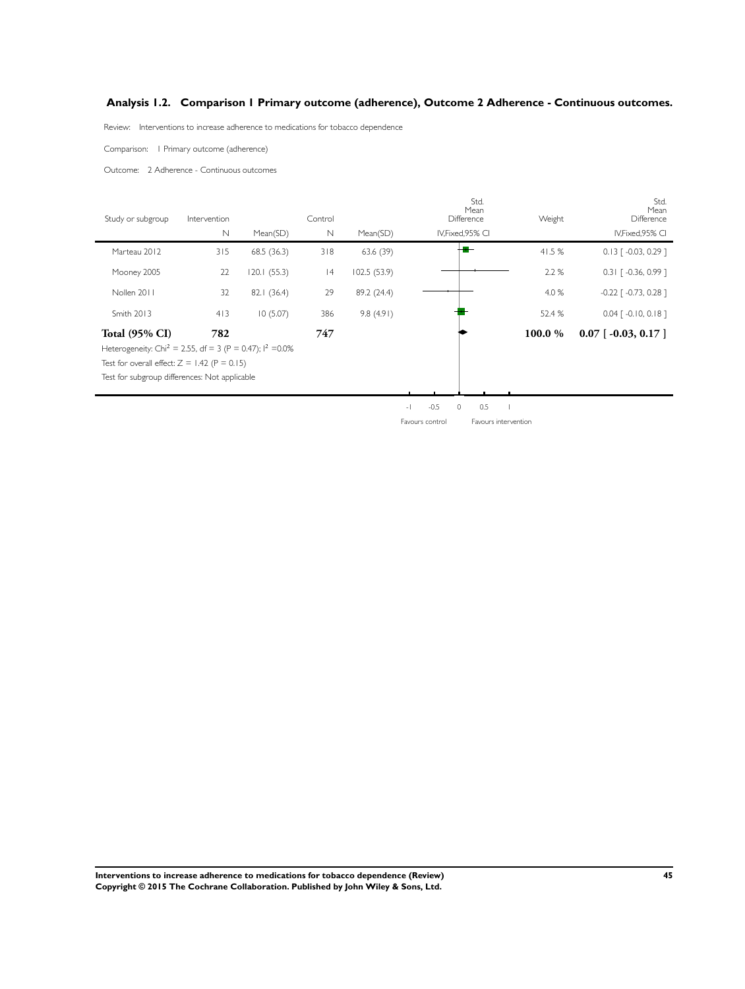# <span id="page-46-0"></span>**Analysis 1.2. Comparison 1 Primary outcome (adherence), Outcome 2 Adherence - Continuous outcomes.**

Review: Interventions to increase adherence to medications for tobacco dependence

Comparison: 1 Primary outcome (adherence)

Outcome: 2 Adherence - Continuous outcomes

| Study or subgroup                                                                                                                                                                                   | Intervention |             | Control     |             | Std.<br>Mean<br>Difference                     | Weight | Std.<br>Mean<br>Difference          |
|-----------------------------------------------------------------------------------------------------------------------------------------------------------------------------------------------------|--------------|-------------|-------------|-------------|------------------------------------------------|--------|-------------------------------------|
|                                                                                                                                                                                                     | N            | Mean(SD)    | $\mathbb N$ | Mean(SD)    | IV, Fixed, 95% CI                              |        | IV, Fixed, 95% CI                   |
| Marteau 2012                                                                                                                                                                                        | 315          | 68.5 (36.3) | 318         | 63.6 (39)   |                                                | 41.5 % | $0.13$ [ -0.03, 0.29 ]              |
| Mooney 2005                                                                                                                                                                                         | 22           | 120.1(55.3) | 4           | 102.5(53.9) |                                                | 2.2%   | $0.31$ $[-0.36, 0.99]$              |
| Nollen 2011                                                                                                                                                                                         | 32           | 82.1 (36.4) | 29          | 89.2 (24.4) |                                                | 4.0 %  | $-0.22$ $\lceil -0.73, 0.28 \rceil$ |
| Smith 2013                                                                                                                                                                                          | 413          | 10(5.07)    | 386         | 9.8(4.91)   |                                                | 52.4 % | $0.04$ $[ -0.10, 0.18]$             |
| <b>Total (95% CI)</b><br>Heterogeneity: Chi <sup>2</sup> = 2.55, df = 3 (P = 0.47); $1^2$ = 0.0%<br>Test for overall effect: $Z = 1.42$ (P = 0.15)<br>Test for subgroup differences: Not applicable | 782          |             | 747         |             |                                                | 100.0% | $0.07$ [ -0.03, 0.17 ]              |
|                                                                                                                                                                                                     |              |             |             |             | 0.5<br>$-0.5$<br>0<br>$\overline{\phantom{a}}$ |        |                                     |

Favours control Favours intervention

**Interventions to increase adherence to medications for tobacco dependence (Review) 45 Copyright © 2015 The Cochrane Collaboration. Published by John Wiley & Sons, Ltd.**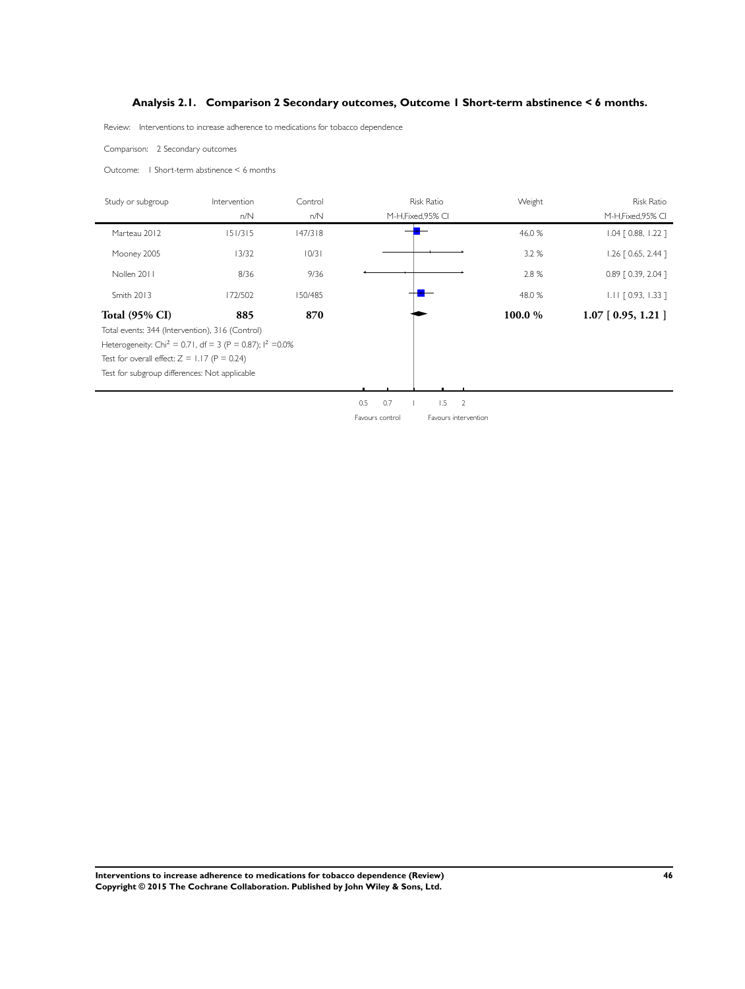# **Analysis 2.1. Comparison 2 Secondary outcomes, Outcome 1 Short-term abstinence < 6 months.**

<span id="page-47-0"></span>Review: Interventions to increase adherence to medications for tobacco dependence

Comparison: 2 Secondary outcomes

Outcome: 1 Short-term abstinence < 6 months

| Study or subgroup                                                      | Intervention | Control |     |     | <b>Risk Ratio</b>     | Weight | <b>Risk Ratio</b>     |
|------------------------------------------------------------------------|--------------|---------|-----|-----|-----------------------|--------|-----------------------|
|                                                                        | n/N          | n/N     |     |     | M-H, Fixed, 95% CI    |        | M-H, Fixed, 95% CI    |
| Marteau 2012                                                           | 151/315      | 147/318 |     |     |                       | 46.0%  | 1.04   0.88, 1.22 ]   |
| Mooney 2005                                                            | 13/32        | 10/31   |     |     |                       | 3.2%   | $1.26$ $[0.65, 2.44]$ |
| Nollen 2011                                                            | 8/36         | 9/36    |     |     |                       | 2.8 %  | $0.89$ $[0.39, 2.04]$ |
| Smith 2013                                                             | 172/502      | 150/485 |     |     |                       | 48.0 % | $1.11$ $[0.93, 1.33]$ |
| <b>Total (95% CI)</b>                                                  | 885          | 870     |     |     |                       | 100.0% | $1.07$ [ 0.95, 1.21 ] |
| Total events: 344 (Intervention), 316 (Control)                        |              |         |     |     |                       |        |                       |
| Heterogeneity: Chi <sup>2</sup> = 0.71, df = 3 (P = 0.87); $1^2$ =0.0% |              |         |     |     |                       |        |                       |
| Test for overall effect: $Z = 1.17$ (P = 0.24)                         |              |         |     |     |                       |        |                       |
| Test for subgroup differences: Not applicable                          |              |         |     |     |                       |        |                       |
|                                                                        |              |         |     |     |                       |        |                       |
|                                                                        |              |         | 0.5 | 0.7 | 1.5<br>$\overline{2}$ |        |                       |

Favours control Favours intervention

**Interventions to increase adherence to medications for tobacco dependence (Review) 46 Copyright © 2015 The Cochrane Collaboration. Published by John Wiley & Sons, Ltd.**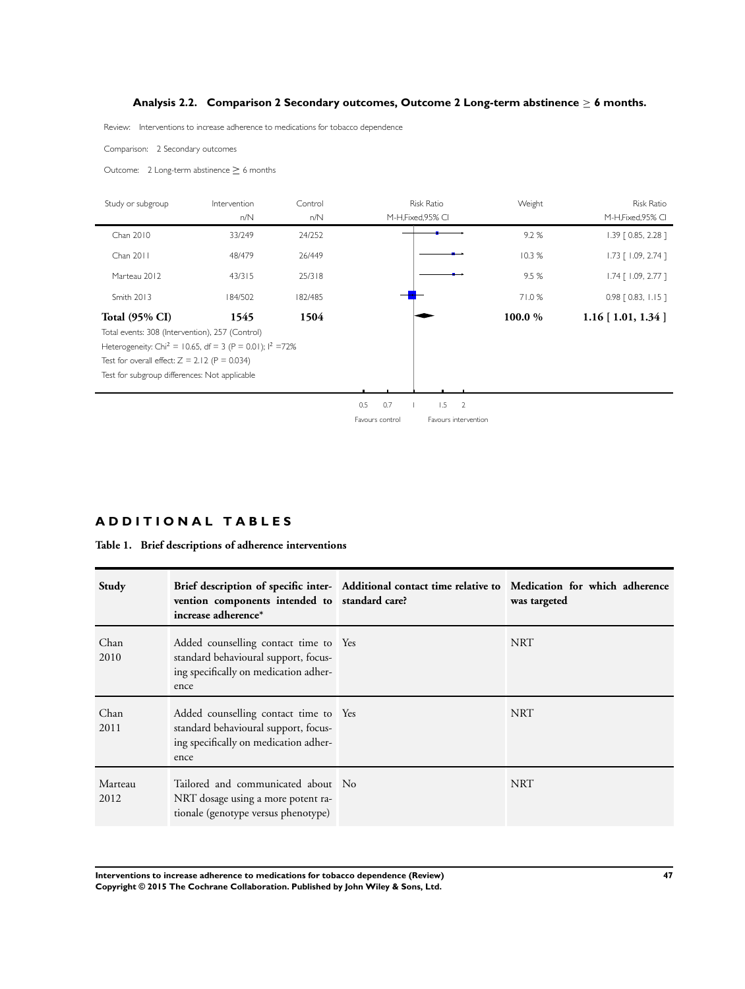# **Analysis 2.2. Comparison 2 Secondary outcomes, Outcome 2 Long-term abstinence** ≥ **6 months.**

<span id="page-48-0"></span>Review: Interventions to increase adherence to medications for tobacco dependence

Comparison: 2 Secondary outcomes

Outcome:  $2$  Long-term abstinence  $\geq 6$  months

| Study or subgroup                                                      | Intervention | Control | <b>Risk Ratio</b>                       | Weight | <b>Risk Ratio</b>        |
|------------------------------------------------------------------------|--------------|---------|-----------------------------------------|--------|--------------------------|
|                                                                        | n/N          | n/N     | M-H, Fixed, 95% CI                      |        | M-H, Fixed, 95% CI       |
| Chan 2010                                                              | 33/249       | 24/252  |                                         | 9.2%   | 1.39 [ 0.85, 2.28 ]      |
| Chan 2011                                                              | 48/479       | 26/449  |                                         | 10.3%  | $1.73$ $[1.09, 2.74]$    |
| Marteau 2012                                                           | 43/315       | 25/318  |                                         | 9.5%   | $1.74$ [ $1.09$ , 2.77 ] |
| Smith 2013                                                             | 184/502      | 182/485 |                                         | 71.0%  | $0.98$ [ 0.83, 1.15 ]    |
| <b>Total (95% CI)</b>                                                  | 1545         | 1504    |                                         | 100.0% | $1.16$ [ 1.01, 1.34 ]    |
| Total events: 308 (Intervention), 257 (Control)                        |              |         |                                         |        |                          |
| Heterogeneity: Chi <sup>2</sup> = 10.65, df = 3 (P = 0.01); $1^2$ =72% |              |         |                                         |        |                          |
| Test for overall effect: $Z = 2.12$ (P = 0.034)                        |              |         |                                         |        |                          |
| Test for subgroup differences: Not applicable                          |              |         |                                         |        |                          |
|                                                                        |              |         |                                         |        |                          |
|                                                                        |              |         | 0.7<br>1.5<br>0.5<br>$\overline{2}$     |        |                          |
|                                                                        |              |         | Favours intervention<br>Favours control |        |                          |

# **A D D I T I O N A L T A B L E S**

# **Table 1. Brief descriptions of adherence interventions**

| Study           | vention components intended to standard care?<br>increase adherence*                                                           | Brief description of specific inter- Additional contact time relative to Medication for which adherence | was targeted |
|-----------------|--------------------------------------------------------------------------------------------------------------------------------|---------------------------------------------------------------------------------------------------------|--------------|
| Chan<br>2010    | Added counselling contact time to Yes<br>standard behavioural support, focus-<br>ing specifically on medication adher-<br>ence |                                                                                                         | <b>NRT</b>   |
| Chan<br>2011    | Added counselling contact time to Yes<br>standard behavioural support, focus-<br>ing specifically on medication adher-<br>ence |                                                                                                         | <b>NRT</b>   |
| Marteau<br>2012 | Tailored and communicated about No<br>NRT dosage using a more potent ra-<br>tionale (genotype versus phenotype)                |                                                                                                         | <b>NRT</b>   |

**Interventions to increase adherence to medications for tobacco dependence (Review) 47 Copyright © 2015 The Cochrane Collaboration. Published by John Wiley & Sons, Ltd.**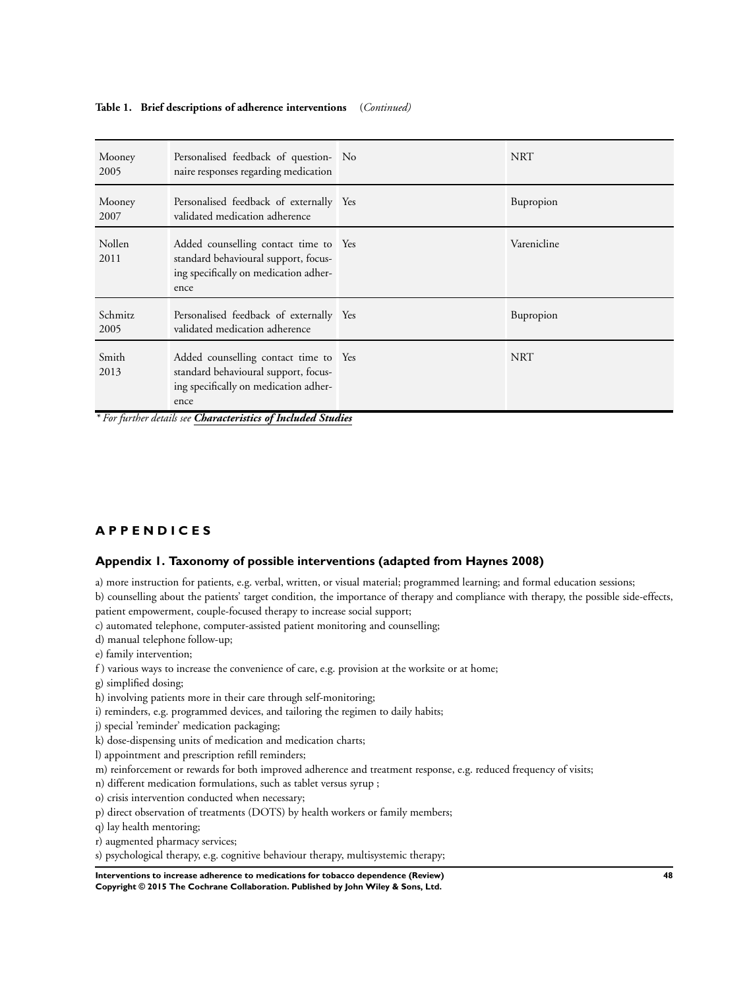| Mooney<br>2005                                                   | Personalised feedback of question- No<br>naire responses regarding medication                                                                                                                                 | <b>NRT</b>  |
|------------------------------------------------------------------|---------------------------------------------------------------------------------------------------------------------------------------------------------------------------------------------------------------|-------------|
| Mooney<br>2007                                                   | Personalised feedback of externally Yes<br>validated medication adherence                                                                                                                                     | Bupropion   |
| Nollen<br>2011                                                   | Added counselling contact time to Yes<br>standard behavioural support, focus-<br>ing specifically on medication adher-<br>ence                                                                                | Varenicline |
| Schmitz<br>2005                                                  | Personalised feedback of externally Yes<br>validated medication adherence                                                                                                                                     | Bupropion   |
| Smith<br>2013<br>$\ast$ $\Gamma$<br>$\mathcal{L}$<br>$1 \cdot 1$ | Added counselling contact time to Yes<br>standard behavioural support, focus-<br>ing specifically on medication adher-<br>ence<br>$\sim$<br>$\sqrt{1}$ $\sqrt{1}$ $\sqrt{1}$ $\sqrt{1}$ $\sqrt{1}$<br>$\cdot$ | <b>NRT</b>  |

## <span id="page-49-0"></span>**Table 1. Brief descriptions of adherence interventions** (*Continued)*

*\* For further details see Characteristics of Included Studies*

# **A P P E N D I C E S**

# **Appendix 1. Taxonomy of possible interventions (adapted from Haynes 2008)**

a) more instruction for patients, e.g. verbal, written, or visual material; programmed learning; and formal education sessions;

b) counselling about the patients' target condition, the importance of therapy and compliance with therapy, the possible side-effects, patient empowerment, couple-focused therapy to increase social support;

c) automated telephone, computer-assisted patient monitoring and counselling;

d) manual telephone follow-up;

e) family intervention;

f ) various ways to increase the convenience of care, e.g. provision at the worksite or at home;

g) simplified dosing;

h) involving patients more in their care through self-monitoring;

i) reminders, e.g. programmed devices, and tailoring the regimen to daily habits;

j) special 'reminder' medication packaging;

k) dose-dispensing units of medication and medication charts;

l) appointment and prescription refill reminders;

m) reinforcement or rewards for both improved adherence and treatment response, e.g. reduced frequency of visits;

n) different medication formulations, such as tablet versus syrup ;

o) crisis intervention conducted when necessary;

p) direct observation of treatments (DOTS) by health workers or family members;

q) lay health mentoring;

r) augmented pharmacy services;

s) psychological therapy, e.g. cognitive behaviour therapy, multisystemic therapy;

**Interventions to increase adherence to medications for tobacco dependence (Review) 48 Copyright © 2015 The Cochrane Collaboration. Published by John Wiley & Sons, Ltd.**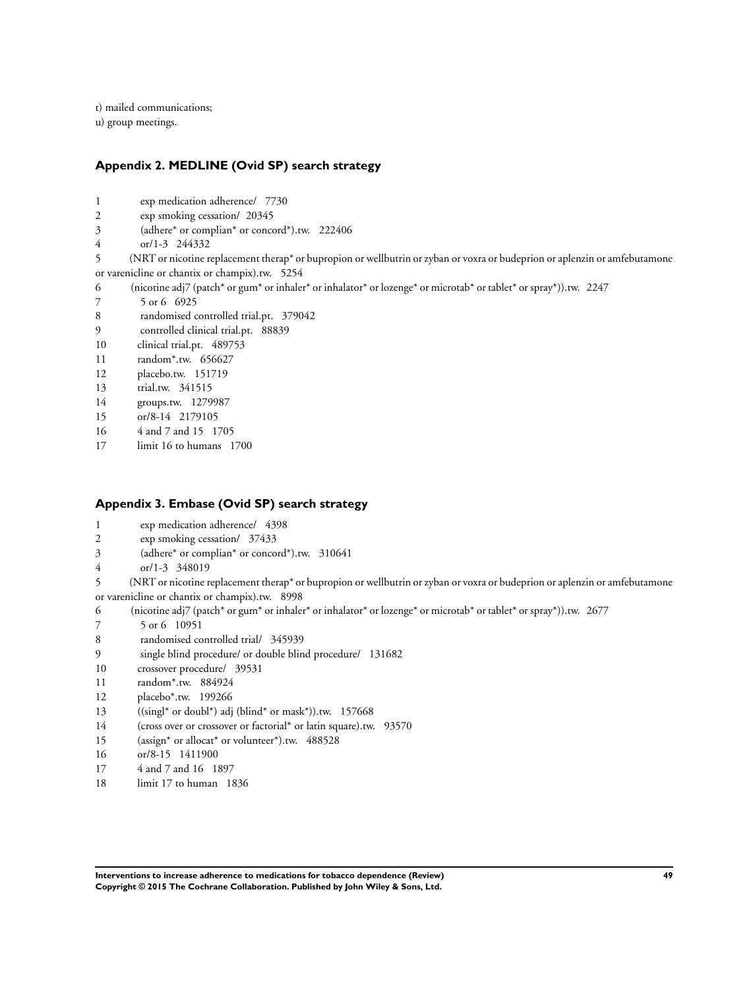<span id="page-50-0"></span>t) mailed communications;

u) group meetings.

# **Appendix 2. MEDLINE (Ovid SP) search strategy**

- 1 exp medication adherence/ 7730
- 2 exp smoking cessation/ 20345
- 3 (adhere\* or complian\* or concord\*).tw. 222406
- 4 or/1-3 244332

5 (NRT or nicotine replacement therap\* or bupropion or wellbutrin or zyban or voxra or budeprion or aplenzin or amfebutamone or varenicline or chantix or champix).tw. 5254

- 6 (nicotine adj7 (patch\* or gum\* or inhaler\* or inhalator\* or lozenge\* or microtab\* or tablet\* or spray\*)).tw. 2247
- 7 5 or 6 6925
- 8 randomised controlled trial.pt. 379042
- 9 controlled clinical trial.pt. 88839
- 10 clinical trial.pt. 489753
- 11 random\*.tw. 656627
- 12 placebo.tw. 151719
- 13 trial.tw. 341515
- 14 groups.tw. 1279987
- 15 or/8-14 2179105
- 16 4 and 7 and 15 1705
- 17 limit 16 to humans 1700

### **Appendix 3. Embase (Ovid SP) search strategy**

- 1 exp medication adherence/ 4398
- 2 exp smoking cessation/ 37433
- 3 (adhere\* or complian\* or concord\*).tw. 310641
- 4 or/1-3 348019
- 5 (NRT or nicotine replacement therap\* or bupropion or wellbutrin or zyban or voxra or budeprion or aplenzin or amfebutamone or varenicline or chantix or champix).tw. 8998
- 6 (nicotine adj7 (patch\* or gum\* or inhaler\* or inhalator\* or lozenge\* or microtab\* or tablet\* or spray\*)).tw. 2677
- 7 5 or 6 10951
- 8 randomised controlled trial/ 345939
- 9 single blind procedure/ or double blind procedure/ 131682
- 10 crossover procedure/ 39531
- 11 random\*.tw. 884924
- 12 placebo\*.tw. 199266
- 13  $((\text{sing}^* \text{ or } \text{doubl*}) \text{ adj } (\text{blind*} \text{ or } \text{mask*}))$ .tw. 157668
- 14 (cross over or crossover or factorial\* or latin square).tw. 93570
- 15 (assign\* or allocat\* or volunteer\*).tw. 488528
- 16 or/8-15 1411900
- 17 4 and 7 and 16 1897
- 18 limit 17 to human 1836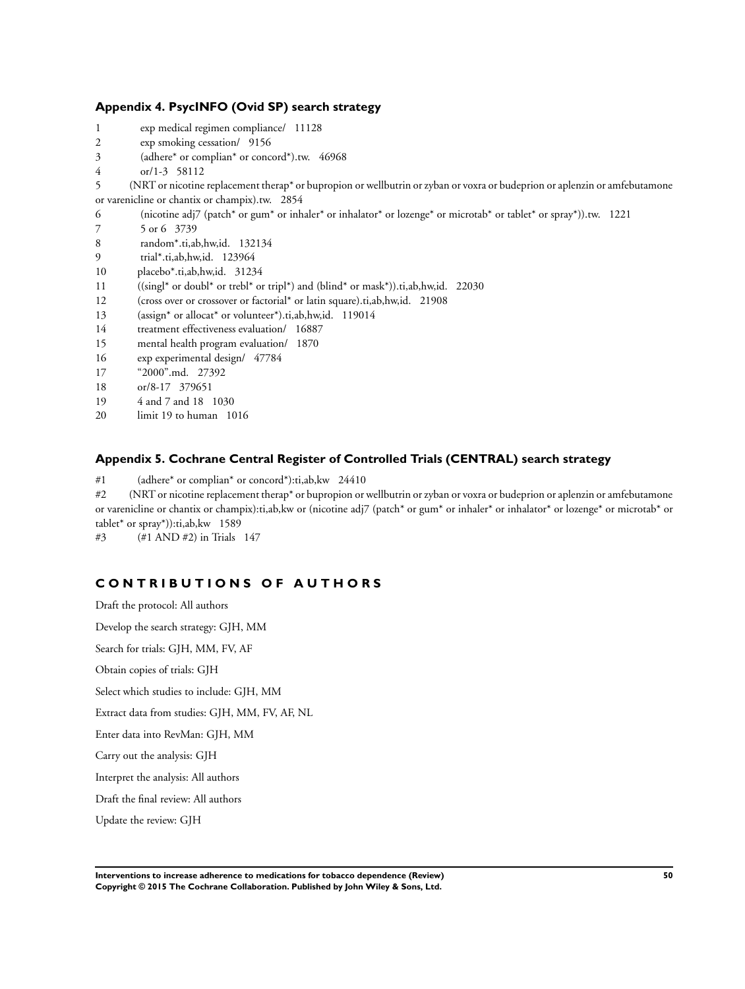# **Appendix 4. PsycINFO (Ovid SP) search strategy**

- 1 exp medical regimen compliance/ 11128
- 2 exp smoking cessation/9156<br>3 (adhere\* or complian\* or conc
- (adhere\* or complian\* or concord\*).tw. 46968
- 4 or/1-3 58112

5 (NRT or nicotine replacement therap\* or bupropion or wellbutrin or zyban or voxra or budeprion or aplenzin or amfebutamone or varenicline or chantix or champix).tw. 2854

- 6 (nicotine adj7 (patch\* or gum\* or inhaler\* or inhalator\* or lozenge\* or microtab\* or tablet\* or spray\*)).tw. 1221
- 7 5 or 6 3739
- 8 random\*.ti,ab,hw,id. 132134
- 9 trial\*.ti,ab,hw,id. 123964
- 10 placebo\*.ti,ab,hw,id. 31234
- 11 ((singl\* or doubl\* or trebl\* or tripl\*) and (blind\* or mask\*)).ti,ab,hw,id. 22030
- 12 (cross over or crossover or factorial\* or latin square).ti,ab,hw,id. 21908
- 13 (assign\* or allocat\* or volunteer\*).ti,ab,hw,id. 119014
- 14 treatment effectiveness evaluation/ 16887
- 15 mental health program evaluation/ 1870
- 16 exp experimental design/ 47784
- 17 "2000".md. 27392
- 18 or/8-17 379651
- 19 4 and 7 and 18 1030
- 20 limit 19 to human 1016

## **Appendix 5. Cochrane Central Register of Controlled Trials (CENTRAL) search strategy**

#1 (adhere\* or complian\* or concord\*):ti,ab,kw 24410

#2 (NRT or nicotine replacement therap\* or bupropion or wellbutrin or zyban or voxra or budeprion or aplenzin or amfebutamone or varenicline or chantix or champix):ti,ab,kw or (nicotine adj7 (patch\* or gum\* or inhaler\* or inhalator\* or lozenge\* or microtab\* or tablet\* or spray\*)):ti,ab,kw 1589

#3 (#1 AND #2) in Trials 147

# **C O N T R I B U T I O N S O F A U T H O R S**

Draft the protocol: All authors Develop the search strategy: GJH, MM Search for trials: GJH, MM, FV, AF Obtain copies of trials: GJH Select which studies to include: GJH, MM Extract data from studies: GJH, MM, FV, AF, NL Enter data into RevMan: GJH, MM Carry out the analysis: GJH Interpret the analysis: All authors Draft the final review: All authors Update the review: GJH